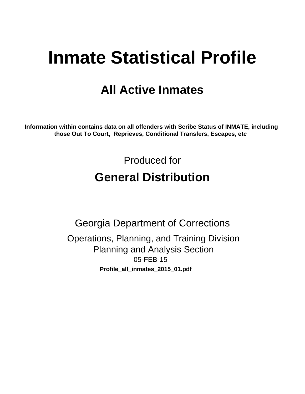# **Inmate Statistical Profile**

# **All Active Inmates**

Information within contains data on all offenders with Scribe Status of INMATE, including those Out To Court, Reprieves, Conditional Transfers, Escapes, etc

> Produced for **General Distribution**

**Georgia Department of Corrections** Operations, Planning, and Training Division **Planning and Analysis Section** 05-FEB-15 Profile\_all\_inmates\_2015\_01.pdf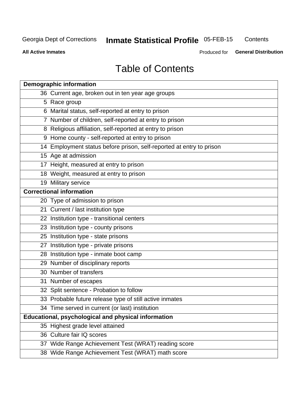# **Inmate Statistical Profile 05-FEB-15**

Contents

**All Active Inmates** 

Produced for General Distribution

# **Table of Contents**

| <b>Demographic information</b>                                       |
|----------------------------------------------------------------------|
| 36 Current age, broken out in ten year age groups                    |
| 5 Race group                                                         |
| 6 Marital status, self-reported at entry to prison                   |
| 7 Number of children, self-reported at entry to prison               |
| 8 Religious affiliation, self-reported at entry to prison            |
| 9 Home county - self-reported at entry to prison                     |
| 14 Employment status before prison, self-reported at entry to prison |
| 15 Age at admission                                                  |
| 17 Height, measured at entry to prison                               |
| 18 Weight, measured at entry to prison                               |
| 19 Military service                                                  |
| <b>Correctional information</b>                                      |
| 20 Type of admission to prison                                       |
| 21 Current / last institution type                                   |
| 22 Institution type - transitional centers                           |
| 23 Institution type - county prisons                                 |
| 25 Institution type - state prisons                                  |
| 27 Institution type - private prisons                                |
| 28 Institution type - inmate boot camp                               |
| 29 Number of disciplinary reports                                    |
| 30 Number of transfers                                               |
| 31 Number of escapes                                                 |
| 32 Split sentence - Probation to follow                              |
| 33 Probable future release type of still active inmates              |
| 34 Time served in current (or last) institution                      |
| <b>Educational, psychological and physical information</b>           |
| 35 Highest grade level attained                                      |
| 36 Culture fair IQ scores                                            |
| 37 Wide Range Achievement Test (WRAT) reading score                  |
| 38 Wide Range Achievement Test (WRAT) math score                     |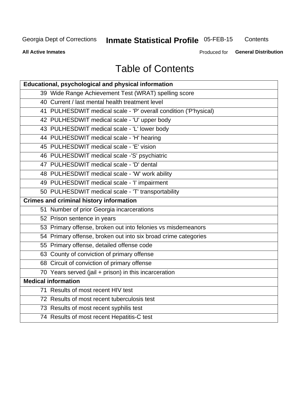# **Inmate Statistical Profile 05-FEB-15**

Contents

**All Active Inmates** 

Produced for General Distribution

# **Table of Contents**

| Educational, psychological and physical information              |
|------------------------------------------------------------------|
| 39 Wide Range Achievement Test (WRAT) spelling score             |
| 40 Current / last mental health treatment level                  |
| 41 PULHESDWIT medical scale - 'P' overall condition ('P'hysical) |
| 42 PULHESDWIT medical scale - 'U' upper body                     |
| 43 PULHESDWIT medical scale - 'L' lower body                     |
| 44 PULHESDWIT medical scale - 'H' hearing                        |
| 45 PULHESDWIT medical scale - 'E' vision                         |
| 46 PULHESDWIT medical scale -'S' psychiatric                     |
| 47 PULHESDWIT medical scale - 'D' dental                         |
| 48 PULHESDWIT medical scale - 'W' work ability                   |
| 49 PULHESDWIT medical scale - 'I' impairment                     |
| 50 PULHESDWIT medical scale - 'T' transportability               |
| <b>Crimes and criminal history information</b>                   |
| 51 Number of prior Georgia incarcerations                        |
| 52 Prison sentence in years                                      |
| 53 Primary offense, broken out into felonies vs misdemeanors     |
| 54 Primary offense, broken out into six broad crime categories   |
| 55 Primary offense, detailed offense code                        |
| 63 County of conviction of primary offense                       |
| 68 Circuit of conviction of primary offense                      |
| 70 Years served (jail + prison) in this incarceration            |
| <b>Medical information</b>                                       |
| 71 Results of most recent HIV test                               |
| 72 Results of most recent tuberculosis test                      |
| 73 Results of most recent syphilis test                          |
| 74 Results of most recent Hepatitis-C test                       |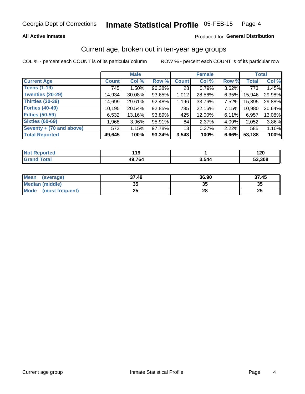### **All Active Inmates**

### Produced for General Distribution

# Current age, broken out in ten-year age groups

COL % - percent each COUNT is of its particular column

|                          | <b>Male</b>  |           |           |              | <b>Female</b> | <b>Total</b> |              |        |
|--------------------------|--------------|-----------|-----------|--------------|---------------|--------------|--------------|--------|
| <b>Current Age</b>       | <b>Count</b> | Col %     | Row %     | <b>Count</b> | Col %         | Row %        | <b>Total</b> | Col %  |
| <b>Teens (1-19)</b>      | 745          | $1.50\%$  | 96.38%    | 28           | 0.79%         | 3.62%        | 773          | 1.45%  |
| <b>Twenties (20-29)</b>  | 14,934       | $30.08\%$ | 93.65%    | 1,012        | 28.56%        | 6.35%        | 15,946       | 29.98% |
| <b>Thirties (30-39)</b>  | 14,699       | 29.61%    | 92.48%    | 1,196        | 33.76%        | 7.52%        | 15,895       | 29.88% |
| <b>Forties (40-49)</b>   | 10,195       | 20.54%    | 92.85%    | 785          | 22.16%        | 7.15%        | 10,980       | 20.64% |
| <b>Fifties (50-59)</b>   | 6,532        | 13.16%    | 93.89%    | 425          | 12.00%        | 6.11%        | 6,957        | 13.08% |
| <b>Sixties (60-69)</b>   | 1,968        | $3.96\%$  | 95.91%    | 84           | 2.37%         | 4.09%        | 2,052        | 3.86%  |
| Seventy + (70 and above) | 572          | 1.15%     | 97.78%    | 13           | 0.37%         | 2.22%        | 585          | 1.10%  |
| <b>Total Reported</b>    | 49,645       | 100%      | $93.34\%$ | 3,543        | 100%          | 6.66%        | 53,188       | 100%   |

| <b>Not Reported</b> | .4C<br>. |       | ו מ<br>17 J |
|---------------------|----------|-------|-------------|
| Total               | 49,764   | 3,544 | 53.308      |

| <b>Mean</b><br>(average)       | 37.49    | 36.90 | 37.45    |
|--------------------------------|----------|-------|----------|
| Median (middle)                | つん<br>vu | JJ    | 35       |
| <b>Mode</b><br>(most frequent) | つら<br>ZJ | 28    | つじ<br>ZJ |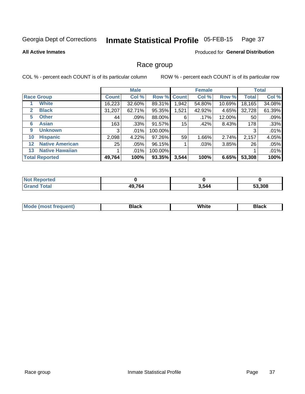#### Inmate Statistical Profile 05-FEB-15 Page 37

### **All Active Inmates**

# **Produced for General Distribution**

# Race group

COL % - percent each COUNT is of its particular column

|                   |                        | <b>Male</b>  |         |         | <b>Female</b> |        |        | <b>Total</b> |        |
|-------------------|------------------------|--------------|---------|---------|---------------|--------|--------|--------------|--------|
|                   | <b>Race Group</b>      | <b>Count</b> | Col %   |         | Row % Count   | Col %  | Row %  | <b>Total</b> | Col %  |
|                   | <b>White</b>           | 16,223       | 32.60%  | 89.31%  | 1,942         | 54.80% | 10.69% | 18,165       | 34.08% |
| 2                 | <b>Black</b>           | 31,207       | 62.71%  | 95.35%  | 1,521         | 42.92% | 4.65%  | 32,728       | 61.39% |
| 5                 | <b>Other</b>           | 44           | .09%    | 88.00%  | 6             | .17%   | 12.00% | 50           | .09%   |
| 6                 | <b>Asian</b>           | 163          | $.33\%$ | 91.57%  | 15            | .42%   | 8.43%  | 178          | .33%   |
| 9                 | <b>Unknown</b>         | 3            | $.01\%$ | 100.00% |               |        |        | 3            | .01%   |
| 10                | <b>Hispanic</b>        | 2,098        | 4.22%   | 97.26%  | 59            | 1.66%  | 2.74%  | 2,157        | 4.05%  |
| $12 \overline{ }$ | <b>Native American</b> | 25           | $.05\%$ | 96.15%  |               | .03%   | 3.85%  | 26           | .05%   |
| 13                | <b>Native Hawaiian</b> |              | $.01\%$ | 100.00% |               |        |        |              | .01%   |
|                   | <b>Total Reported</b>  | 49,764       | 100%    | 93.35%  | 3,544         | 100%   | 6.65%  | 53,308       | 100%   |

| <b>Not Reported</b>  |        |       |        |
|----------------------|--------|-------|--------|
| <b>Total</b><br>Cron | 49,764 | 3,544 | 53,308 |

| <b>Mode</b><br>---<br>most frequent) | Black | White | <b>Black</b> |
|--------------------------------------|-------|-------|--------------|
|                                      |       |       |              |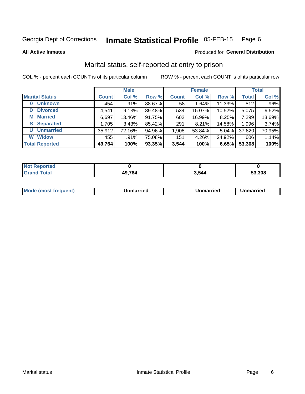#### Inmate Statistical Profile 05-FEB-15 Page 6

**All Active Inmates** 

### Produced for General Distribution

# Marital status, self-reported at entry to prison

COL % - percent each COUNT is of its particular column

|                            | <b>Male</b>  |        |        |              | <b>Female</b> | <b>Total</b> |              |        |
|----------------------------|--------------|--------|--------|--------------|---------------|--------------|--------------|--------|
| <b>Marital Status</b>      | <b>Count</b> | Col %  | Row %  | <b>Count</b> | Col %         | Row %        | <b>Total</b> | Col %  |
| <b>Unknown</b><br>$\bf{0}$ | 454          | .91%   | 88.67% | 58           | 1.64%         | 11.33%       | 512          | .96%   |
| <b>Divorced</b><br>D       | 4,541        | 9.13%  | 89.48% | 534          | 15.07%        | 10.52%       | 5,075        | 9.52%  |
| <b>Married</b><br>М        | 6,697        | 13.46% | 91.75% | 602          | 16.99%        | 8.25%        | 7,299        | 13.69% |
| <b>Separated</b><br>S.     | 1,705        | 3.43%  | 85.42% | 291          | 8.21%         | 14.58%       | 1,996        | 3.74%  |
| <b>Unmarried</b><br>U      | 35,912       | 72.16% | 94.96% | 1,908        | 53.84%        | 5.04%        | 37,820       | 70.95% |
| <b>Widow</b><br>W          | 455          | .91%   | 75.08% | 151          | 4.26%         | 24.92%       | 606          | 1.14%  |
| <b>Total Reported</b>      | 49,764       | 100%   | 93.35% | 3,544        | 100%          | 6.65%        | 53,308       | 100%   |

| orted<br>NO          |              |     |        |
|----------------------|--------------|-----|--------|
| $\sim$ $\sim$ $\sim$ | '9.764<br>Дч | 544 | 53.308 |

| <b>Mode (most frequent)</b><br>Unmarried<br>Unmarried<br>Jnmarried |
|--------------------------------------------------------------------|
|--------------------------------------------------------------------|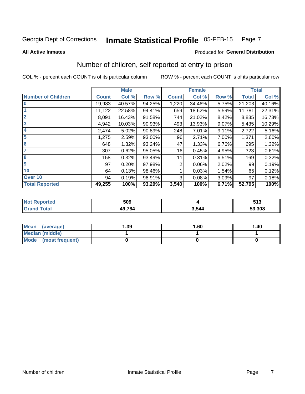#### Inmate Statistical Profile 05-FEB-15 Page 7

**All Active Inmates** 

### Produced for General Distribution

# Number of children, self reported at entry to prison

COL % - percent each COUNT is of its particular column

|                           |              | <b>Male</b> |        |              | <b>Female</b> |       |              | <b>Total</b> |
|---------------------------|--------------|-------------|--------|--------------|---------------|-------|--------------|--------------|
| <b>Number of Children</b> | <b>Count</b> | Col %       | Row %  | <b>Count</b> | Col %         | Row % | <b>Total</b> | Col %        |
| $\bf{0}$                  | 19,983       | 40.57%      | 94.25% | 1,220        | 34.46%        | 5.75% | 21,203       | 40.16%       |
|                           | 11,122       | 22.58%      | 94.41% | 659          | 18.62%        | 5.59% | 11,781       | 22.31%       |
| $\overline{2}$            | 8,091        | 16.43%      | 91.58% | 744          | 21.02%        | 8.42% | 8,835        | 16.73%       |
| 3                         | 4,942        | 10.03%      | 90.93% | 493          | 13.93%        | 9.07% | 5,435        | 10.29%       |
| $\overline{\mathbf{4}}$   | 2,474        | 5.02%       | 90.89% | 248          | 7.01%         | 9.11% | 2,722        | 5.16%        |
| 5                         | 1,275        | 2.59%       | 93.00% | 96           | 2.71%         | 7.00% | 1,371        | 2.60%        |
| $6\phantom{1}6$           | 648          | 1.32%       | 93.24% | 47           | 1.33%         | 6.76% | 695          | 1.32%        |
| 7                         | 307          | 0.62%       | 95.05% | 16           | 0.45%         | 4.95% | 323          | 0.61%        |
| 8                         | 158          | 0.32%       | 93.49% | 11           | 0.31%         | 6.51% | 169          | 0.32%        |
| 9                         | 97           | 0.20%       | 97.98% | 2            | 0.06%         | 2.02% | 99           | 0.19%        |
| 10                        | 64           | 0.13%       | 98.46% |              | 0.03%         | 1.54% | 65           | 0.12%        |
| Over 10                   | 94           | 0.19%       | 96.91% | 3            | 0.08%         | 3.09% | 97           | 0.18%        |
| <b>Total Reported</b>     | 49,255       | 100%        | 93.29% | 3,540        | 100%          | 6.71% | 52,795       | 100%         |

| тео | 509    |      | にィク<br><u>ບ ເ ບ</u> |
|-----|--------|------|---------------------|
|     | 49,764 | .54/ | 53,308              |

| <b>Mean</b><br>(average) | 1.39 | 1.60 | 1.40 |
|--------------------------|------|------|------|
| Median (middle)          |      |      |      |
| Mode<br>(most frequent)  |      |      |      |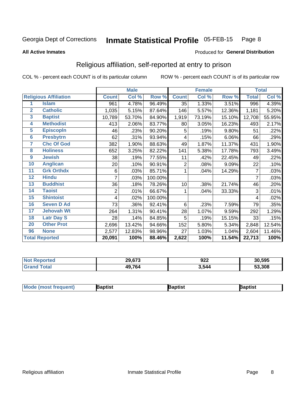#### **Inmate Statistical Profile 05-FEB-15** Page 8

### **All Active Inmates**

### Produced for General Distribution

# Religious affiliation, self-reported at entry to prison

COL % - percent each COUNT is of its particular column

|                 |                              |                | <b>Male</b> |         |                | <b>Female</b> |        |              | <b>Total</b> |
|-----------------|------------------------------|----------------|-------------|---------|----------------|---------------|--------|--------------|--------------|
|                 | <b>Religious Affiliation</b> | <b>Count</b>   | Col %       | Row %   | <b>Count</b>   | Col %         | Row %  | <b>Total</b> | Col %        |
| 1               | <b>Islam</b>                 | 961            | 4.78%       | 96.49%  | 35             | 1.33%         | 3.51%  | 996          | 4.39%        |
| $\overline{2}$  | <b>Catholic</b>              | 1,035          | 5.15%       | 87.64%  | 146            | 5.57%         | 12.36% | 1,181        | 5.20%        |
| $\mathbf{3}$    | <b>Baptist</b>               | 10,789         | 53.70%      | 84.90%  | 1,919          | 73.19%        | 15.10% | 12,708       | 55.95%       |
| 4               | <b>Methodist</b>             | 413            | 2.06%       | 83.77%  | 80             | 3.05%         | 16.23% | 493          | 2.17%        |
| $\overline{5}$  | <b>EpiscopIn</b>             | 46             | .23%        | 90.20%  | 5              | .19%          | 9.80%  | 51           | .22%         |
| $6\overline{6}$ | <b>Presbytrn</b>             | 62             | .31%        | 93.94%  | 4              | .15%          | 6.06%  | 66           | .29%         |
| 7               | <b>Chc Of God</b>            | 382            | 1.90%       | 88.63%  | 49             | 1.87%         | 11.37% | 431          | 1.90%        |
| 8               | <b>Holiness</b>              | 652            | 3.25%       | 82.22%  | 141            | 5.38%         | 17.78% | 793          | 3.49%        |
| 9               | <b>Jewish</b>                | 38             | .19%        | 77.55%  | 11             | .42%          | 22.45% | 49           | .22%         |
| 10              | <b>Anglican</b>              | 20             | .10%        | 90.91%  | $\overline{2}$ | .08%          | 9.09%  | 22           | .10%         |
| 11              | <b>Grk Orthdx</b>            | 6              | .03%        | 85.71%  | 1              | .04%          | 14.29% | 7            | .03%         |
| 12              | <b>Hindu</b>                 | 7              | .03%        | 100.00% |                |               |        | 7            | .03%         |
| 13              | <b>Buddhist</b>              | 36             | .18%        | 78.26%  | 10             | .38%          | 21.74% | 46           | .20%         |
| 14              | <b>Taoist</b>                | $\overline{2}$ | .01%        | 66.67%  | 1              | .04%          | 33.33% | 3            | .01%         |
| 15              | <b>Shintoist</b>             | 4              | .02%        | 100.00% |                |               |        | 4            | .02%         |
| 16              | <b>Seven D Ad</b>            | 73             | .36%        | 92.41%  | 6              | .23%          | 7.59%  | 79           | .35%         |
| $\overline{17}$ | <b>Jehovah Wt</b>            | 264            | 1.31%       | 90.41%  | 28             | 1.07%         | 9.59%  | 292          | 1.29%        |
| 18              | <b>Latr Day S</b>            | 28             | .14%        | 84.85%  | 5              | .19%          | 15.15% | 33           | .15%         |
| 20              | <b>Other Prot</b>            | 2,696          | 13.42%      | 94.66%  | 152            | 5.80%         | 5.34%  | 2,848        | 12.54%       |
| 96              | <b>None</b>                  | 2,577          | 12.83%      | 98.96%  | 27             | 1.03%         | 1.04%  | 2,604        | 11.46%       |
|                 | <b>Total Reported</b>        | 20,091         | 100%        | 88.46%  | 2,622          | 100%          | 11.54% | 22,713       | 100%         |

| 29,673 | 922<br>__ | 30,595 |
|--------|-----------|--------|
| 49,764 | 3.544     | 53,308 |

| M <sub>o</sub><br>'ent). | aptist | }aptist | 3aptisเ |
|--------------------------|--------|---------|---------|
|                          |        |         |         |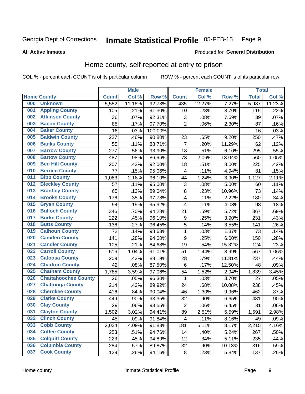#### Inmate Statistical Profile 05-FEB-15 Page 9

**All Active Inmates** 

### Produced for General Distribution

# Home county, self-reported at entry to prison

COL % - percent each COUNT is of its particular column

|     |                             |              | <b>Male</b> |         |                  | <b>Female</b> |        | <b>Total</b> |        |
|-----|-----------------------------|--------------|-------------|---------|------------------|---------------|--------|--------------|--------|
|     | <b>Home County</b>          | <b>Count</b> | Col %       | Row %   | <b>Count</b>     | Col %         | Row %  | <b>Total</b> | Col %  |
| 000 | <b>Unknown</b>              | 5,552        | 11.16%      | 92.73%  | 435              | 12.27%        | 7.27%  | 5,987        | 11.23% |
| 001 | <b>Appling County</b>       | 105          | .21%        | 91.30%  | 10               | .28%          | 8.70%  | 115          | .22%   |
| 002 | <b>Atkinson County</b>      | 36           | .07%        | 92.31%  | 3                | .08%          | 7.69%  | 39           | .07%   |
| 003 | <b>Bacon County</b>         | 85           | .17%        | 97.70%  | $\overline{2}$   | .06%          | 2.30%  | 87           | .16%   |
| 004 | <b>Baker County</b>         | 16           | .03%        | 100.00% |                  |               |        | 16           | .03%   |
| 005 | <b>Baldwin County</b>       | 227          | .46%        | 90.80%  | 23               | .65%          | 9.20%  | 250          | .47%   |
| 006 | <b>Banks County</b>         | 55           | .11%        | 88.71%  | $\overline{7}$   | .20%          | 11.29% | 62           | .12%   |
| 007 | <b>Barrow County</b>        | 277          | .56%        | 93.90%  | 18               | .51%          | 6.10%  | 295          | .55%   |
| 008 | <b>Bartow County</b>        | 487          | .98%        | 86.96%  | 73               | 2.06%         | 13.04% | 560          | 1.05%  |
| 009 | <b>Ben Hill County</b>      | 207          | .42%        | 92.00%  | 18               | .51%          | 8.00%  | 225          | .42%   |
| 010 | <b>Berrien County</b>       | 77           | .15%        | 95.06%  | 4                | .11%          | 4.94%  | 81           | .15%   |
| 011 | <b>Bibb County</b>          | 1,083        | 2.18%       | 96.10%  | 44               | 1.24%         | 3.90%  | 1,127        | 2.11%  |
| 012 | <b>Bleckley County</b>      | 57           | .11%        | 95.00%  | 3                | .08%          | 5.00%  | 60           | .11%   |
| 013 | <b>Brantley County</b>      | 65           | .13%        | 89.04%  | 8                | .23%          | 10.96% | 73           | .14%   |
| 014 | <b>Brooks County</b>        | 176          | .35%        | 97.78%  | 4                | .11%          | 2.22%  | 180          | .34%   |
| 015 | <b>Bryan County</b>         | 94           | .19%        | 95.92%  | $\overline{4}$   | .11%          | 4.08%  | 98           | .18%   |
| 016 | <b>Bulloch County</b>       | 346          | .70%        | 94.28%  | 21               | .59%          | 5.72%  | 367          | .69%   |
| 017 | <b>Burke County</b>         | 222          | .45%        | 96.10%  | $\boldsymbol{9}$ | .25%          | 3.90%  | 231          | .43%   |
| 018 | <b>Butts County</b>         | 136          | .27%        | 96.45%  | 5                | .14%          | 3.55%  | 141          | .26%   |
| 019 | <b>Calhoun County</b>       | 72           | .14%        | 98.63%  | $\mathbf{1}$     | .03%          | 1.37%  | 73           | .14%   |
| 020 | <b>Camden County</b>        | 141          | .28%        | 94.00%  | 9                | .25%          | 6.00%  | 150          | .28%   |
| 021 | <b>Candler County</b>       | 105          | .21%        | 84.68%  | 19               | .54%          | 15.32% | 124          | .23%   |
| 022 | <b>Carroll County</b>       | 516          | 1.04%       | 91.01%  | 51               | 1.44%         | 8.99%  | 567          | 1.06%  |
| 023 | <b>Catoosa County</b>       | 209          | .42%        | 88.19%  | 28               | .79%          | 11.81% | 237          | .44%   |
| 024 | <b>Charlton County</b>      | 42           | .08%        | 87.50%  | 6                | .17%          | 12.50% | 48           | .09%   |
| 025 | <b>Chatham County</b>       | 1,785        | 3.59%       | 97.06%  | 54               | 1.52%         | 2.94%  | 1,839        | 3.45%  |
| 026 | <b>Chattahoochee County</b> | 26           | .05%        | 96.30%  | 1                | .03%          | 3.70%  | 27           | .05%   |
| 027 | <b>Chattooga County</b>     | 214          | .43%        | 89.92%  | 24               | .68%          | 10.08% | 238          | .45%   |
| 028 | <b>Cherokee County</b>      | 416          | .84%        | 90.04%  | 46               | 1.30%         | 9.96%  | 462          | .87%   |
| 029 | <b>Clarke County</b>        | 449          | .90%        | 93.35%  | 32               | .90%          | 6.65%  | 481          | .90%   |
| 030 | <b>Clay County</b>          | 29           | .06%        | 93.55%  | $\overline{2}$   | .06%          | 6.45%  | 31           | .06%   |
| 031 | <b>Clayton County</b>       | 1,502        | 3.02%       | 94.41%  | 89               | 2.51%         | 5.59%  | 1,591        | 2.98%  |
| 032 | <b>Clinch County</b>        | 45           | .09%        | 91.84%  | 4                | .11%          | 8.16%  | 49           | .09%   |
| 033 | <b>Cobb County</b>          | 2,034        | 4.09%       | 91.83%  | 181              | 5.11%         | 8.17%  | 2,215        | 4.16%  |
| 034 | <b>Coffee County</b>        | 253          | .51%        | 94.76%  | 14               | .40%          | 5.24%  | 267          | .50%   |
| 035 | <b>Colquitt County</b>      | 223          | .45%        | 94.89%  | 12               | .34%          | 5.11%  | 235          | .44%   |
| 036 | <b>Columbia County</b>      | 284          | .57%        | 89.87%  | 32               | .90%          | 10.13% | 316          | .59%   |
| 037 | <b>Cook County</b>          | 129          | .26%        | 94.16%  | $\bf 8$          | .23%          | 5.84%  | 137          | .26%   |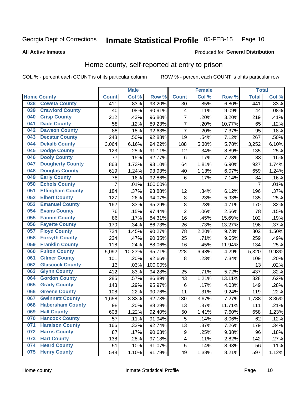#### Inmate Statistical Profile 05-FEB-15 Page 10

**All Active Inmates** 

### Produced for General Distribution

# Home county, self-reported at entry to prison

COL % - percent each COUNT is of its particular column

|     |                         |                | <b>Male</b> |                  |                | <b>Female</b> |        | <b>Total</b>   |       |
|-----|-------------------------|----------------|-------------|------------------|----------------|---------------|--------|----------------|-------|
|     | <b>Home County</b>      | <b>Count</b>   | Col %       | Row <sup>%</sup> | <b>Count</b>   | Col %         | Row %  | <b>Total</b>   | Col % |
| 038 | <b>Coweta County</b>    | 411            | .83%        | 93.20%           | 30             | .85%          | 6.80%  | 441            | .83%  |
| 039 | <b>Crawford County</b>  | 40             | .08%        | 90.91%           | 4              | .11%          | 9.09%  | 44             | .08%  |
| 040 | <b>Crisp County</b>     | 212            | .43%        | 96.80%           | 7              | .20%          | 3.20%  | 219            | .41%  |
| 041 | <b>Dade County</b>      | 58             | .12%        | 89.23%           | $\overline{7}$ | .20%          | 10.77% | 65             | .12%  |
| 042 | <b>Dawson County</b>    | 88             | .18%        | 92.63%           | $\overline{7}$ | .20%          | 7.37%  | 95             | .18%  |
| 043 | <b>Decatur County</b>   | 248            | .50%        | 92.88%           | 19             | .54%          | 7.12%  | 267            | .50%  |
| 044 | <b>Dekalb County</b>    | 3,064          | 6.16%       | 94.22%           | 188            | 5.30%         | 5.78%  | 3,252          | 6.10% |
| 045 | <b>Dodge County</b>     | 123            | .25%        | 91.11%           | 12             | .34%          | 8.89%  | 135            | .25%  |
| 046 | <b>Dooly County</b>     | 77             | .15%        | 92.77%           | 6              | .17%          | 7.23%  | 83             | .16%  |
| 047 | <b>Dougherty County</b> | 863            | 1.73%       | 93.10%           | 64             | 1.81%         | 6.90%  | 927            | 1.74% |
| 048 | <b>Douglas County</b>   | 619            | 1.24%       | 93.93%           | 40             | 1.13%         | 6.07%  | 659            | 1.24% |
| 049 | <b>Early County</b>     | 78             | .16%        | 92.86%           | 6              | .17%          | 7.14%  | 84             | .16%  |
| 050 | <b>Echols County</b>    | $\overline{7}$ | .01%        | 100.00%          |                |               |        | $\overline{7}$ | .01%  |
| 051 | <b>Effingham County</b> | 184            | .37%        | 93.88%           | 12             | .34%          | 6.12%  | 196            | .37%  |
| 052 | <b>Elbert County</b>    | 127            | .26%        | 94.07%           | 8              | .23%          | 5.93%  | 135            | .25%  |
| 053 | <b>Emanuel County</b>   | 162            | .33%        | 95.29%           | 8              | .23%          | 4.71%  | 170            | .32%  |
| 054 | <b>Evans County</b>     | 76             | .15%        | 97.44%           | $\overline{2}$ | .06%          | 2.56%  | 78             | .15%  |
| 055 | <b>Fannin County</b>    | 86             | .17%        | 84.31%           | 16             | .45%          | 15.69% | 102            | .19%  |
| 056 | <b>Fayette County</b>   | 170            | .34%        | 86.73%           | 26             | .73%          | 13.27% | 196            | .37%  |
| 057 | <b>Floyd County</b>     | 724            | 1.45%       | 90.27%           | 78             | 2.20%         | 9.73%  | 802            | 1.50% |
| 058 | <b>Forsyth County</b>   | 234            | .47%        | 90.35%           | 25             | .71%          | 9.65%  | 259            | .49%  |
| 059 | <b>Franklin County</b>  | 118            | .24%        | 88.06%           | 16             | .45%          | 11.94% | 134            | .25%  |
| 060 | <b>Fulton County</b>    | 5,092          | 10.23%      | 95.71%           | 228            | 6.43%         | 4.29%  | 5,320          | 9.98% |
| 061 | <b>Gilmer County</b>    | 101            | .20%        | 92.66%           | 8              | .23%          | 7.34%  | 109            | .20%  |
| 062 | <b>Glascock County</b>  | 13             | .03%        | 100.00%          |                |               |        | 13             | .02%  |
| 063 | <b>Glynn County</b>     | 412            | .83%        | 94.28%           | 25             | .71%          | 5.72%  | 437            | .82%  |
| 064 | <b>Gordon County</b>    | 285            | .57%        | 86.89%           | 43             | 1.21%         | 13.11% | 328            | .62%  |
| 065 | <b>Grady County</b>     | 143            | .29%        | 95.97%           | 6              | .17%          | 4.03%  | 149            | .28%  |
| 066 | <b>Greene County</b>    | 108            | .22%        | 90.76%           | 11             | .31%          | 9.24%  | 119            | .22%  |
| 067 | <b>Gwinnett County</b>  | 1,658          | 3.33%       | 92.73%           | 130            | 3.67%         | 7.27%  | 1,788          | 3.35% |
| 068 | <b>Habersham County</b> | 98             | .20%        | 88.29%           | 13             | .37%          | 11.71% | 111            | .21%  |
| 069 | <b>Hall County</b>      | 608            | 1.22%       | 92.40%           | 50             | 1.41%         | 7.60%  | 658            | 1.23% |
| 070 | <b>Hancock County</b>   | 57             | .11%        | 91.94%           | 5              | .14%          | 8.06%  | 62             | .12%  |
| 071 | <b>Haralson County</b>  | 166            | .33%        | 92.74%           | 13             | .37%          | 7.26%  | 179            | .34%  |
| 072 | <b>Harris County</b>    | 87             | .17%        | 90.63%           | 9              | .25%          | 9.38%  | 96             | .18%  |
| 073 | <b>Hart County</b>      | 138            | .28%        | 97.18%           | 4              | .11%          | 2.82%  | 142            | .27%  |
| 074 | <b>Heard County</b>     | 51             | .10%        | 91.07%           | $\mathbf 5$    | .14%          | 8.93%  | 56             | .11%  |
| 075 | <b>Henry County</b>     | 548            | 1.10%       | 91.79%           | 49             | 1.38%         | 8.21%  | 597            | 1.12% |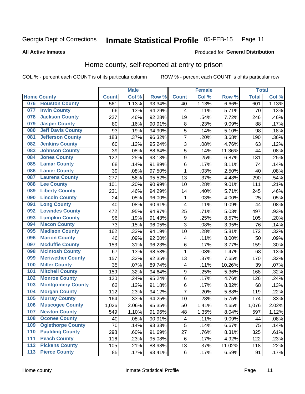#### Inmate Statistical Profile 05-FEB-15 Page 11

### **All Active Inmates**

# Produced for General Distribution

# Home county, self-reported at entry to prison

COL % - percent each COUNT is of its particular column

|                  |                          |              | <b>Male</b> |        |                  | <b>Female</b> |                  | <b>Total</b> |       |
|------------------|--------------------------|--------------|-------------|--------|------------------|---------------|------------------|--------------|-------|
|                  | <b>Home County</b>       | <b>Count</b> | Col %       | Row %  | <b>Count</b>     | Col %         | Row <sup>%</sup> | <b>Total</b> | Col % |
| 076              | <b>Houston County</b>    | 561          | 1.13%       | 93.34% | 40               | 1.13%         | 6.66%            | 601          | 1.13% |
| 077              | <b>Irwin County</b>      | 66           | .13%        | 94.29% | 4                | .11%          | 5.71%            | 70           | .13%  |
| 078              | <b>Jackson County</b>    | 227          | .46%        | 92.28% | 19               | .54%          | 7.72%            | 246          | .46%  |
| 079              | <b>Jasper County</b>     | 80           | .16%        | 90.91% | 8                | .23%          | 9.09%            | 88           | .17%  |
| 080              | <b>Jeff Davis County</b> | 93           | .19%        | 94.90% | 5                | .14%          | 5.10%            | 98           | .18%  |
| 081              | <b>Jefferson County</b>  | 183          | .37%        | 96.32% | $\overline{7}$   | .20%          | 3.68%            | 190          | .36%  |
| 082              | <b>Jenkins County</b>    | 60           | .12%        | 95.24% | $\overline{3}$   | .08%          | 4.76%            | 63           | .12%  |
| 083              | <b>Johnson County</b>    | 39           | .08%        | 88.64% | 5                | .14%          | 11.36%           | 44           | .08%  |
| 084              | <b>Jones County</b>      | 122          | .25%        | 93.13% | $\boldsymbol{9}$ | .25%          | 6.87%            | 131          | .25%  |
| 085              | <b>Lamar County</b>      | 68           | .14%        | 91.89% | $\overline{6}$   | .17%          | 8.11%            | 74           | .14%  |
| 086              | <b>Lanier County</b>     | 39           | .08%        | 97.50% | $\mathbf 1$      | .03%          | 2.50%            | 40           | .08%  |
| 087              | <b>Laurens County</b>    | 277          | .56%        | 95.52% | 13               | .37%          | 4.48%            | 290          | .54%  |
| 088              | <b>Lee County</b>        | 101          | .20%        | 90.99% | 10               | .28%          | 9.01%            | 111          | .21%  |
| 089              | <b>Liberty County</b>    | 231          | .46%        | 94.29% | 14               | .40%          | 5.71%            | 245          | .46%  |
| 090              | <b>Lincoln County</b>    | 24           | .05%        | 96.00% | 1                | .03%          | 4.00%            | 25           | .05%  |
| 091              | <b>Long County</b>       | 40           | .08%        | 90.91% | 4                | .11%          | 9.09%            | 44           | .08%  |
| 092              | <b>Lowndes County</b>    | 472          | .95%        | 94.97% | 25               | .71%          | 5.03%            | 497          | .93%  |
| 093              | <b>Lumpkin County</b>    | 96           | .19%        | 91.43% | $\boldsymbol{9}$ | .25%          | 8.57%            | 105          | .20%  |
| 094              | <b>Macon County</b>      | 73           | .15%        | 96.05% | $\overline{3}$   | .08%          | 3.95%            | 76           | .14%  |
| 095              | <b>Madison County</b>    | 162          | .33%        | 94.19% | 10               | .28%          | 5.81%            | 172          | .32%  |
| 096              | <b>Marion County</b>     | 46           | .09%        | 92.00% | 4                | .11%          | 8.00%            | 50           | .09%  |
| 097              | <b>Mcduffie County</b>   | 153          | .31%        | 96.23% | $\,6$            | .17%          | 3.77%            | 159          | .30%  |
| 098              | <b>Mcintosh County</b>   | 67           | .13%        | 98.53% | $\mathbf{1}$     | .03%          | 1.47%            | 68           | .13%  |
| 099              | <b>Meriwether County</b> | 157          | .32%        | 92.35% | 13               | .37%          | 7.65%            | 170          | .32%  |
| 100              | <b>Miller County</b>     | 35           | .07%        | 89.74% | 4                | .11%          | 10.26%           | 39           | .07%  |
| 101              | <b>Mitchell County</b>   | 159          | .32%        | 94.64% | $\boldsymbol{9}$ | .25%          | 5.36%            | 168          | .32%  |
| 102              | <b>Monroe County</b>     | 120          | .24%        | 95.24% | $\,6$            | .17%          | 4.76%            | 126          | .24%  |
| 103              | <b>Montgomery County</b> | 62           | .12%        | 91.18% | 6                | .17%          | 8.82%            | 68           | .13%  |
| 104              | <b>Morgan County</b>     | 112          | .23%        | 94.12% | $\overline{7}$   | .20%          | 5.88%            | 119          | .22%  |
| 105              | <b>Murray County</b>     | 164          | .33%        | 94.25% | 10               | .28%          | 5.75%            | 174          | .33%  |
| 106              | <b>Muscogee County</b>   | 1,026        | 2.06%       | 95.35% | 50               | 1.41%         | 4.65%            | 1,076        | 2.02% |
| 107              | <b>Newton County</b>     | 549          | 1.10%       | 91.96% | 48               | 1.35%         | 8.04%            | 597          | 1.12% |
| 108              | <b>Oconee County</b>     | 40           | .08%        | 90.91% | 4                | .11%          | 9.09%            | 44           | .08%  |
| 109              | <b>Oglethorpe County</b> | 70           | .14%        | 93.33% | 5                | .14%          | 6.67%            | 75           | .14%  |
| 110              | <b>Paulding County</b>   | 298          | .60%        | 91.69% | 27               | .76%          | 8.31%            | 325          | .61%  |
| 111              | <b>Peach County</b>      | 116          | .23%        | 95.08% | 6                | .17%          | 4.92%            | 122          | .23%  |
| $\overline{112}$ | <b>Pickens County</b>    | 105          | .21%        | 88.98% | $1\overline{3}$  | .37%          | 11.02%           | 118          | .22%  |
| 113              | <b>Pierce County</b>     | 85           | .17%        | 93.41% | $\,6$            | .17%          | 6.59%            | 91           | .17%  |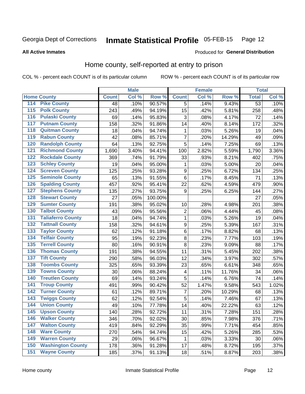#### Inmate Statistical Profile 05-FEB-15 Page 12

**All Active Inmates** 

### Produced for General Distribution

# Home county, self-reported at entry to prison

COL % - percent each COUNT is of its particular column

|                                 |              | <b>Male</b> |         |                  | <b>Female</b> |        | <b>Total</b>    |       |
|---------------------------------|--------------|-------------|---------|------------------|---------------|--------|-----------------|-------|
| <b>Home County</b>              | <b>Count</b> | Col %       | Row %   | <b>Count</b>     | Col %         | Row %  | <b>Total</b>    | Col % |
| 114<br><b>Pike County</b>       | 48           | .10%        | 90.57%  | 5                | .14%          | 9.43%  | $\overline{53}$ | .10%  |
| <b>Polk County</b><br>115       | 243          | .49%        | 94.19%  | 15               | .42%          | 5.81%  | 258             | .48%  |
| <b>Pulaski County</b><br>116    | 69           | .14%        | 95.83%  | 3                | .08%          | 4.17%  | 72              | .14%  |
| <b>Putnam County</b><br>117     | 158          | .32%        | 91.86%  | 14               | .40%          | 8.14%  | 172             | .32%  |
| 118<br><b>Quitman County</b>    | 18           | .04%        | 94.74%  | 1                | .03%          | 5.26%  | 19              | .04%  |
| <b>Rabun County</b><br>119      | 42           | .08%        | 85.71%  | $\overline{7}$   | .20%          | 14.29% | 49              | .09%  |
| <b>Randolph County</b><br>120   | 64           | .13%        | 92.75%  | 5                | .14%          | 7.25%  | 69              | .13%  |
| <b>Richmond County</b><br>121   | 1,690        | 3.40%       | 94.41%  | 100              | 2.82%         | 5.59%  | 1,790           | 3.36% |
| <b>Rockdale County</b><br>122   | 369          | .74%        | 91.79%  | 33               | .93%          | 8.21%  | 402             | .75%  |
| <b>Schley County</b><br>123     | 19           | .04%        | 95.00%  | 1                | .03%          | 5.00%  | 20              | .04%  |
| <b>Screven County</b><br>124    | 125          | .25%        | 93.28%  | $\boldsymbol{9}$ | .25%          | 6.72%  | 134             | .25%  |
| <b>Seminole County</b><br>125   | 65           | .13%        | 91.55%  | 6                | .17%          | 8.45%  | 71              | .13%  |
| <b>Spalding County</b><br>126   | 457          | .92%        | 95.41%  | 22               | .62%          | 4.59%  | 479             | .90%  |
| <b>Stephens County</b><br>127   | 135          | .27%        | 93.75%  | 9                | .25%          | 6.25%  | 144             | .27%  |
| <b>Stewart County</b><br>128    | 27           | .05%        | 100.00% |                  |               |        | 27              | .05%  |
| <b>Sumter County</b><br>129     | 191          | .38%        | 95.02%  | 10               | .28%          | 4.98%  | 201             | .38%  |
| <b>Talbot County</b><br>130     | 43           | .09%        | 95.56%  | 2                | .06%          | 4.44%  | 45              | .08%  |
| <b>Taliaferro County</b><br>131 | 18           | .04%        | 94.74%  | 1                | .03%          | 5.26%  | 19              | .04%  |
| <b>Tattnall County</b><br>132   | 158          | .32%        | 94.61%  | $\boldsymbol{9}$ | .25%          | 5.39%  | 167             | .31%  |
| <b>Taylor County</b><br>133     | 62           | .12%        | 91.18%  | 6                | .17%          | 8.82%  | 68              | .13%  |
| <b>Telfair County</b><br>134    | 95           | .19%        | 92.23%  | 8                | .23%          | 7.77%  | 103             | .19%  |
| <b>Terrell County</b><br>135    | 80           | .16%        | 90.91%  | 8                | .23%          | 9.09%  | 88              | .17%  |
| <b>Thomas County</b><br>136     | 191          | .38%        | 94.55%  | 11               | .31%          | 5.45%  | 202             | .38%  |
| <b>Tift County</b><br>137       | 290          | .58%        | 96.03%  | 12               | .34%          | 3.97%  | 302             | .57%  |
| <b>Toombs County</b><br>138     | 325          | .65%        | 93.39%  | 23               | .65%          | 6.61%  | 348             | .65%  |
| <b>Towns County</b><br>139      | 30           | .06%        | 88.24%  | 4                | .11%          | 11.76% | 34              | .06%  |
| <b>Treutlen County</b><br>140   | 69           | .14%        | 93.24%  | 5                | .14%          | 6.76%  | 74              | .14%  |
| <b>Troup County</b><br>141      | 491          | .99%        | 90.42%  | 52               | 1.47%         | 9.58%  | 543             | 1.02% |
| <b>Turner County</b><br>142     | 61           | .12%        | 89.71%  | 7                | .20%          | 10.29% | 68              | .13%  |
| <b>Twiggs County</b><br>143     | 62           | .12%        | 92.54%  | 5                | .14%          | 7.46%  | 67              | .13%  |
| <b>Union County</b><br>144      | 49           | .10%        | 77.78%  | 14               | .40%          | 22.22% | 63              | .12%  |
| 145<br><b>Upson County</b>      | 140          | .28%        | 92.72%  | 11               | .31%          | 7.28%  | 151             | .28%  |
| <b>Walker County</b><br>146     | 346          | .70%        | 92.02%  | 30               | .85%          | 7.98%  | 376             | .71%  |
| <b>Walton County</b><br>147     | 419          | .84%        | 92.29%  | 35               | .99%          | 7.71%  | 454             | .85%  |
| <b>Ware County</b><br>148       | 270          | .54%        | 94.74%  | 15               | .42%          | 5.26%  | 285             | .53%  |
| <b>Warren County</b><br>149     | 29           | .06%        | 96.67%  | 1                | .03%          | 3.33%  | 30              | .06%  |
| <b>Washington County</b><br>150 | 178          | .36%        | 91.28%  | 17               | .48%          | 8.72%  | 195             | .37%  |
| <b>Wayne County</b><br>151      | 185          | .37%        | 91.13%  | 18               | .51%          | 8.87%  | 203             | .38%  |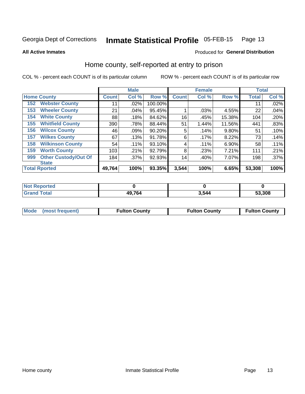#### Inmate Statistical Profile 05-FEB-15 Page 13

**All Active Inmates** 

### Produced for General Distribution

# Home county, self-reported at entry to prison

COL % - percent each COUNT is of its particular column

|     |                             |              | <b>Male</b> |         |              | <b>Female</b> |          | <b>Total</b> |         |
|-----|-----------------------------|--------------|-------------|---------|--------------|---------------|----------|--------------|---------|
|     | <b>Home County</b>          | <b>Count</b> | Col %       | Row %   | <b>Count</b> | Col %         | Row %    | <b>Total</b> | Col %   |
| 152 | <b>Webster County</b>       | 11           | .02%        | 100.00% |              |               |          | 11           | .02%    |
| 153 | <b>Wheeler County</b>       | 21           | .04%        | 95.45%  |              | .03%          | 4.55%    | 22           | .04%    |
| 154 | <b>White County</b>         | 88           | .18%        | 84.62%  | 16           | .45%          | 15.38%   | 104          | .20%    |
| 155 | <b>Whitfield County</b>     | 390          | .78%        | 88.44%  | 51           | 1.44%         | 11.56%   | 441          | .83%    |
| 156 | <b>Wilcox County</b>        | 46           | .09%        | 90.20%  | 5            | .14%          | $9.80\%$ | 51           | .10%    |
| 157 | <b>Wilkes County</b>        | 67           | .13%        | 91.78%  | 6            | .17%          | 8.22%    | 73           | .14%    |
| 158 | <b>Wilkinson County</b>     | 54           | .11%        | 93.10%  | 4            | .11%          | 6.90%    | 58           | .11%    |
| 159 | <b>Worth County</b>         | 103          | .21%        | 92.79%  | 8            | .23%          | 7.21%    | 111          | .21%    |
| 999 | <b>Other Custody/Out Of</b> | 184          | .37%        | 92.93%  | 14           | .40%          | 7.07%    | 198          | $.37\%$ |
|     | <b>State</b>                |              |             |         |              |               |          |              |         |
|     | <b>Total Rported</b>        | 49,764       | 100%        | 93.35%  | 3,544        | 100%          | 6.65%    | 53,308       | 100%    |

| Reported<br>NOI |        |       |        |
|-----------------|--------|-------|--------|
| <b>c</b> otal   | 49,764 | 544،د | 53,308 |

|  | Mode (most frequent) | <b>Fulton County</b> | <b>Fulton County</b> | <b>Fulton County</b> |
|--|----------------------|----------------------|----------------------|----------------------|
|--|----------------------|----------------------|----------------------|----------------------|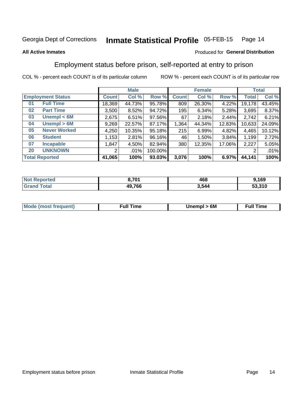#### **Inmate Statistical Profile 05-FEB-15** Page 14

### **All Active Inmates**

# Produced for General Distribution

# Employment status before prison, self-reported at entry to prison

COL % - percent each COUNT is of its particular column

|                                    |              | <b>Male</b> |         |              | <b>Female</b> |        |        | <b>Total</b> |
|------------------------------------|--------------|-------------|---------|--------------|---------------|--------|--------|--------------|
| <b>Employment Status</b>           | <b>Count</b> | Col %       | Row %   | <b>Count</b> | Col %         | Row %  | Total  | Col %        |
| <b>Full Time</b><br>0 <sub>1</sub> | 18,369       | 44.73%      | 95.78%  | 809          | 26.30%        | 4.22%  | 19,178 | 43.45%       |
| <b>Part Time</b><br>02             | 3,500        | 8.52%       | 94.72%  | 195          | 6.34%         | 5.28%  | 3,695  | 8.37%        |
| Unempl $<$ 6M<br>03                | 2,675        | 6.51%       | 97.56%  | 67           | 2.18%         | 2.44%  | 2,742  | 6.21%        |
| Unempl > 6M<br>04                  | 9,269        | 22.57%      | 87.17%  | 1,364        | 44.34%        | 12.83% | 10,633 | 24.09%       |
| <b>Never Worked</b><br>05          | 4,250        | 10.35%      | 95.18%  | 215          | 6.99%         | 4.82%  | 4,465  | 10.12%       |
| <b>Student</b><br>06               | 1,153        | 2.81%       | 96.16%  | 46           | 1.50%         | 3.84%  | 1,199  | 2.72%        |
| <b>Incapable</b><br>07             | 1,847        | 4.50%       | 82.94%  | 380          | 12.35%        | 17.06% | 2,227  | 5.05%        |
| <b>UNKNOWN</b><br>20               | 2            | .01%        | 100.00% |              |               |        | 2      | .01%         |
| <b>Total Reported</b>              | 41,065       | 100%        | 93.03%  | 3,076        | 100%          | 6.97%  | 44,141 | 100%         |

| <b>Not Reported</b> | 8,701  | 468   | 9,169  |
|---------------------|--------|-------|--------|
| <b>Grand Total</b>  | 49,766 | 3,544 | 53,310 |

| <b>Mode (most frequent)</b> | 6M<br><b>Jnempl</b> | <b>Full Time</b> |
|-----------------------------|---------------------|------------------|
|                             |                     |                  |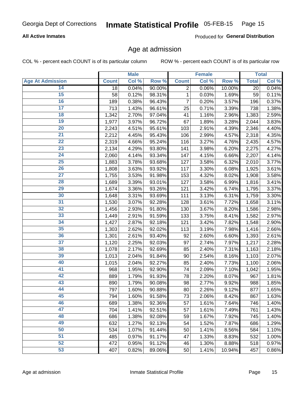## **All Active Inmates**

Produced for General Distribution

# Age at admission

COL % - percent each COUNT is of its particular column

|                         |              | <b>Male</b> |        |                | <b>Female</b> |        |              | <b>Total</b> |
|-------------------------|--------------|-------------|--------|----------------|---------------|--------|--------------|--------------|
| <b>Age At Admission</b> | <b>Count</b> | Col %       | Row %  | <b>Count</b>   | Col %         | Row %  | <b>Total</b> | Col %        |
| 14                      | 18           | 0.04%       | 90.00% | $\overline{2}$ | 0.06%         | 10.00% | 20           | 0.04%        |
| 15                      | 58           | 0.12%       | 98.31% | 1              | 0.03%         | 1.69%  | 59           | 0.11%        |
| 16                      | 189          | 0.38%       | 96.43% | 7              | 0.20%         | 3.57%  | 196          | 0.37%        |
| $\overline{17}$         | 713          | 1.43%       | 96.61% | 25             | 0.71%         | 3.39%  | 738          | 1.38%        |
| $\overline{18}$         | 1,342        | 2.70%       | 97.04% | 41             | 1.16%         | 2.96%  | 1,383        | 2.59%        |
| 19                      | 1,977        | 3.97%       | 96.72% | 67             | 1.89%         | 3.28%  | 2,044        | 3.83%        |
| 20                      | 2,243        | 4.51%       | 95.61% | 103            | 2.91%         | 4.39%  | 2,346        | 4.40%        |
| $\overline{21}$         | 2,212        | 4.45%       | 95.43% | 106            | 2.99%         | 4.57%  | 2,318        | 4.35%        |
| $\overline{22}$         | 2,319        | 4.66%       | 95.24% | 116            | 3.27%         | 4.76%  | 2,435        | 4.57%        |
| 23                      | 2,134        | 4.29%       | 93.80% | 141            | 3.98%         | 6.20%  | 2,275        | 4.27%        |
| 24                      | 2,060        | 4.14%       | 93.34% | 147            | 4.15%         | 6.66%  | 2,207        | 4.14%        |
| $\overline{25}$         | 1,883        | 3.78%       | 93.68% | 127            | 3.58%         | 6.32%  | 2,010        | 3.77%        |
| $\overline{26}$         | 1,808        | 3.63%       | 93.92% | 117            | 3.30%         | 6.08%  | 1,925        | 3.61%        |
| $\overline{27}$         | 1,755        | 3.53%       | 91.98% | 153            | 4.32%         | 8.02%  | 1,908        | 3.58%        |
| 28                      | 1,689        | 3.39%       | 93.01% | 127            | 3.58%         | 6.99%  | 1,816        | 3.41%        |
| 29                      | 1,674        | 3.36%       | 93.26% | 121            | 3.42%         | 6.74%  | 1,795        | 3.37%        |
| 30                      | 1,648        | 3.31%       | 93.69% | 111            | 3.13%         | 6.31%  | 1,759        | 3.30%        |
| 31                      | 1,530        | 3.07%       | 92.28% | 128            | 3.61%         | 7.72%  | 1,658        | 3.11%        |
| 32                      | 1,456        | 2.93%       | 91.80% | 130            | 3.67%         | 8.20%  | 1,586        | 2.98%        |
| 33                      | 1,449        | 2.91%       | 91.59% | 133            | 3.75%         | 8.41%  | 1,582        | 2.97%        |
| 34                      | 1,427        | 2.87%       | 92.18% | 121            | 3.42%         | 7.82%  | 1,548        | 2.90%        |
| 35                      | 1,303        | 2.62%       | 92.02% | 113            | 3.19%         | 7.98%  | 1,416        | 2.66%        |
| 36                      | 1,301        | 2.61%       | 93.40% | 92             | 2.60%         | 6.60%  | 1,393        | 2.61%        |
| $\overline{37}$         | 1,120        | 2.25%       | 92.03% | 97             | 2.74%         | 7.97%  | 1,217        | 2.28%        |
| 38                      | 1,078        | 2.17%       | 92.69% | 85             | 2.40%         | 7.31%  | 1,163        | 2.18%        |
| 39                      | 1,013        | 2.04%       | 91.84% | 90             | 2.54%         | 8.16%  | 1,103        | 2.07%        |
| 40                      | 1,015        | 2.04%       | 92.27% | 85             | 2.40%         | 7.73%  | 1,100        | 2.06%        |
| 41                      | 968          | 1.95%       | 92.90% | 74             | 2.09%         | 7.10%  | 1,042        | 1.95%        |
| 42                      | 889          | 1.79%       | 91.93% | 78             | 2.20%         | 8.07%  | 967          | 1.81%        |
| 43                      | 890          | 1.79%       | 90.08% | 98             | 2.77%         | 9.92%  | 988          | 1.85%        |
| 44                      | 797          | 1.60%       | 90.88% | 80             | 2.26%         | 9.12%  | 877          | 1.65%        |
| 45                      | 794          | 1.60%       | 91.58% | 73             | 2.06%         | 8.42%  | 867          | 1.63%        |
| 46                      | 689          | 1.38%       | 92.36% | 57             | 1.61%         | 7.64%  | 746          | 1.40%        |
| 47                      | 704          | 1.41%       | 92.51% | 57             | 1.61%         | 7.49%  | 761          | 1.43%        |
| 48                      | 686          | 1.38%       | 92.08% | 59             | 1.67%         | 7.92%  | 745          | 1.40%        |
| 49                      | 632          | 1.27%       | 92.13% | 54             | 1.52%         | 7.87%  | 686          | 1.29%        |
| 50                      | 534          | 1.07%       | 91.44% | 50             | 1.41%         | 8.56%  | 584          | 1.10%        |
| 51                      | 485          | 0.97%       | 91.17% | 47             | 1.33%         | 8.83%  | 532          | 1.00%        |
| 52                      | 472          | 0.95%       | 91.12% | 46             | 1.30%         | 8.88%  | 518          | 0.97%        |
| 53                      | 407          | 0.82%       | 89.06% | 50             | 1.41%         | 10.94% | 457          | 0.86%        |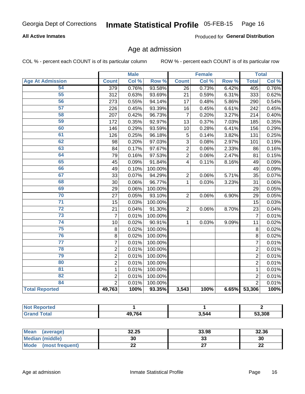## **All Active Inmates**

Produced for General Distribution

# Age at admission

COL % - percent each COUNT is of its particular column

|                         |                  | <b>Male</b> |         |                         | <b>Female</b> |       |                | <b>Total</b> |
|-------------------------|------------------|-------------|---------|-------------------------|---------------|-------|----------------|--------------|
| <b>Age At Admission</b> | <b>Count</b>     | Col %       | Row %   | <b>Count</b>            | Col %         | Row % | <b>Total</b>   | Col %        |
| 54                      | $\overline{379}$ | 0.76%       | 93.58%  | $\overline{26}$         | 0.73%         | 6.42% | 405            | 0.76%        |
| 55                      | 312              | 0.63%       | 93.69%  | 21                      | 0.59%         | 6.31% | 333            | 0.62%        |
| 56                      | 273              | 0.55%       | 94.14%  | 17                      | 0.48%         | 5.86% | 290            | 0.54%        |
| 57                      | 226              | 0.45%       | 93.39%  | 16                      | 0.45%         | 6.61% | 242            | 0.45%        |
| 58                      | 207              | 0.42%       | 96.73%  | $\overline{7}$          | 0.20%         | 3.27% | 214            | 0.40%        |
| 59                      | 172              | 0.35%       | 92.97%  | 13                      | 0.37%         | 7.03% | 185            | 0.35%        |
| 60                      | 146              | 0.29%       | 93.59%  | 10                      | 0.28%         | 6.41% | 156            | 0.29%        |
| 61                      | 126              | 0.25%       | 96.18%  | 5                       | 0.14%         | 3.82% | 131            | 0.25%        |
| 62                      | 98               | 0.20%       | 97.03%  | 3                       | 0.08%         | 2.97% | 101            | 0.19%        |
| 63                      | 84               | 0.17%       | 97.67%  | $\overline{2}$          | 0.06%         | 2.33% | 86             | 0.16%        |
| 64                      | 79               | 0.16%       | 97.53%  | $\overline{2}$          | 0.06%         | 2.47% | 81             | 0.15%        |
| 65                      | 45               | 0.09%       | 91.84%  | $\overline{\mathbf{4}}$ | 0.11%         | 8.16% | 49             | 0.09%        |
| 66                      | 49               | 0.10%       | 100.00% |                         |               |       | 49             | 0.09%        |
| 67                      | 33               | 0.07%       | 94.29%  | $\overline{2}$          | 0.06%         | 5.71% | 35             | 0.07%        |
| 68                      | 30               | 0.06%       | 96.77%  | 1                       | 0.03%         | 3.23% | 31             | 0.06%        |
| 69                      | 29               | 0.06%       | 100.00% |                         |               |       | 29             | 0.05%        |
| 70                      | 27               | 0.05%       | 93.10%  | $\overline{2}$          | 0.06%         | 6.90% | 29             | 0.05%        |
| $\overline{71}$         | 15               | 0.03%       | 100.00% |                         |               |       | 15             | 0.03%        |
| $\overline{72}$         | 21               | 0.04%       | 91.30%  | $\overline{2}$          | 0.06%         | 8.70% | 23             | 0.04%        |
| 73                      | $\overline{7}$   | 0.01%       | 100.00% |                         |               |       | $\overline{7}$ | 0.01%        |
| 74                      | 10               | 0.02%       | 90.91%  | 1                       | 0.03%         | 9.09% | 11             | 0.02%        |
| $\overline{75}$         | 8                | 0.02%       | 100.00% |                         |               |       | 8              | 0.02%        |
| 76                      | 8                | 0.02%       | 100.00% |                         |               |       | 8              | 0.02%        |
| $\overline{77}$         | $\overline{7}$   | 0.01%       | 100.00% |                         |               |       | $\overline{7}$ | 0.01%        |
| 78                      | $\mathbf 2$      | 0.01%       | 100.00% |                         |               |       | $\overline{2}$ | 0.01%        |
| 79                      | $\overline{2}$   | 0.01%       | 100.00% |                         |               |       | $\overline{2}$ | 0.01%        |
| 80                      | $\overline{2}$   | 0.01%       | 100.00% |                         |               |       | $\overline{2}$ | 0.01%        |
| 81                      | $\mathbf{1}$     | 0.01%       | 100.00% |                         |               |       | $\mathbf{1}$   | 0.01%        |
| $\overline{82}$         | $\overline{2}$   | 0.01%       | 100.00% |                         |               |       | $\overline{2}$ | 0.01%        |
| 84                      | $\overline{2}$   | 0.01%       | 100.00% |                         |               |       | $\overline{2}$ | 0.01%        |
| <b>Total Reported</b>   | 49,763           | 100%        | 93.35%  | 3,543                   | 100%          | 6.65% | 53,306         | 100%         |

| <b>Not Reported</b> |        |       |        |
|---------------------|--------|-------|--------|
| <b>Grand Total</b>  | 49,764 | 3,544 | 53,308 |

| <b>Mean</b><br>(average) | 32.25 | 33.98   | 32.36    |
|--------------------------|-------|---------|----------|
| Median (middle)          | 30    | ົ<br>აა | 30       |
| Mode<br>(most frequent)  | ∸∸    | ^7      | n,<br>LL |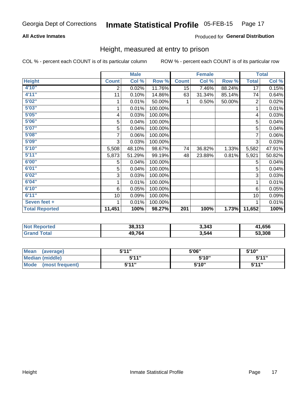## **All Active Inmates**

### Produced for General Distribution

# Height, measured at entry to prison

COL % - percent each COUNT is of its particular column

|                       |              | <b>Male</b> |         |              | <b>Female</b> |        |                | <b>Total</b> |
|-----------------------|--------------|-------------|---------|--------------|---------------|--------|----------------|--------------|
| <b>Height</b>         | <b>Count</b> | Col %       | Row %   | <b>Count</b> | Col %         | Row %  | <b>Total</b>   | Col %        |
| 4'10"                 | 2            | 0.02%       | 11.76%  | 15           | 7.46%         | 88.24% | 17             | 0.15%        |
| 4'11''                | 11           | 0.10%       | 14.86%  | 63           | 31.34%        | 85.14% | 74             | 0.64%        |
| 5'02''                | 1            | 0.01%       | 50.00%  | 1.           | 0.50%         | 50.00% | $\overline{2}$ | 0.02%        |
| 5'03''                |              | 0.01%       | 100.00% |              |               |        |                | 0.01%        |
| 5'05''                | 4            | 0.03%       | 100.00% |              |               |        | 4              | 0.03%        |
| 5'06"                 | 5            | 0.04%       | 100.00% |              |               |        | 5              | 0.04%        |
| 5'07''                | 5            | 0.04%       | 100.00% |              |               |        | 5              | 0.04%        |
| 5'08''                | 7            | 0.06%       | 100.00% |              |               |        | 7              | $0.06\%$     |
| 5'09''                | 3            | 0.03%       | 100.00% |              |               |        | 3              | 0.03%        |
| 5'10''                | 5,508        | 48.10%      | 98.67%  | 74           | 36.82%        | 1.33%  | 5,582          | 47.91%       |
| 5'11''                | 5,873        | 51.29%      | 99.19%  | 48           | 23.88%        | 0.81%  | 5,921          | 50.82%       |
| 6'00''                | 5            | 0.04%       | 100.00% |              |               |        | 5              | 0.04%        |
| 6'01''                | 5            | 0.04%       | 100.00% |              |               |        | 5              | 0.04%        |
| 6'02''                | 3            | 0.03%       | 100.00% |              |               |        | 3              | 0.03%        |
| 6'04"                 | 1            | 0.01%       | 100.00% |              |               |        | 1              | 0.01%        |
| 6'10''                | 6            | 0.05%       | 100.00% |              |               |        | 6              | 0.05%        |
| 6'11''                | 10           | 0.09%       | 100.00% |              |               |        | 10             | 0.09%        |
| Seven feet +          |              | 0.01%       | 100.00% |              |               |        |                | 0.01%        |
| <b>Total Reported</b> | 11,451       | 100%        | 98.27%  | 201          | 100%          | 1.73%  | 11,652         | 100%         |

| <b>rtec</b><br>NI. | 38.313 | 3,343 | 11,656 |
|--------------------|--------|-------|--------|
|                    | 49,764 | 3,544 | 53,308 |

| Mean<br>(average)       | <b>5'44"</b> | 5'06" | 5'10"        |
|-------------------------|--------------|-------|--------------|
| Median (middle)         | 5'11"        | 5'10" | 5'11"        |
| Mode<br>(most frequent) | 544"         | 5'10" | <b>5'11"</b> |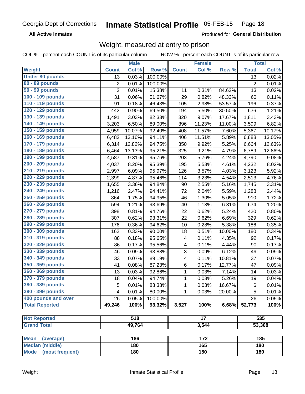**All Active Inmates** 

Produced for General Distribution

# Weight, measured at entry to prison

COL % - percent each COUNT is of its particular column

|                          |                | <b>Male</b>      |         |              | <b>Female</b>   |        |                | <b>Total</b> |
|--------------------------|----------------|------------------|---------|--------------|-----------------|--------|----------------|--------------|
| Weight                   | <b>Count</b>   | Col %            | Row %   | <b>Count</b> | Col %           | Row %  | <b>Total</b>   | Col %        |
| <b>Under 80 pounds</b>   | 13             | 0.03%            | 100.00% |              |                 |        | 13             | 0.02%        |
| 80 - 89 pounds           | $\overline{c}$ | 0.01%            | 100.00% |              |                 |        | $\overline{2}$ | 0.01%        |
| 90 - 99 pounds           | $\overline{2}$ | 0.01%            | 15.38%  | 11           | 0.31%           | 84.62% | 13             | 0.02%        |
| 100 - 109 pounds         | 31             | 0.06%            | 51.67%  | 29           | 0.82%           | 48.33% | 60             | 0.11%        |
| 110 - 119 pounds         | 91             | 0.18%            | 46.43%  | 105          | 2.98%           | 53.57% | 196            | 0.37%        |
| 120 - 129 pounds         | 442            | 0.90%            | 69.50%  | 194          | 5.50%           | 30.50% | 636            | 1.21%        |
| 130 - 139 pounds         | 1,491          | 3.03%            | 82.33%  | 320          | 9.07%           | 17.67% | 1,811          | 3.43%        |
| 140 - 149 pounds         | 3,203          | 6.50%            | 89.00%  | 396          | 11.23%          | 11.00% | 3,599          | 6.82%        |
| 150 - 159 pounds         | 4,959          | 10.07%           | 92.40%  | 408          | 11.57%          | 7.60%  | 5,367          | 10.17%       |
| 160 - 169 pounds         | 6,482          | 13.16%           | 94.11%  | 406          | 11.51%          | 5.89%  | 6,888          | 13.05%       |
| 170 - 179 pounds         | 6,314          | 12.82%           | 94.75%  | 350          | 9.92%           | 5.25%  | 6,664          | 12.63%       |
| 180 - 189 pounds         | 6,464          | 13.13%           | 95.21%  | 325          | 9.21%           | 4.79%  | 6,789          | 12.86%       |
| 190 - 199 pounds         | 4,587          | 9.31%            | 95.76%  | 203          | 5.76%           | 4.24%  | 4,790          | 9.08%        |
| 200 - 209 pounds         | 4,037          | 8.20%            | 95.39%  | 195          | 5.53%           | 4.61%  | 4,232          | 8.02%        |
| 210 - 219 pounds         | 2,997          | 6.09%            | 95.97%  | 126          | 3.57%           | 4.03%  | 3,123          | 5.92%        |
| 220 - 229 pounds         | 2,399          | 4.87%            | 95.46%  | 114          | 3.23%           | 4.54%  | 2,513          | 4.76%        |
| 230 - 239 pounds         | 1,655          | 3.36%            | 94.84%  | 90           | 2.55%           | 5.16%  | 1,745          | 3.31%        |
| 240 - 249 pounds         | 1,216          | 2.47%            | 94.41%  | 72           | 2.04%           | 5.59%  | 1,288          | 2.44%        |
| 250 - 259 pounds         | 864            | 1.75%            | 94.95%  | 46           | 1.30%           | 5.05%  | 910            | 1.72%        |
| 260 - 269 pounds         | 594            | 1.21%            | 93.69%  | 40           | 1.13%           | 6.31%  | 634            | 1.20%        |
| 270 - 279 pounds         | 398            | 0.81%            | 94.76%  | 22           | 0.62%           | 5.24%  | 420            | 0.80%        |
| 280 - 289 pounds         | 307            | 0.62%            | 93.31%  | 22           | 0.62%           | 6.69%  | 329            | 0.62%        |
| 290 - 299 pounds         | 176            | 0.36%            | 94.62%  | 10           | 0.28%           | 5.38%  | 186            | 0.35%        |
| 300 - 309 pounds         | 162            | 0.33%            | 90.00%  | 18           | 0.51%           | 10.00% | 180            | 0.34%        |
| 310 - 319 pounds         | 88             | 0.18%            | 95.65%  | 4            | 0.11%           | 4.35%  | 92             | 0.17%        |
| 320 - 329 pounds         | 86             | 0.17%            | 95.56%  | 4            | 0.11%           | 4.44%  | 90             | 0.17%        |
| 330 - 339 pounds         | 46             | 0.09%            | 93.88%  | 3            | 0.09%           | 6.12%  | 49             | 0.09%        |
| 340 - 349 pounds         | 33             | 0.07%            | 89.19%  | 4            | 0.11%           | 10.81% | 37             | 0.07%        |
| 350 - 359 pounds         | 41             | 0.08%            | 87.23%  | 6            | 0.17%           | 12.77% | 47             | 0.09%        |
| 360 - 369 pounds         | 13             | 0.03%            | 92.86%  | 1            | 0.03%           | 7.14%  | 14             | 0.03%        |
| 370 - 379 pounds         | 18             | 0.04%            | 94.74%  | $\mathbf{1}$ | 0.03%           | 5.26%  | 19             | 0.04%        |
| 380 - 389 pounds         | 5              | 0.01%            | 83.33%  | 1            | 0.03%           | 16.67% | 6              | 0.01%        |
| 390 - 399 pounds         | 4              | 0.01%            | 80.00%  | 1            | 0.03%           | 20.00% | 5              | 0.01%        |
| 400 pounds and over      | 26             | 0.05%            | 100.00% |              |                 |        | 26             | 0.05%        |
| <b>Total Reported</b>    | 49,246         | 100%             | 93.32%  | 3,527        | 100%            | 6.68%  | 52,773         | 100%         |
|                          |                |                  |         |              |                 |        |                |              |
| <b>Not Reported</b>      |                | $\overline{518}$ |         |              | $\overline{17}$ |        |                | 535          |
| <b>Grand Total</b>       |                | 49,764           |         |              | 3,544           |        |                | 53,308       |
|                          |                |                  |         |              |                 |        |                |              |
| <b>Mean</b><br>(average) |                | 186              |         |              | 172             |        |                | 185          |
| <b>Median (middle)</b>   |                | 180              |         |              | 165             |        |                | 180          |
| Mode (most frequent)     |                | 180              |         |              | 150             |        |                | 180          |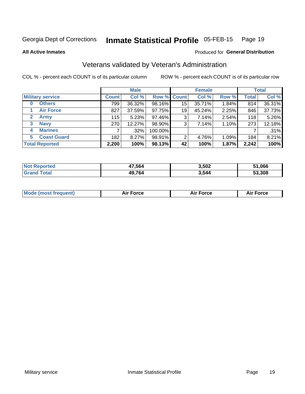#### Inmate Statistical Profile 05-FEB-15 Page 19

Produced for General Distribution

### **All Active Inmates**

# Veterans validated by Veteran's Administration

COL % - percent each COUNT is of its particular column

|                             | <b>Male</b>  |        |             | <b>Female</b> |        |       | <b>Total</b> |        |
|-----------------------------|--------------|--------|-------------|---------------|--------|-------|--------------|--------|
| <b>Military service</b>     | <b>Count</b> | Col %  | Row % Count |               | Col %  | Row % | <b>Total</b> | Col %  |
| <b>Others</b><br>0          | 799          | 36.32% | 98.16%      | 15            | 35.71% | 1.84% | 814          | 36.31% |
| <b>Air Force</b>            | 827          | 37.59% | 97.75%      | 19            | 45.24% | 2.25% | 846          | 37.73% |
| $\mathbf{2}$<br><b>Army</b> | 115          | 5.23%  | 97.46%      | 3             | 7.14%  | 2.54% | 118          | 5.26%  |
| <b>Navy</b><br>3            | 270          | 12.27% | 98.90%      | 3             | 7.14%  | 1.10% | 273          | 12.18% |
| <b>Marines</b><br>4         |              | .32%   | 100.00%     |               |        |       |              | .31%   |
| <b>Coast Guard</b><br>5.    | 182          | 8.27%  | 98.91%      | 2             | 4.76%  | 1.09% | 184          | 8.21%  |
| <b>Total Reported</b>       | 2,200        | 100%   | 98.13%      | 42            | 100%   | 1.87% | 2,242        | 100%   |

| <b>Not</b><br>Reported | 17.564 | 3,502 | 51,066 |
|------------------------|--------|-------|--------|
| ⊺otai                  | 49,764 | 3,544 | 53,308 |

| <b>Mode (most frequent)</b> | <b>Force</b> | ™∩rra | <b>Force</b><br>- |
|-----------------------------|--------------|-------|-------------------|
|                             |              |       |                   |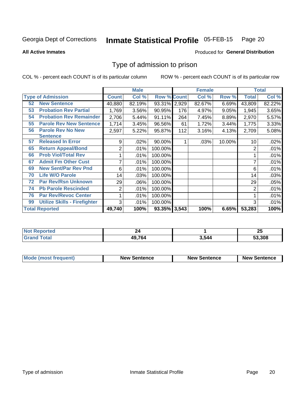#### **Inmate Statistical Profile 05-FEB-15** Page 20

**All Active Inmates** 

## **Produced for General Distribution**

# Type of admission to prison

COL % - percent each COUNT is of its particular column

|                                           |                | <b>Male</b> |                    |     | <b>Female</b> |        | <b>Total</b> |        |
|-------------------------------------------|----------------|-------------|--------------------|-----|---------------|--------|--------------|--------|
| <b>Type of Admission</b>                  | <b>Count</b>   | Col %       | <b>Row % Count</b> |     | Col %         | Row %  | <b>Total</b> | Col %  |
| <b>New Sentence</b><br>52                 | 40,880         | 82.19%      | 93.31% 2,929       |     | 82.67%        | 6.69%  | 43,809       | 82.22% |
| <b>Probation Rev Partial</b><br>53        | 1,769          | 3.56%       | 90.95%             | 176 | 4.97%         | 9.05%  | 1,945        | 3.65%  |
| <b>Probation Rev Remainder</b><br>54      | 2,706          | 5.44%       | 91.11%             | 264 | 7.45%         | 8.89%  | 2,970        | 5.57%  |
| <b>Parole Rev New Sentence</b><br>55      | 1,714          | 3.45%       | 96.56%             | 61  | 1.72%         | 3.44%  | 1,775        | 3.33%  |
| 56<br><b>Parole Rev No New</b>            | 2,597          | 5.22%       | 95.87%             | 112 | 3.16%         | 4.13%  | 2,709        | 5.08%  |
| Sentence                                  |                |             |                    |     |               |        |              |        |
| 57<br><b>Released In Error</b>            | 9              | .02%        | 90.00%             |     | .03%          | 10.00% | 10           | .02%   |
| <b>Return Appeal/Bond</b><br>65           | $\overline{2}$ | .01%        | 100.00%            |     |               |        | 2            | .01%   |
| <b>Prob Viol/Total Rev</b><br>66          |                | .01%        | 100.00%            |     |               |        |              | .01%   |
| <b>Admit Fm Other Cust</b><br>67          | 7              | .01%        | 100.00%            |     |               |        | 7            | .01%   |
| <b>New Sent/Par Rev Pnd</b><br>69         | 6              | .01%        | 100.00%            |     |               |        | 6            | .01%   |
| <b>Life W/O Parole</b><br>70              | 14             | .03%        | 100.00%            |     |               |        | 14           | .03%   |
| <b>Par Rev/Rsn Unknown</b><br>72          | 29             | .06%        | 100.00%            |     |               |        | 29           | .05%   |
| <b>Pb Parole Rescinded</b><br>74          | 2              | .01%        | 100.00%            |     |               |        | 2            | .01%   |
| <b>Par Rev/Revoc Center</b><br>76         |                | .01%        | 100.00%            |     |               |        |              | .01%   |
| <b>Utilize Skills - Firefighter</b><br>99 | 3              | .01%        | 100.00%            |     |               |        | 3            | .01%   |
| <b>Total Reported</b>                     | 49,740         | 100%        | 93.35% 3,543       |     | 100%          | 6.65%  | 53,283       | 100%   |

| <b>Not</b><br>ported |        |       | יפ<br>ΔJ |
|----------------------|--------|-------|----------|
| `∩tal                | 49 76/ | 3.544 | 53.308   |

| <b>Mode (most frequent)</b> | <b>New Sentence</b> | <b>New Sentence</b> | <b>New Sentence</b> |
|-----------------------------|---------------------|---------------------|---------------------|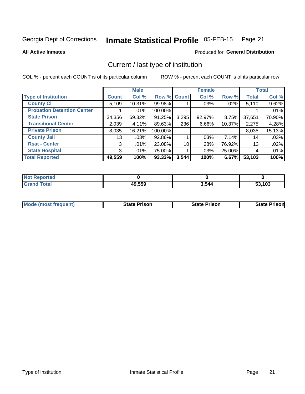#### Inmate Statistical Profile 05-FEB-15 Page 21

### **All Active Inmates**

# Produced for General Distribution

# Current / last type of institution

COL % - percent each COUNT is of its particular column

|                                   |                | <b>Male</b> |             |       | <b>Female</b> |        |              | <b>Total</b> |
|-----------------------------------|----------------|-------------|-------------|-------|---------------|--------|--------------|--------------|
| <b>Type of Institution</b>        | <b>Count</b>   | Col %       | Row % Count |       | Col %         | Row %  | <b>Total</b> | Col %        |
| <b>County Ci</b>                  | 5,109          | 10.31%      | 99.98%      |       | .03%          | .02%   | 5,110        | 9.62%        |
| <b>Probation Detention Center</b> |                | .01%        | 100.00%     |       |               |        |              | .01%         |
| <b>State Prison</b>               | 34,356         | 69.32%      | 91.25%      | 3,295 | 92.97%        | 8.75%  | 37,651       | 70.90%       |
| <b>Transitional Center</b>        | 2,039          | $4.11\%$    | 89.63%      | 236   | 6.66%         | 10.37% | 2,275        | 4.28%        |
| <b>Private Prison</b>             | 8,035          | 16.21%      | 100.00%     |       |               |        | 8,035        | 15.13%       |
| <b>County Jail</b>                | 131            | .03%        | 92.86%      |       | $.03\%$       | 7.14%  | 14           | .03%         |
| <b>Rsat - Center</b>              | 3 <sup>1</sup> | $.01\%$     | 23.08%      | 10    | .28%          | 76.92% | 13           | .02%         |
| <b>State Hospital</b>             | 3 <sup>1</sup> | .01%        | 75.00%      |       | .03%          | 25.00% | 4            | .01%         |
| <b>Total Reported</b>             | 49,559         | 100%        | 93.33%      | 3,544 | 100%          | 6.67%  | 53,103       | 100%         |

| <b>Not</b><br>Reported |        |       |                     |
|------------------------|--------|-------|---------------------|
| <b>Total</b>           | 49,559 | 3,544 | <b>3,103</b><br>эə. |

| <b>Mode (most frequent)</b> | <b>State Prison</b> | <b>State Prison</b> | <b>State Prisonl</b> |
|-----------------------------|---------------------|---------------------|----------------------|
|                             |                     |                     |                      |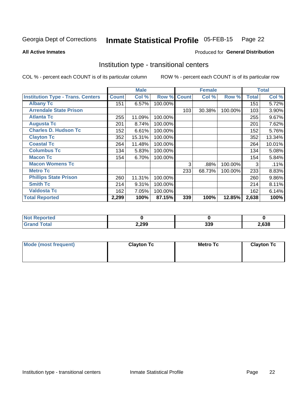#### Inmate Statistical Profile 05-FEB-15 Page 22

Produced for General Distribution

### **All Active Inmates**

# Institution type - transitional centers

COL % - percent each COUNT is of its particular column

|                                          | <b>Male</b><br><b>Female</b> |        |         |              | <b>Total</b> |         |              |          |
|------------------------------------------|------------------------------|--------|---------|--------------|--------------|---------|--------------|----------|
| <b>Institution Type - Trans. Centers</b> | <b>Count</b>                 | Col %  | Row %   | <b>Count</b> | Col %        | Row %   | <b>Total</b> | Col %    |
| <b>Albany Tc</b>                         | 151                          | 6.57%  | 100.00% |              |              |         | 151          | 5.72%    |
| <b>Arrendale State Prison</b>            |                              |        |         | 103          | 30.38%       | 100.00% | 103          | 3.90%    |
| <b>Atlanta Tc</b>                        | 255                          | 11.09% | 100.00% |              |              |         | 255          | 9.67%    |
| <b>Augusta Tc</b>                        | 201                          | 8.74%  | 100.00% |              |              |         | 201          | 7.62%    |
| <b>Charles D. Hudson Tc</b>              | 152                          | 6.61%  | 100.00% |              |              |         | 152          | 5.76%    |
| <b>Clayton Tc</b>                        | 352                          | 15.31% | 100.00% |              |              |         | 352          | 13.34%   |
| <b>Coastal Tc</b>                        | 264                          | 11.48% | 100.00% |              |              |         | 264          | 10.01%   |
| <b>Columbus Tc</b>                       | 134                          | 5.83%  | 100.00% |              |              |         | 134          | 5.08%    |
| <b>Macon Tc</b>                          | 154                          | 6.70%  | 100.00% |              |              |         | 154          | 5.84%    |
| <b>Macon Womens Tc</b>                   |                              |        |         | 3            | .88%         | 100.00% | 3            | .11%     |
| <b>Metro Tc</b>                          |                              |        |         | 233          | 68.73%       | 100.00% | 233          | 8.83%    |
| <b>Phillips State Prison</b>             | 260                          | 11.31% | 100.00% |              |              |         | 260          | $9.86\%$ |
| <b>Smith Tc</b>                          | 214                          | 9.31%  | 100.00% |              |              |         | 214          | 8.11%    |
| <b>Valdosta Tc</b>                       | 162                          | 7.05%  | 100.00% |              |              |         | 162          | 6.14%    |
| <b>Total Reported</b>                    | 2,299                        | 100%   | 87.15%  | 339          | 100%         | 12.85%  | 2,638        | 100%     |

| <b>orted</b> |       |            |      |
|--------------|-------|------------|------|
| <b>ota</b>   | 2,299 | ລລດ<br>33Y | ,638 |

| Mode (most frequent) | <b>Clayton Tc</b> | <b>Metro Tc</b> | <b>Clayton Tc</b> |  |  |  |
|----------------------|-------------------|-----------------|-------------------|--|--|--|
|                      |                   |                 |                   |  |  |  |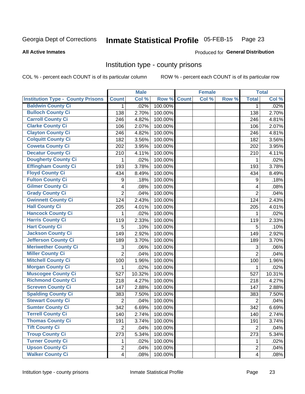#### Inmate Statistical Profile 05-FEB-15 Page 23

### **All Active Inmates**

### Produced for General Distribution

# Institution type - county prisons

COL % - percent each COUNT is of its particular column

|                                          |                         | <b>Male</b> |         |              | <b>Female</b> |       |                | <b>Total</b> |
|------------------------------------------|-------------------------|-------------|---------|--------------|---------------|-------|----------------|--------------|
| <b>Institution Type - County Prisons</b> | <b>Count</b>            | Col %       | Row %   | <b>Count</b> | Col %         | Row % | <b>Total</b>   | Col %        |
| <b>Baldwin County Ci</b>                 | $\mathbf{1}$            | .02%        | 100.00% |              |               |       | $\mathbf{1}$   | .02%         |
| <b>Bulloch County Ci</b>                 | 138                     | 2.70%       | 100.00% |              |               |       | 138            | 2.70%        |
| <b>Carroll County Ci</b>                 | 246                     | 4.82%       | 100.00% |              |               |       | 246            | 4.81%        |
| <b>Clarke County Ci</b>                  | 106                     | 2.07%       | 100.00% |              |               |       | 106            | 2.07%        |
| <b>Clayton County Ci</b>                 | 246                     | 4.82%       | 100.00% |              |               |       | 246            | 4.81%        |
| <b>Colquitt County Ci</b>                | 182                     | 3.56%       | 100.00% |              |               |       | 182            | 3.56%        |
| <b>Coweta County Ci</b>                  | 202                     | 3.95%       | 100.00% |              |               |       | 202            | 3.95%        |
| <b>Decatur County Ci</b>                 | 210                     | 4.11%       | 100.00% |              |               |       | 210            | 4.11%        |
| <b>Dougherty County Ci</b>               | 1                       | .02%        | 100.00% |              |               |       | 1              | .02%         |
| <b>Effingham County Ci</b>               | 193                     | 3.78%       | 100.00% |              |               |       | 193            | 3.78%        |
| <b>Floyd County Ci</b>                   | 434                     | 8.49%       | 100.00% |              |               |       | 434            | 8.49%        |
| <b>Fulton County Ci</b>                  | 9                       | .18%        | 100.00% |              |               |       | 9              | .18%         |
| <b>Gilmer County Ci</b>                  | 4                       | .08%        | 100.00% |              |               |       | $\overline{4}$ | .08%         |
| <b>Grady County Ci</b>                   | $\overline{2}$          | .04%        | 100.00% |              |               |       | $\overline{2}$ | .04%         |
| <b>Gwinnett County Ci</b>                | 124                     | 2.43%       | 100.00% |              |               |       | 124            | 2.43%        |
| <b>Hall County Ci</b>                    | 205                     | 4.01%       | 100.00% |              |               |       | 205            | 4.01%        |
| <b>Hancock County Ci</b>                 | 1                       | .02%        | 100.00% |              |               |       | 1              | .02%         |
| <b>Harris County Ci</b>                  | 119                     | 2.33%       | 100.00% |              |               |       | 119            | 2.33%        |
| <b>Hart County Ci</b>                    | 5                       | .10%        | 100.00% |              |               |       | 5              | .10%         |
| <b>Jackson County Ci</b>                 | 149                     | 2.92%       | 100.00% |              |               |       | 149            | 2.92%        |
| <b>Jefferson County Ci</b>               | 189                     | 3.70%       | 100.00% |              |               |       | 189            | 3.70%        |
| <b>Meriwether County Ci</b>              | 3                       | .06%        | 100.00% |              |               |       | 3              | .06%         |
| <b>Miller County Ci</b>                  | $\overline{2}$          | .04%        | 100.00% |              |               |       | $\overline{2}$ | .04%         |
| <b>Mitchell County Ci</b>                | 100                     | 1.96%       | 100.00% |              |               |       | 100            | 1.96%        |
| <b>Morgan County Ci</b>                  | 1                       | .02%        | 100.00% |              |               |       | $\mathbf{1}$   | .02%         |
| <b>Muscogee County Ci</b>                | 527                     | 10.32%      | 100.00% |              |               |       | 527            | 10.31%       |
| <b>Richmond County Ci</b>                | 218                     | 4.27%       | 100.00% |              |               |       | 218            | 4.27%        |
| <b>Screven County Ci</b>                 | 147                     | 2.88%       | 100.00% |              |               |       | 147            | 2.88%        |
| <b>Spalding County Ci</b>                | 383                     | 7.50%       | 100.00% |              |               |       | 383            | 7.50%        |
| <b>Stewart County Ci</b>                 | $\overline{2}$          | .04%        | 100.00% |              |               |       | $\overline{2}$ | .04%         |
| <b>Sumter County Ci</b>                  | 342                     | 6.69%       | 100.00% |              |               |       | 342            | 6.69%        |
| <b>Terrell County Ci</b>                 | 140                     | 2.74%       | 100.00% |              |               |       | 140            | 2.74%        |
| <b>Thomas County Ci</b>                  | 191                     | 3.74%       | 100.00% |              |               |       | 191            | 3.74%        |
| <b>Tift County Ci</b>                    | $\overline{2}$          | .04%        | 100.00% |              |               |       | $\overline{2}$ | .04%         |
| <b>Troup County Ci</b>                   | 273                     | 5.34%       | 100.00% |              |               |       | 273            | 5.34%        |
| <b>Turner County Ci</b>                  | 1.                      | .02%        | 100.00% |              |               |       | 1              | .02%         |
| <b>Upson County Ci</b>                   | $\overline{2}$          | .04%        | 100.00% |              |               |       | $\overline{2}$ | .04%         |
| <b>Walker County Ci</b>                  | $\overline{\mathbf{4}}$ | .08%        | 100.00% |              |               |       | $\overline{4}$ | .08%         |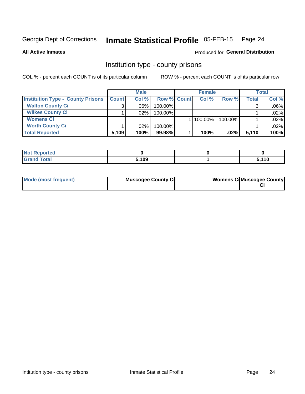#### Inmate Statistical Profile 05-FEB-15 Page 24

**All Active Inmates** 

## **Produced for General Distribution**

# Institution type - county prisons

COL % - percent each COUNT is of its particular column

|                                          | <b>Male</b>  |         |                    | <b>Female</b> | <b>Total</b> |       |         |
|------------------------------------------|--------------|---------|--------------------|---------------|--------------|-------|---------|
| <b>Institution Type - County Prisons</b> | <b>Count</b> | Col%    | <b>Row % Count</b> | Col%          | Row %        | Total | Col %   |
| <b>Walton County Ci</b>                  | 3            | $.06\%$ | 100.00%            |               |              |       | $.06\%$ |
| <b>Wilkes County Ci</b>                  |              | $.02\%$ | 100.00%            |               |              |       | .02%    |
| <b>Womens Ci</b>                         |              |         |                    | $ 100.00\% $  | 100.00%      |       | .02%    |
| <b>Worth County Ci</b>                   |              | $.02\%$ | 100.00%            |               |              |       | .02%    |
| <b>Total Reported</b>                    | 5,109        | 100%    | 99.98%             | 100%          | .02%         | 5,110 | 100%    |

| ported<br>' Nr |       |              |
|----------------|-------|--------------|
| _____          | 5,109 | . 440<br>1 V |

| Mode (most frequent) | <b>Muscogee County Ci</b> | <b>Womens Ci</b> Muscogee County |
|----------------------|---------------------------|----------------------------------|
|                      |                           |                                  |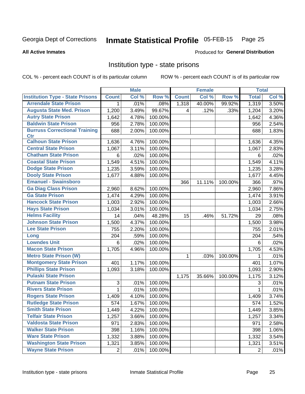#### Inmate Statistical Profile 05-FEB-15 Page 25

**All Active Inmates** 

### **Produced for General Distribution**

# Institution type - state prisons

COL % - percent each COUNT is of its particular column

|                                         |                | <b>Male</b> |         |              | <b>Female</b> |         | <b>Total</b>   |       |
|-----------------------------------------|----------------|-------------|---------|--------------|---------------|---------|----------------|-------|
| <b>Institution Type - State Prisons</b> | <b>Count</b>   | Col %       | Row %   | <b>Count</b> | Col %         | Row %   | <b>Total</b>   | Col % |
| <b>Arrendale State Prison</b>           | 1              | .01%        | .08%    | 1,318        | 40.00%        | 99.92%  | 1,319          | 3.50% |
| <b>Augusta State Med. Prison</b>        | 1,200          | 3.49%       | 99.67%  | 4            | .12%          | .33%    | 1,204          | 3.20% |
| <b>Autry State Prison</b>               | 1,642          | 4.78%       | 100.00% |              |               |         | 1,642          | 4.36% |
| <b>Baldwin State Prison</b>             | 956            | 2.78%       | 100.00% |              |               |         | 956            | 2.54% |
| <b>Burruss Correctional Training</b>    | 688            | 2.00%       | 100.00% |              |               |         | 688            | 1.83% |
| <b>Ctr</b>                              |                |             |         |              |               |         |                |       |
| <b>Calhoun State Prison</b>             | 1,636          | 4.76%       | 100.00% |              |               |         | 1,636          | 4.35% |
| <b>Central State Prison</b>             | 1,067          | 3.11%       | 100.00% |              |               |         | 1,067          | 2.83% |
| <b>Chatham State Prison</b>             | 6              | .02%        | 100.00% |              |               |         | 6              | .02%  |
| <b>Coastal State Prison</b>             | 1,549          | 4.51%       | 100.00% |              |               |         | 1,549          | 4.11% |
| <b>Dodge State Prison</b>               | 1,235          | 3.59%       | 100.00% |              |               |         | 1,235          | 3.28% |
| <b>Dooly State Prison</b>               | 1,677          | 4.88%       | 100.00% |              |               |         | 1,677          | 4.45% |
| <b>Emanuel - Swainsboro</b>             |                |             |         | 366          | 11.11%        | 100.00% | 366            | .97%  |
| <b>Ga Diag Class Prison</b>             | 2,960          | 8.62%       | 100.00% |              |               |         | 2,960          | 7.86% |
| <b>Ga State Prison</b>                  | 1,474          | 4.29%       | 100.00% |              |               |         | 1,474          | 3.91% |
| <b>Hancock State Prison</b>             | 1,003          | 2.92%       | 100.00% |              |               |         | 1,003          | 2.66% |
| <b>Hays State Prison</b>                | 1,034          | 3.01%       | 100.00% |              |               |         | 1,034          | 2.75% |
| <b>Helms Facility</b>                   | 14             | .04%        | 48.28%  | 15           | .46%          | 51.72%  | 29             | .08%  |
| <b>Johnson State Prison</b>             | 1,500          | 4.37%       | 100.00% |              |               |         | 1,500          | 3.98% |
| <b>Lee State Prison</b>                 | 755            | 2.20%       | 100.00% |              |               |         | 755            | 2.01% |
| Long                                    | 204            | .59%        | 100.00% |              |               |         | 204            | .54%  |
| <b>Lowndes Unit</b>                     | 6              | .02%        | 100.00% |              |               |         | 6              | .02%  |
| <b>Macon State Prison</b>               | 1,705          | 4.96%       | 100.00% |              |               |         | 1,705          | 4.53% |
| <b>Metro State Prison (W)</b>           |                |             |         | 1            | .03%          | 100.00% | 1              | .01%  |
| <b>Montgomery State Prison</b>          | 401            | 1.17%       | 100.00% |              |               |         | 401            | 1.07% |
| <b>Phillips State Prison</b>            | 1,093          | 3.18%       | 100.00% |              |               |         | 1,093          | 2.90% |
| <b>Pulaski State Prison</b>             |                |             |         | 1,175        | 35.66%        | 100.00% | 1,175          | 3.12% |
| <b>Putnam State Prison</b>              | 3              | .01%        | 100.00% |              |               |         | 3              | .01%  |
| <b>Rivers State Prison</b>              | 1              | .01%        | 100.00% |              |               |         | 1              | .01%  |
| <b>Rogers State Prison</b>              | 1,409          | 4.10%       | 100.00% |              |               |         | 1,409          | 3.74% |
| <b>Rutledge State Prison</b>            | 574            | 1.67%       | 100.00% |              |               |         | 574            | 1.52% |
| <b>Smith State Prison</b>               | 1,449          | 4.22%       | 100.00% |              |               |         | 1,449          | 3.85% |
| <b>Telfair State Prison</b>             | 1,257          | 3.66%       | 100.00% |              |               |         | 1,257          | 3.34% |
| <b>Valdosta State Prison</b>            | 971            | 2.83%       | 100.00% |              |               |         | 971            | 2.58% |
| <b>Walker State Prison</b>              | 398            | 1.16%       | 100.00% |              |               |         | 398            | 1.06% |
| <b>Ware State Prison</b>                | 1,332          | 3.88%       | 100.00% |              |               |         | 1,332          | 3.54% |
| <b>Washington State Prison</b>          | 1,321          | 3.85%       | 100.00% |              |               |         | 1,321          | 3.51% |
| <b>Wayne State Prison</b>               | $\overline{2}$ | .01%        | 100.00% |              |               |         | $\overline{2}$ | .01%  |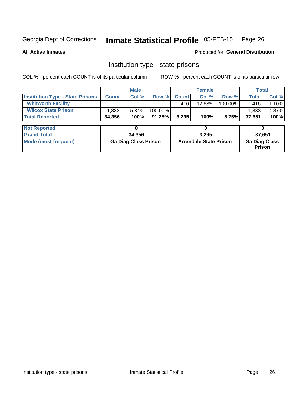#### Inmate Statistical Profile 05-FEB-15 Page 26

**All Active Inmates** 

# Produced for General Distribution

# Institution type - state prisons

COL % - percent each COUNT is of its particular column

|                                         | <b>Male</b>                 |        |                               |              | <b>Female</b> |                                | <b>Total</b> |        |  |
|-----------------------------------------|-----------------------------|--------|-------------------------------|--------------|---------------|--------------------------------|--------------|--------|--|
| <b>Institution Type - State Prisons</b> | <b>Count</b>                | Col %  | Row %                         | <b>Count</b> | Col %         | Row %                          | <b>Total</b> | Col %  |  |
| <b>Whitworth Facility</b>               |                             |        |                               | 416          | 12.63%        | 100.00%                        | 416          | 1.10%  |  |
| <b>Wilcox State Prison</b>              | 1,833                       | 5.34%  | 100.00%                       |              |               |                                | 1,833        | 4.87%  |  |
| <b>Total Reported</b>                   | 34,356                      | 100%   | $91.25\%$                     | 3,295        | 100%          | 8.75%                          | 37,651       | 100%   |  |
|                                         |                             |        |                               |              |               |                                |              |        |  |
| <b>Not Reported</b>                     |                             | 0      |                               |              | 0             |                                | 0            |        |  |
| <b>Grand Total</b>                      |                             | 34,356 |                               |              | 3,295         |                                |              | 37,651 |  |
| <b>Mode (most frequent)</b>             | <b>Ga Diag Class Prison</b> |        | <b>Arrendale State Prison</b> |              |               | <b>Ga Diag Class</b><br>Prison |              |        |  |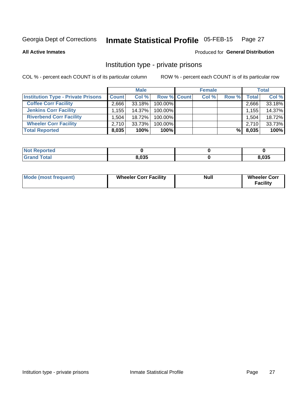#### Inmate Statistical Profile 05-FEB-15 Page 27

**All Active Inmates** 

### **Produced for General Distribution**

# Institution type - private prisons

COL % - percent each COUNT is of its particular column

|                                           | <b>Male</b>  |           |                    | <b>Female</b> |       |       | <b>Total</b>       |        |
|-------------------------------------------|--------------|-----------|--------------------|---------------|-------|-------|--------------------|--------|
| <b>Institution Type - Private Prisons</b> | <b>Count</b> | Col %     | <b>Row % Count</b> |               | Col % | Row % | Total <sub>1</sub> | Col %  |
| <b>Coffee Corr Facility</b>               | 2.666        | $33.18\%$ | 100.00%            |               |       |       | 2,666              | 33.18% |
| <b>Jenkins Corr Facility</b>              | ∃155.،       | $14.37\%$ | $100.00\%$         |               |       |       | 1,155              | 14.37% |
| <b>Riverbend Corr Facility</b>            | 1,504        | 18.72%    | 100.00%            |               |       |       | 1,504              | 18.72% |
| <b>Wheeler Corr Facility</b>              | 2.710        | 33.73%    | 100.00%            |               |       |       | 2,710              | 33.73% |
| <b>Total Reported</b>                     | 8,035        | 100%      | 100%               |               |       | %।    | 8,035              | 100%   |

| <b>Not</b><br><b>Reported</b> |       |       |
|-------------------------------|-------|-------|
| <b>otal</b>                   | 8,035 | 8,035 |

| <b>Mode (most frequent)</b> | <b>Wheeler Corr Facility</b> | <b>Null</b> | <b>Wheeler Corr</b><br><b>Facility</b> |
|-----------------------------|------------------------------|-------------|----------------------------------------|
|-----------------------------|------------------------------|-------------|----------------------------------------|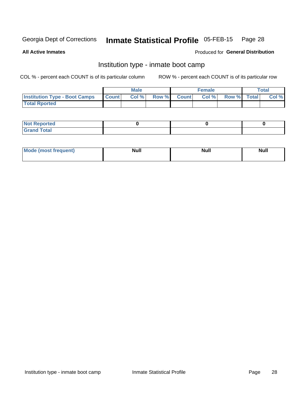#### Inmate Statistical Profile 05-FEB-15 Page 28

**All Active Inmates** 

### Produced for General Distribution

# Institution type - inmate boot camp

COL % - percent each COUNT is of its particular column

|                                            | <b>Male</b> |                    | <b>Female</b> |             | <b>Total</b> |
|--------------------------------------------|-------------|--------------------|---------------|-------------|--------------|
| <b>Institution Type - Boot Camps Count</b> | Col%        | <b>Row % Count</b> | Col%          | Row % Total | Col %        |
| <b>Total Rported</b>                       |             |                    |               |             |              |

| <b>Not Reported</b>            |  |  |
|--------------------------------|--|--|
| <b>Total</b><br>C <sub>r</sub> |  |  |

| <b>AhoM</b><br>st frequent)<br>TIMOS | <b>Null</b> | <b>Null</b> | <b>Null</b> |
|--------------------------------------|-------------|-------------|-------------|
|                                      |             |             |             |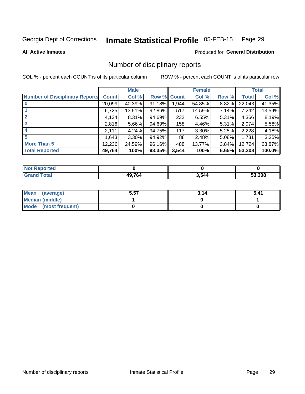#### Inmate Statistical Profile 05-FEB-15 Page 29

### **All Active Inmates**

## Produced for General Distribution

# Number of disciplinary reports

COL % - percent each COUNT is of its particular column

|                                       |              | <b>Male</b> |             |       | <b>Female</b> |          |              | <b>Total</b> |
|---------------------------------------|--------------|-------------|-------------|-------|---------------|----------|--------------|--------------|
| <b>Number of Disciplinary Reports</b> | <b>Count</b> | Col %       | Row % Count |       | Col %         | Row %    | <b>Total</b> | Col %        |
|                                       | 20,099       | 40.39%      | 91.18%      | 1,944 | 54.85%        | 8.82%    | 22,043       | 41.35%       |
|                                       | 6,725        | 13.51%      | 92.86%      | 517   | 14.59%        | 7.14%    | 7,242        | 13.59%       |
|                                       | 4,134        | $8.31\%$    | 94.69%      | 232   | 6.55%         | 5.31%    | 4,366        | 8.19%        |
| 3                                     | 2,816        | $5.66\%$    | 94.69%      | 158   | 4.46%         | $5.31\%$ | 2,974        | 5.58%        |
|                                       | 2,111        | 4.24%       | 94.75%      | 117   | 3.30%         | 5.25%    | 2,228        | 4.18%        |
| 5                                     | 1,643        | $3.30\%$    | 94.92%      | 88    | 2.48%         | $5.08\%$ | 1,731        | 3.25%        |
| <b>More Than 5</b>                    | 12,236       | 24.59%      | 96.16%      | 488   | 13.77%        | $3.84\%$ | 12,724       | 23.87%       |
| <b>Total Reported</b>                 | 49,764       | 100%        | 93.35%      | 3,544 | 100%          | 6.65%    | 53,308       | 100.0%       |

| orted<br>NOI |       |       |        |
|--------------|-------|-------|--------|
| Total        | 49764 | 3,544 | 53.308 |

| Mean (average)       | 5.57 | 3.14 | 5.41 |
|----------------------|------|------|------|
| Median (middle)      |      |      |      |
| Mode (most frequent) |      |      |      |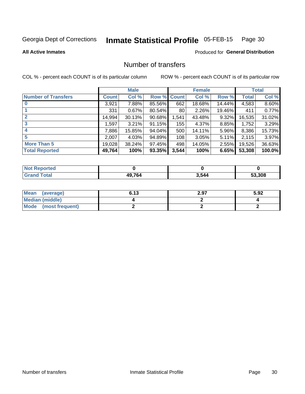#### Inmate Statistical Profile 05-FEB-15 Page 30

**All Active Inmates** 

## **Produced for General Distribution**

# Number of transfers

COL % - percent each COUNT is of its particular column

|                            |              | <b>Male</b> |             |       | <b>Female</b> |          |        | <b>Total</b> |
|----------------------------|--------------|-------------|-------------|-------|---------------|----------|--------|--------------|
| <b>Number of Transfers</b> | <b>Count</b> | Col %       | Row % Count |       | Col %         | Row %    | Total  | Col %        |
|                            | 3,921        | 7.88%       | 85.56%      | 662   | 18.68%        | 14.44%   | 4,583  | 8.60%        |
|                            | 331          | 0.67%       | 80.54%      | 80    | 2.26%         | 19.46%   | 411    | 0.77%        |
| $\mathbf{2}$               | 14,994       | 30.13%      | 90.68%      | 1,541 | 43.48%        | 9.32%    | 16,535 | 31.02%       |
| 3                          | 1,597        | 3.21%       | 91.15%      | 155   | 4.37%         | 8.85%    | 1,752  | 3.29%        |
|                            | 7,886        | 15.85%      | 94.04%      | 500   | 14.11%        | 5.96%    | 8,386  | 15.73%       |
| 5                          | 2,007        | 4.03%       | 94.89%      | 108   | 3.05%         | $5.11\%$ | 2,115  | 3.97%        |
| <b>More Than 5</b>         | 19,028       | 38.24%      | 97.45%      | 498   | 14.05%        | $2.55\%$ | 19,526 | 36.63%       |
| <b>Total Reported</b>      | 49,764       | 100%        | 93.35%      | 3,544 | 100%          | 6.65%    | 53,308 | 100.0%       |

| วrted<br>NO: |       |       |        |
|--------------|-------|-------|--------|
| Total        | AOZCA | 3,544 | 53.308 |

| Mean (average)       | 6.13 | 2.97 | 5.92 |
|----------------------|------|------|------|
| Median (middle)      |      |      |      |
| Mode (most frequent) |      |      |      |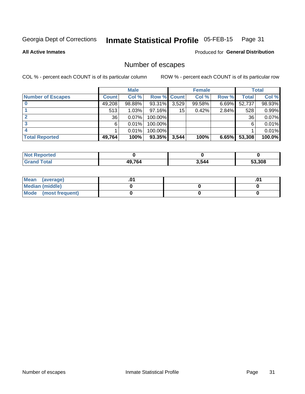#### Inmate Statistical Profile 05-FEB-15 Page 31

### **All Active Inmates**

# **Produced for General Distribution**

# Number of escapes

COL % - percent each COUNT is of its particular column

|                          |              | <b>Male</b> |                    |       | <b>Female</b> |          |                 | <b>Total</b> |
|--------------------------|--------------|-------------|--------------------|-------|---------------|----------|-----------------|--------------|
| <b>Number of Escapes</b> | <b>Count</b> | Col %       | <b>Row % Count</b> |       | Col %         | Row %    | Total           | Col %        |
|                          | 49,208       | 98.88%      | 93.31%             | 3,529 | 99.58%        | $6.69\%$ | 52,737          | 98.93%       |
|                          | 513          | 1.03%       | $97.16\%$          | 15    | 0.42%         | 2.84%    | 528             | 0.99%        |
|                          | 36           | 0.07%       | 100.00%            |       |               |          | 36 <sub>1</sub> | 0.07%        |
|                          | 6.           | 0.01%       | $100.00\%$         |       |               |          | 6               | 0.01%        |
|                          |              | 0.01%       | 100.00%            |       |               |          |                 | 0.01%        |
| <b>Total Reported</b>    | 49,764       | 100%        | 93.35%             | 3,544 | 100%          | 6.65%    | 53,308          | 100.0%       |

| Reported     |        |       |        |
|--------------|--------|-------|--------|
| <b>Total</b> | 49,764 | 3,544 | 53.308 |

| Mean (average)       |  | .0 <sup>4</sup> |
|----------------------|--|-----------------|
| Median (middle)      |  |                 |
| Mode (most frequent) |  |                 |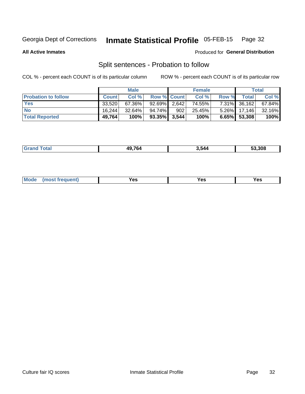#### Inmate Statistical Profile 05-FEB-15 Page 32

**All Active Inmates** 

### Produced for General Distribution

# Split sentences - Probation to follow

COL % - percent each COUNT is of its particular column

|                            |              | <b>Male</b> |                    |     | <b>Female</b> |       |                 | <b>Total</b> |
|----------------------------|--------------|-------------|--------------------|-----|---------------|-------|-----------------|--------------|
| <b>Probation to follow</b> | <b>Count</b> | Col%        | <b>Row % Count</b> |     | Col %         | Row % | <b>Total</b>    | Col %        |
| <b>Yes</b>                 | 33.520       | 67.36%      | $92.69\%$ 2,642    |     | 74.55%        |       | 7.31% 36,162    | 67.84%       |
| <b>No</b>                  | 16.244       | $32.64\%$   | 94.74%             | 902 | 25.45%        |       | $5.26\%$ 17,146 | 32.16%       |
| <b>Total Reported</b>      | 49,764       | 100%        | $93.35\%$ 3,544    |     | 100%          |       | $6.65\%$ 53,308 | 100%         |

| 10.76/ | } 544 | המה הי |
|--------|-------|--------|
|        |       |        |

| requent<br>′es<br>Yes<br><b>YAC</b><br>. |  | $Moo$ |  |  |  |
|------------------------------------------|--|-------|--|--|--|
|------------------------------------------|--|-------|--|--|--|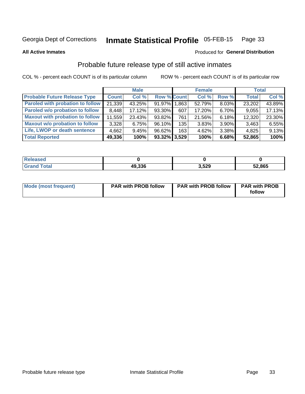#### Inmate Statistical Profile 05-FEB-15 Page 33

**All Active Inmates** 

### Produced for General Distribution

# Probable future release type of still active inmates

COL % - percent each COUNT is of its particular column

|                                         |              | <b>Male</b> |                    |     | <b>Female</b> |       | <b>Total</b> |        |
|-----------------------------------------|--------------|-------------|--------------------|-----|---------------|-------|--------------|--------|
| <b>Probable Future Release Type</b>     | <b>Count</b> | Col%        | <b>Row % Count</b> |     | Col %         | Row % | <b>Total</b> | Col %  |
| <b>Paroled with probation to follow</b> | 21,339       | 43.25%      | 91.97% 1.863       |     | 52.79%        | 8.03% | 23,202       | 43.89% |
| Paroled w/o probation to follow         | 8,448        | 17.12%      | 93.30%             | 607 | 17.20%        | 6.70% | 9,055        | 17.13% |
| <b>Maxout with probation to follow</b>  | 11,559       | 23.43%      | 93.82%             | 761 | 21.56%        | 6.18% | 12,320       | 23.30% |
| <b>Maxout w/o probation to follow</b>   | 3,328        | 6.75%       | 96.10%             | 135 | 3.83%         | 3.90% | 3,463        | 6.55%  |
| Life, LWOP or death sentence            | 4,662        | 9.45%       | 96.62%             | 163 | 4.62%         | 3.38% | 4,825        | 9.13%  |
| <b>Total Reported</b>                   | 49,336       | 100%        | $93.32\%$ 3,529    |     | 100%          | 6.68% | 52,865       | 100%   |

| eleased     |        |       |        |
|-------------|--------|-------|--------|
| <b>otal</b> | 49,336 | 3,529 | 52,865 |

| <b>Mode (most frequent)</b> | <b>PAR with PROB follow</b> | <b>PAR with PROB follow</b> | <b>PAR with PROB</b> |
|-----------------------------|-----------------------------|-----------------------------|----------------------|
|                             |                             |                             | follow               |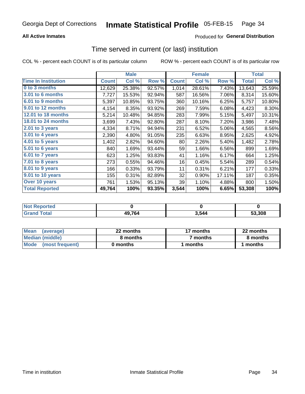## **All Active Inmates**

# Produced for General Distribution

# Time served in current (or last) institution

COL % - percent each COUNT is of its particular column

|                              |              | <b>Male</b> |        |              | <b>Female</b> |        |              | <b>Total</b> |
|------------------------------|--------------|-------------|--------|--------------|---------------|--------|--------------|--------------|
| <b>Time In Institution</b>   | <b>Count</b> | Col %       | Row %  | <b>Count</b> | Col %         | Row %  | <b>Total</b> | Col %        |
| 0 to 3 months                | 12,629       | 25.38%      | 92.57% | 1,014        | 28.61%        | 7.43%  | 13,643       | 25.59%       |
| <b>3.01 to 6 months</b>      | 7,727        | 15.53%      | 92.94% | 587          | 16.56%        | 7.06%  | 8,314        | 15.60%       |
| 6.01 to 9 months             | 5,397        | 10.85%      | 93.75% | 360          | 10.16%        | 6.25%  | 5,757        | 10.80%       |
| 9.01 to 12 months            | 4,154        | 8.35%       | 93.92% | 269          | 7.59%         | 6.08%  | 4,423        | 8.30%        |
| 12.01 to 18 months           | 5,214        | 10.48%      | 94.85% | 283          | 7.99%         | 5.15%  | 5,497        | 10.31%       |
| <b>18.01 to 24 months</b>    | 3,699        | 7.43%       | 92.80% | 287          | 8.10%         | 7.20%  | 3,986        | 7.48%        |
| 2.01 to 3 years              | 4,334        | 8.71%       | 94.94% | 231          | 6.52%         | 5.06%  | 4,565        | 8.56%        |
| $3.01$ to 4 years            | 2,390        | 4.80%       | 91.05% | 235          | 6.63%         | 8.95%  | 2,625        | 4.92%        |
| 4.01 to 5 years              | 1,402        | 2.82%       | 94.60% | 80           | 2.26%         | 5.40%  | 1,482        | 2.78%        |
| $\overline{5.01}$ to 6 years | 840          | 1.69%       | 93.44% | 59           | 1.66%         | 6.56%  | 899          | 1.69%        |
| 6.01 to 7 years              | 623          | 1.25%       | 93.83% | 41           | 1.16%         | 6.17%  | 664          | 1.25%        |
| 7.01 to 8 years              | 273          | 0.55%       | 94.46% | 16           | 0.45%         | 5.54%  | 289          | 0.54%        |
| 8.01 to 9 years              | 166          | 0.33%       | 93.79% | 11           | 0.31%         | 6.21%  | 177          | 0.33%        |
| 9.01 to 10 years             | 155          | 0.31%       | 82.89% | 32           | 0.90%         | 17.11% | 187          | 0.35%        |
| Over 10 years                | 761          | 1.53%       | 95.13% | 39           | 1.10%         | 4.88%  | 800          | 1.50%        |
| <b>Total Reported</b>        | 49,764       | 100%        | 93.35% | 3,544        | 100%          | 6.65%  | 53,308       | 100%         |

| NOT |        |     |        |
|-----|--------|-----|--------|
|     | 49,764 | 544 | 53.308 |

| <b>Mean</b><br>(average) | 22 months | 17 months | 22 months |
|--------------------------|-----------|-----------|-----------|
| Median (middle)          | 8 months  | 7 months  | 8 months  |
| Mode (most frequent)     | 0 months  | months    | l months  |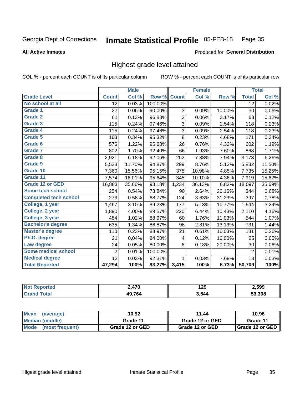#### Inmate Statistical Profile 05-FEB-15 Page 35

### **All Active Inmates**

### Produced for General Distribution

# Highest grade level attained

COL % - percent each COUNT is of its particular column

|                              |                 | <b>Male</b> |         |                | <b>Female</b>       |        |                 | <b>Total</b> |
|------------------------------|-----------------|-------------|---------|----------------|---------------------|--------|-----------------|--------------|
| <b>Grade Level</b>           | <b>Count</b>    | Col %       | Row %   | <b>Count</b>   | $\overline{C}$ ol % | Row %  | <b>Total</b>    | Col %        |
| No school at all             | $\overline{12}$ | 0.03%       | 100.00% |                |                     |        | $\overline{12}$ | 0.02%        |
| <b>Grade 1</b>               | 27              | 0.06%       | 90.00%  | 3              | 0.09%               | 10.00% | 30              | 0.06%        |
| <b>Grade 2</b>               | 61              | 0.13%       | 96.83%  | $\overline{c}$ | 0.06%               | 3.17%  | 63              | 0.12%        |
| <b>Grade 3</b>               | 115             | 0.24%       | 97.46%  | 3              | 0.09%               | 2.54%  | 118             | 0.23%        |
| Grade 4                      | 115             | 0.24%       | 97.46%  | 3              | 0.09%               | 2.54%  | 118             | 0.23%        |
| <b>Grade 5</b>               | 163             | 0.34%       | 95.32%  | 8              | 0.23%               | 4.68%  | 171             | 0.34%        |
| Grade 6                      | 576             | 1.22%       | 95.68%  | 26             | 0.76%               | 4.32%  | 602             | 1.19%        |
| <b>Grade 7</b>               | 802             | 1.70%       | 92.40%  | 66             | 1.93%               | 7.60%  | 868             | 1.71%        |
| Grade 8                      | 2,921           | 6.18%       | 92.06%  | 252            | 7.38%               | 7.94%  | 3,173           | 6.26%        |
| Grade 9                      | 5,533           | 11.70%      | 94.87%  | 299            | 8.76%               | 5.13%  | 5,832           | 11.50%       |
| Grade 10                     | 7,360           | 15.56%      | 95.15%  | 375            | 10.98%              | 4.85%  | 7,735           | 15.25%       |
| Grade 11                     | 7,574           | 16.01%      | 95.64%  | 345            | 10.10%              | 4.36%  | 7,919           | 15.62%       |
| <b>Grade 12 or GED</b>       | 16,863          | 35.66%      | 93.18%  | 1,234          | 36.13%              | 6.82%  | 18,097          | 35.69%       |
| Some tech school             | 254             | 0.54%       | 73.84%  | 90             | 2.64%               | 26.16% | 344             | 0.68%        |
| <b>Completed tech school</b> | 273             | 0.58%       | 68.77%  | 124            | 3.63%               | 31.23% | 397             | 0.78%        |
| College, 1 year              | 1,467           | 3.10%       | 89.23%  | 177            | 5.18%               | 10.77% | 1,644           | 3.24%        |
| College, 2 year              | 1,890           | 4.00%       | 89.57%  | 220            | 6.44%               | 10.43% | 2,110           | 4.16%        |
| College, 3 year              | 484             | 1.02%       | 88.97%  | 60             | 1.76%               | 11.03% | 544             | 1.07%        |
| <b>Bachelor's degree</b>     | 635             | 1.34%       | 86.87%  | 96             | 2.81%               | 13.13% | 731             | 1.44%        |
| <b>Master's degree</b>       | 110             | 0.23%       | 83.97%  | 21             | 0.61%               | 16.03% | 131             | 0.26%        |
| Ph.D. degree                 | 21              | 0.04%       | 84.00%  | 4              | 0.12%               | 16.00% | 25              | 0.05%        |
| Law degree                   | 24              | 0.05%       | 80.00%  | 6              | 0.18%               | 20.00% | 30              | 0.06%        |
| <b>Some medical school</b>   | $\overline{2}$  | 0.01%       | 100.00% |                |                     |        | $\overline{2}$  | 0.01%        |
| <b>Medical degree</b>        | 12              | 0.03%       | 92.31%  | 1              | 0.03%               | 7.69%  | 13              | 0.03%        |
| <b>Total Reported</b>        | 47,294          | 100%        | 93.27%  | 3,415          | 100%                | 6.73%  | 50,709          | 100%         |

| ን 47በ | 1 20<br>179 | 2,599  |
|-------|-------------|--------|
| AOZGA | 3.544       | 53.308 |

| <b>Mean</b><br>(average)       | 10.92           | 11.44           | 10.96           |
|--------------------------------|-----------------|-----------------|-----------------|
| Median (middle)                | Grade 11        | Grade 12 or GED | Grade 11        |
| <b>Mode</b><br>(most frequent) | Grade 12 or GED | Grade 12 or GED | Grade 12 or GED |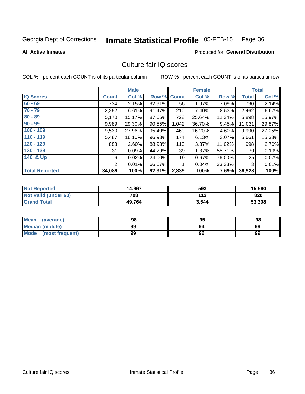#### Inmate Statistical Profile 05-FEB-15 Page 36

### **All Active Inmates**

### Produced for General Distribution

# Culture fair IQ scores

COL % - percent each COUNT is of its particular column

|                       |              | <b>Male</b> |        |              | <b>Female</b> |        |        | <b>Total</b> |
|-----------------------|--------------|-------------|--------|--------------|---------------|--------|--------|--------------|
| <b>IQ Scores</b>      | <b>Count</b> | Col %       | Row %  | <b>Count</b> | Col %         | Row %  | Total  | Col %        |
| $60 - 69$             | 734          | 2.15%       | 92.91% | 56           | 1.97%         | 7.09%  | 790    | 2.14%        |
| $70 - 79$             | 2,252        | 6.61%       | 91.47% | 210          | 7.40%         | 8.53%  | 2,462  | 6.67%        |
| $80 - 89$             | 5,170        | 15.17%      | 87.66% | 728          | 25.64%        | 12.34% | 5,898  | 15.97%       |
| $90 - 99$             | 9,989        | 29.30%      | 90.55% | 1,042        | 36.70%        | 9.45%  | 11,031 | 29.87%       |
| $100 - 109$           | 9,530        | 27.96%      | 95.40% | 460          | 16.20%        | 4.60%  | 9,990  | 27.05%       |
| $110 - 119$           | 5,487        | 16.10%      | 96.93% | 174          | 6.13%         | 3.07%  | 5,661  | 15.33%       |
| 120 - 129             | 888          | 2.60%       | 88.98% | 110          | 3.87%         | 11.02% | 998    | 2.70%        |
| 130 - 139             | 31           | 0.09%       | 44.29% | 39           | 1.37%         | 55.71% | 70     | 0.19%        |
| 140 & Up              | 6            | 0.02%       | 24.00% | 19           | 0.67%         | 76.00% | 25     | 0.07%        |
|                       | 2            | 0.01%       | 66.67% | 1            | 0.04%         | 33.33% | 3      | 0.01%        |
| <b>Total Reported</b> | 34,089       | 100%        | 92.31% | 2,839        | 100%          | 7.69%  | 36,928 | 100%         |

| <b>Not Reported</b>  | 14,967 | 593   | 15,560 |
|----------------------|--------|-------|--------|
| Not Valid (under 60) | 708    | 112   | 820    |
| <b>Grand Total</b>   | 49,764 | 3,544 | 53,308 |

| <b>Mean</b><br>(average) | 98 | 95 | 98 |
|--------------------------|----|----|----|
| Median (middle)          | 99 |    | 99 |
| Mode (most frequent)     | 99 | 96 | 99 |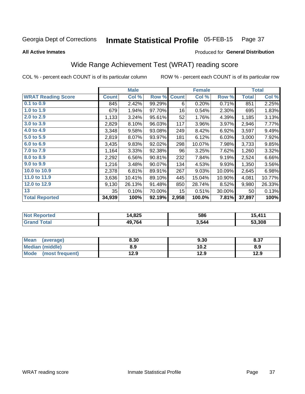#### Inmate Statistical Profile 05-FEB-15 Page 37

**All Active Inmates** 

### **Produced for General Distribution**

## Wide Range Achievement Test (WRAT) reading score

COL % - percent each COUNT is of its particular column

|                           |              | <b>Male</b> |        |                 | <b>Female</b> |        |              | <b>Total</b> |
|---------------------------|--------------|-------------|--------|-----------------|---------------|--------|--------------|--------------|
| <b>WRAT Reading Score</b> | <b>Count</b> | Col %       | Row %  | <b>Count</b>    | Col %         | Row %  | <b>Total</b> | Col %        |
| $0.1$ to $0.9$            | 845          | 2.42%       | 99.29% | 6               | 0.20%         | 0.71%  | 851          | 2.25%        |
| 1.0 to 1.9                | 679          | 1.94%       | 97.70% | 16              | 0.54%         | 2.30%  | 695          | 1.83%        |
| 2.0 to 2.9                | 1,133        | 3.24%       | 95.61% | 52              | 1.76%         | 4.39%  | 1,185        | 3.13%        |
| 3.0 to 3.9                | 2,829        | 8.10%       | 96.03% | 117             | 3.96%         | 3.97%  | 2,946        | 7.77%        |
| 4.0 to 4.9                | 3,348        | 9.58%       | 93.08% | 249             | 8.42%         | 6.92%  | 3,597        | 9.49%        |
| 5.0 to 5.9                | 2,819        | 8.07%       | 93.97% | 181             | 6.12%         | 6.03%  | 3,000        | 7.92%        |
| 6.0 to 6.9                | 3,435        | 9.83%       | 92.02% | 298             | 10.07%        | 7.98%  | 3,733        | 9.85%        |
| 7.0 to 7.9                | 1,164        | 3.33%       | 92.38% | 96              | 3.25%         | 7.62%  | 1,260        | 3.32%        |
| 8.0 to 8.9                | 2,292        | 6.56%       | 90.81% | 232             | 7.84%         | 9.19%  | 2,524        | 6.66%        |
| 9.0 to 9.9                | 1,216        | 3.48%       | 90.07% | 134             | 4.53%         | 9.93%  | 1,350        | 3.56%        |
| 10.0 to 10.9              | 2,378        | 6.81%       | 89.91% | 267             | 9.03%         | 10.09% | 2,645        | 6.98%        |
| 11.0 to 11.9              | 3,636        | 10.41%      | 89.10% | 445             | 15.04%        | 10.90% | 4,081        | 10.77%       |
| 12.0 to 12.9              | 9,130        | 26.13%      | 91.48% | 850             | 28.74%        | 8.52%  | 9,980        | 26.33%       |
| 13                        | 35           | 0.10%       | 70.00% | 15 <sub>1</sub> | 0.51%         | 30.00% | 50           | 0.13%        |
| <b>Total Reported</b>     | 34,939       | 100%        | 92.19% | 2,958           | 100.0%        | 7.81%  | 37,897       | 100%         |

| <b>Not</b><br>$\alpha$ eported | 14,825 | 586   | 15.114 |
|--------------------------------|--------|-------|--------|
| <b>otal</b>                    | 49,764 | 3,544 | 53.308 |

| Mean<br>(average)       | 8.30 | 9.30 | 8.37 |
|-------------------------|------|------|------|
| Median (middle)         | 8.9  | 10.2 | 8.9  |
| Mode<br>(most frequent) | 12.9 | 12.9 | 12.9 |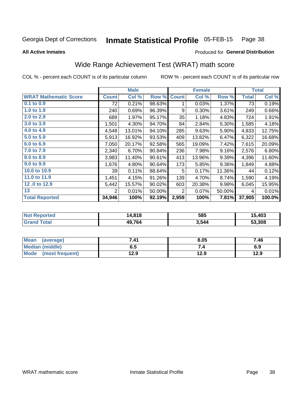#### Inmate Statistical Profile 05-FEB-15 Page 38

**All Active Inmates** 

#### Produced for General Distribution

## Wide Range Achievement Test (WRAT) math score

COL % - percent each COUNT is of its particular column

|                              |              | <b>Male</b> |        |              | <b>Female</b> |        |              | <b>Total</b> |
|------------------------------|--------------|-------------|--------|--------------|---------------|--------|--------------|--------------|
| <b>WRAT Mathematic Score</b> | <b>Count</b> | Col %       | Row %  | <b>Count</b> | Col %         | Row %  | <b>Total</b> | Col %        |
| $0.1$ to $0.9$               | 72           | 0.21%       | 98.63% | 1            | 0.03%         | 1.37%  | 73           | 0.19%        |
| 1.0 to 1.9                   | 240          | 0.69%       | 96.39% | 9            | 0.30%         | 3.61%  | 249          | 0.66%        |
| 2.0 to 2.9                   | 689          | 1.97%       | 95.17% | 35           | 1.18%         | 4.83%  | 724          | 1.91%        |
| 3.0 to 3.9                   | 1,501        | 4.30%       | 94.70% | 84           | 2.84%         | 5.30%  | 1,585        | 4.18%        |
| 4.0 to 4.9                   | 4,548        | 13.01%      | 94.10% | 285          | 9.63%         | 5.90%  | 4,833        | 12.75%       |
| 5.0 to 5.9                   | 5,913        | 16.92%      | 93.53% | 409          | 13.82%        | 6.47%  | 6,322        | 16.68%       |
| 6.0 to 6.9                   | 7,050        | 20.17%      | 92.58% | 565          | 19.09%        | 7.42%  | 7,615        | 20.09%       |
| 7.0 to 7.9                   | 2,340        | 6.70%       | 90.84% | 236          | 7.98%         | 9.16%  | 2,576        | 6.80%        |
| 8.0 to 8.9                   | 3,983        | 11.40%      | 90.61% | 413          | 13.96%        | 9.39%  | 4,396        | 11.60%       |
| 9.0 to 9.9                   | 1,676        | 4.80%       | 90.64% | 173          | 5.85%         | 9.36%  | 1,849        | 4.88%        |
| 10.0 to 10.9                 | 39           | 0.11%       | 88.64% | 5            | 0.17%         | 11.36% | 44           | 0.12%        |
| 11.0 to 11.9                 | 1,451        | 4.15%       | 91.26% | 139          | 4.70%         | 8.74%  | 1,590        | 4.19%        |
| 12.0 to 12.9                 | 5,442        | 15.57%      | 90.02% | 603          | 20.38%        | 9.98%  | 6,045        | 15.95%       |
| 13                           | 2            | 0.01%       | 50.00% | 2            | 0.07%         | 50.00% | 4            | 0.01%        |
| <b>Total Reported</b>        | 34,946       | 100%        | 92.19% | 2,959        | 100%          | 7.81%  | 37,905       | 100.0%       |
|                              |              |             |        |              |               |        |              |              |

| <b>Not Reported</b> | 14,818 | 585   | 15,403 |
|---------------------|--------|-------|--------|
| <b>Grand Total</b>  | 49,764 | 3,544 | 53,308 |

| Mean (average)       | 7.41 | 8.05 | 7.46 |
|----------------------|------|------|------|
| Median (middle)      | ხ. J | 7.4  | 6.9  |
| Mode (most frequent) | 12.9 | 12.9 | 12.9 |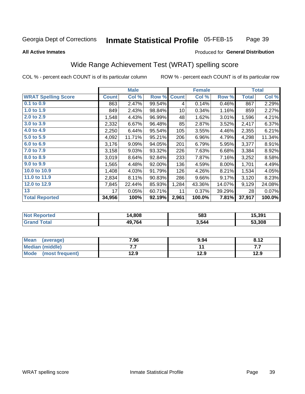#### **Inmate Statistical Profile 05-FEB-15** Page 39

#### **All Active Inmates**

### Produced for General Distribution

## Wide Range Achievement Test (WRAT) spelling score

COL % - percent each COUNT is of its particular column

|                            |              | <b>Male</b> |        |              | <b>Female</b> |        |              | <b>Total</b> |
|----------------------------|--------------|-------------|--------|--------------|---------------|--------|--------------|--------------|
| <b>WRAT Spelling Score</b> | <b>Count</b> | Col %       | Row %  | <b>Count</b> | Col %         | Row %  | <b>Total</b> | Col %        |
| 0.1 to 0.9                 | 863          | 2.47%       | 99.54% | 4            | 0.14%         | 0.46%  | 867          | 2.29%        |
| 1.0 to 1.9                 | 849          | 2.43%       | 98.84% | 10           | 0.34%         | 1.16%  | 859          | 2.27%        |
| 2.0 to 2.9                 | 1,548        | 4.43%       | 96.99% | 48           | 1.62%         | 3.01%  | 1,596        | 4.21%        |
| 3.0 to 3.9                 | 2,332        | 6.67%       | 96.48% | 85           | 2.87%         | 3.52%  | 2,417        | 6.37%        |
| 4.0 to 4.9                 | 2,250        | 6.44%       | 95.54% | 105          | 3.55%         | 4.46%  | 2,355        | 6.21%        |
| 5.0 to 5.9                 | 4,092        | 11.71%      | 95.21% | 206          | 6.96%         | 4.79%  | 4,298        | 11.34%       |
| 6.0 to 6.9                 | 3,176        | 9.09%       | 94.05% | 201          | 6.79%         | 5.95%  | 3,377        | 8.91%        |
| 7.0 to 7.9                 | 3,158        | 9.03%       | 93.32% | 226          | 7.63%         | 6.68%  | 3,384        | 8.92%        |
| 8.0 to 8.9                 | 3,019        | 8.64%       | 92.84% | 233          | 7.87%         | 7.16%  | 3,252        | 8.58%        |
| 9.0 to 9.9                 | 1,565        | 4.48%       | 92.00% | 136          | 4.59%         | 8.00%  | 1,701        | 4.49%        |
| 10.0 to 10.9               | 1,408        | 4.03%       | 91.79% | 126          | 4.26%         | 8.21%  | 1,534        | 4.05%        |
| 11.0 to 11.9               | 2,834        | 8.11%       | 90.83% | 286          | 9.66%         | 9.17%  | 3,120        | 8.23%        |
| 12.0 to 12.9               | 7,845        | 22.44%      | 85.93% | 1,284        | 43.36%        | 14.07% | 9,129        | 24.08%       |
| 13                         | 17           | 0.05%       | 60.71% | 11           | 0.37%         | 39.29% | 28           | 0.07%        |
| <b>Total Reported</b>      | 34,956       | 100%        | 92.19% | 2,961        | 100.0%        | 7.81%  | 37,917       | 100.0%       |

| orteo<br>NO | 14,808 | 583   | 15,391 |
|-------------|--------|-------|--------|
|             | 49,764 | 3,544 | 53.308 |

| <b>Mean</b><br>(average) | 7.96 | 9.94 | 8.12 |
|--------------------------|------|------|------|
| Median (middle)          | .    |      | .    |
| Mode (most frequent)     | 12.9 | 12.9 | 12.9 |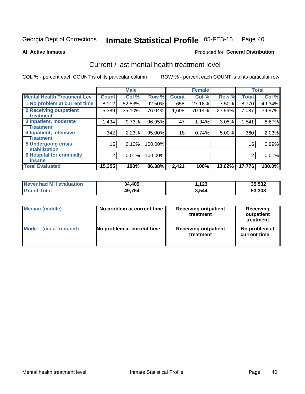#### Inmate Statistical Profile 05-FEB-15 Page 40

**All Active Inmates** 

#### Produced for General Distribution

## Current / last mental health treatment level

COL % - percent each COUNT is of its particular column

|                                    |                | <b>Male</b> |           |              | <b>Female</b> |        |              | <b>Total</b> |
|------------------------------------|----------------|-------------|-----------|--------------|---------------|--------|--------------|--------------|
| <b>Mental Health Treatment Lev</b> | <b>Count</b>   | Col %       | Row %     | <b>Count</b> | Col %         | Row %  | <b>Total</b> | Col %        |
| 1 No problem at current time       | 8,112          | 52.83%      | $92.50\%$ | 658          | 27.18%        | 7.50%  | 8,770        | 49.34%       |
| 2 Receiving outpatient             | 5,389          | 35.10%      | 76.04%    | 1,698        | 70.14%        | 23.96% | 7,087        | 39.87%       |
| <b>Treatment</b>                   |                |             |           |              |               |        |              |              |
| 3 Inpatient, moderate              | 1,494          | 9.73%       | 96.95%    | 47           | 1.94%         | 3.05%  | 1,541        | 8.67%        |
| <b>Treatment</b>                   |                |             |           |              |               |        |              |              |
| 4 Inpatient, intensive             | 342            | 2.23%       | 95.00%    | 18           | 0.74%         | 5.00%  | 360          | 2.03%        |
| <b>Treatment</b>                   |                |             |           |              |               |        |              |              |
| <b>5 Undergoing crisis</b>         | 16             | 0.10%       | 100.00%   |              |               |        | 16           | 0.09%        |
| <b>stabilization</b>               |                |             |           |              |               |        |              |              |
| <b>6 Hospital for criminally</b>   | $\overline{2}$ | 0.01%       | 100.00%   |              |               |        | 2            | 0.01%        |
| <b>Tinsane</b>                     |                |             |           |              |               |        |              |              |
| <b>Total Evaluated</b>             | 15,355         | 100%        | 86.38%    | 2,421        | 100%          | 13.62% | 17,776       | 100.0%       |

| <b>Never had MH evaluation</b> | 34,409 | , 123 | 35,532 |
|--------------------------------|--------|-------|--------|
| $\tau$ otal                    | 49,764 | 3.544 | 53,308 |

| Median (middle) | No problem at current time | <b>Receiving outpatient</b><br>treatment | <b>Receiving</b><br>outpatient<br>treatment |  |  |
|-----------------|----------------------------|------------------------------------------|---------------------------------------------|--|--|
| <b>Mode</b>     | No problem at current time | <b>Receiving outpatient</b>              | No problem at                               |  |  |
| (most frequent) |                            | treatment                                | current time                                |  |  |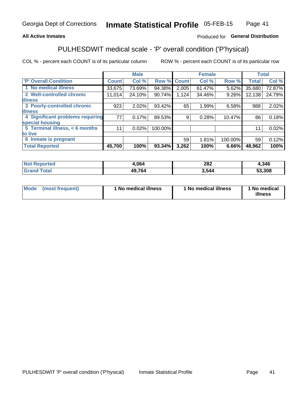### **All Active Inmates**

### Produced for General Distribution

## PULHESDWIT medical scale - 'P' overall condition ('P'hysical)

COL % - percent each COUNT is of its particular column

|                                  |              | <b>Male</b> |         |              | <b>Female</b> |         |              | <b>Total</b> |
|----------------------------------|--------------|-------------|---------|--------------|---------------|---------|--------------|--------------|
| 'P' Overall Condition            | <b>Count</b> | Col %       | Row %   | <b>Count</b> | Col %         | Row %   | <b>Total</b> | Col %        |
| 1 No medical illness             | 33,675       | 73.69%      | 94.38%  | 2,005        | 61.47%        | 5.62%   | 35,680       | 72.87%       |
| 2 Well-controlled chronic        | 11,014       | 24.10%      | 90.74%  | 1,124        | 34.46%        | 9.26%   | 12,138       | 24.79%       |
| <b>illness</b>                   |              |             |         |              |               |         |              |              |
| 3 Poorly-controlled chronic      | 923          | 2.02%       | 93.42%  | 65           | 1.99%         | 6.58%   | 988          | 2.02%        |
| <b>illness</b>                   |              |             |         |              |               |         |              |              |
| 4 Significant problems requiring | 77           | 0.17%       | 89.53%  | 9            | 0.28%         | 10.47%  | 86           | 0.18%        |
| special housing                  |              |             |         |              |               |         |              |              |
| 5 Terminal illness, < 6 months   | 11           | 0.02%       | 100.00% |              |               |         | 11           | 0.02%        |
| to live                          |              |             |         |              |               |         |              |              |
| 6 Inmate is pregnant             |              |             |         | 59           | 1.81%         | 100.00% | 59           | 0.12%        |
| <b>Total Reported</b>            | 45,700       | 100%        | 93.34%  | 3,262        | 100%          | 6.66%   | 48,962       | 100%         |

| 'N          | .064                            | ററ<br>ZOZ | .346        |
|-------------|---------------------------------|-----------|-------------|
| $5 - 6 - 1$ | $\Delta$ 9.7 $\epsilon$<br>64 ' | 511       | .308<br>$-$ |

| Mode | (most frequent) | 1 No medical illness | 1 No medical illness | 1 No medical<br>illness |
|------|-----------------|----------------------|----------------------|-------------------------|
|------|-----------------|----------------------|----------------------|-------------------------|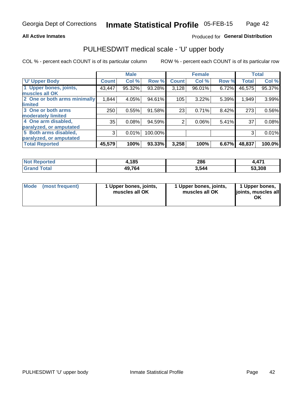### **All Active Inmates**

### Produced for General Distribution

# PULHESDWIT medical scale - 'U' upper body

COL % - percent each COUNT is of its particular column

|                              |              | <b>Male</b> |         |                | <b>Female</b> |       |              | <b>Total</b> |
|------------------------------|--------------|-------------|---------|----------------|---------------|-------|--------------|--------------|
| <b>U' Upper Body</b>         | <b>Count</b> | Col %       | Row %   | <b>Count</b>   | Col %         | Row % | <b>Total</b> | Col %        |
| 1 Upper bones, joints,       | 43,447       | 95.32%      | 93.28%  | 3,128          | 96.01%        | 6.72% | 46,575       | 95.37%       |
| muscles all OK               |              |             |         |                |               |       |              |              |
| 2 One or both arms minimally | 1,844        | 4.05%       | 94.61%  | 105            | 3.22%         | 5.39% | 1,949        | 3.99%        |
| limited                      |              |             |         |                |               |       |              |              |
| 3 One or both arms           | 250          | 0.55%       | 91.58%  | 23             | 0.71%         | 8.42% | 273          | 0.56%        |
| <b>moderately limited</b>    |              |             |         |                |               |       |              |              |
| 4 One arm disabled,          | 35           | 0.08%       | 94.59%  | $\overline{2}$ | 0.06%         | 5.41% | 37           | 0.08%        |
| paralyzed, or amputated      |              |             |         |                |               |       |              |              |
| 5 Both arms disabled,        | 3            | 0.01%       | 100.00% |                |               |       | 3            | 0.01%        |
| paralyzed, or amputated      |              |             |         |                |               |       |              |              |
| <b>Total Reported</b>        | 45,579       | 100%        | 93.33%  | 3,258          | 100%          | 6.67% | 48,837       | 100.0%       |

| <b>Not Reported</b>   | 1,185  | 286   | 471.ا  |
|-----------------------|--------|-------|--------|
| <b>Total</b><br>Grand | 49,764 | 3,544 | 53,308 |

| Mode (most frequent) | 1 Upper bones, joints,<br>muscles all OK | 1 Upper bones, joints,<br>muscles all OK | 1 Upper bones,<br>joints, muscles all<br>ΟK |
|----------------------|------------------------------------------|------------------------------------------|---------------------------------------------|
|----------------------|------------------------------------------|------------------------------------------|---------------------------------------------|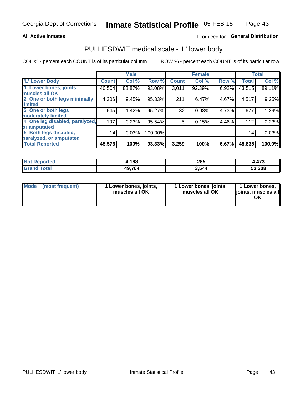### **All Active Inmates**

### Produced for General Distribution

## PULHESDWIT medical scale - 'L' lower body

COL % - percent each COUNT is of its particular column

|                                |              | <b>Male</b> |         |              | <b>Female</b> |       |                 | <b>Total</b> |
|--------------------------------|--------------|-------------|---------|--------------|---------------|-------|-----------------|--------------|
| 'L' Lower Body                 | <b>Count</b> | Col %       | Row %   | <b>Count</b> | Col %         | Row % | <b>Total</b>    | Col %        |
| 1 Lower bones, joints,         | 40,504       | 88.87%      | 93.08%  | 3,011        | 92.39%        | 6.92% | 43,515          | 89.11%       |
| muscles all OK                 |              |             |         |              |               |       |                 |              |
| 2 One or both legs minimally   | 4,306        | 9.45%       | 95.33%  | 211          | 6.47%         | 4.67% | 4,517           | 9.25%        |
| limited                        |              |             |         |              |               |       |                 |              |
| 3 One or both legs             | 645          | 1.42%       | 95.27%  | 32           | 0.98%         | 4.73% | 677             | 1.39%        |
| moderately limited             |              |             |         |              |               |       |                 |              |
| 4 One leg disabled, paralyzed, | 107          | 0.23%       | 95.54%  | 5            | 0.15%         | 4.46% | 112             | 0.23%        |
| or amputated                   |              |             |         |              |               |       |                 |              |
| 5 Both legs disabled,          | 14           | 0.03%       | 100.00% |              |               |       | 14 <sub>1</sub> | 0.03%        |
| paralyzed, or amputated        |              |             |         |              |               |       |                 |              |
| <b>Total Reported</b>          | 45,576       | 100%        | 93.33%  | 3,259        | 100%          | 6.67% | 48,835          | 100.0%       |

| <b>Not Reported</b> | ,188   | 285   | ,473   |
|---------------------|--------|-------|--------|
| <b>Total</b>        | 49,764 | 3,544 | 53.308 |

| Mode (most frequent) | 1 Lower bones, joints,<br>muscles all OK | 1 Lower bones, joints,<br>muscles all OK | 1 Lower bones,<br>joints, muscles all<br>ΟK |
|----------------------|------------------------------------------|------------------------------------------|---------------------------------------------|
|----------------------|------------------------------------------|------------------------------------------|---------------------------------------------|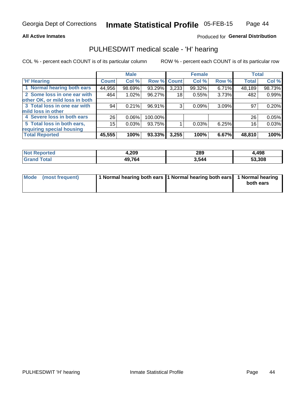### **All Active Inmates**

### Produced for General Distribution

### PULHESDWIT medical scale - 'H' hearing

COL % - percent each COUNT is of its particular column

|                                |              | <b>Male</b> |             |       | <b>Female</b> |       | <b>Total</b> |        |
|--------------------------------|--------------|-------------|-------------|-------|---------------|-------|--------------|--------|
| <b>'H' Hearing</b>             | <b>Count</b> | Col %       | Row % Count |       | Col %         | Row % | <b>Total</b> | Col %  |
| 1 Normal hearing both ears     | 44,956       | 98.69%      | 93.29%      | 3,233 | 99.32%        | 6.71% | 48,189       | 98.73% |
| 2 Some loss in one ear with    | 464          | 1.02%       | 96.27%      | 18    | 0.55%         | 3.73% | 482          | 0.99%  |
| other OK, or mild loss in both |              |             |             |       |               |       |              |        |
| 3 Total loss in one ear with   | 94           | 0.21%       | 96.91%      | 3     | 0.09%         | 3.09% | 97           | 0.20%  |
| mild loss in other             |              |             |             |       |               |       |              |        |
| 4 Severe loss in both ears     | 26           | 0.06%       | 100.00%     |       |               |       | 26           | 0.05%  |
| 5 Total loss in both ears,     | 15           | 0.03%       | 93.75%      |       | 0.03%         | 6.25% | 16           | 0.03%  |
| requiring special housing      |              |             |             |       |               |       |              |        |
| <b>Total Reported</b>          | 45,555       | 100%        | 93.33%      | 3,255 | 100%          | 6.67% | 48,810       | 100%   |

| <b>Not Renc</b><br><b>ported</b> | 1,209  | 289   | 4,498  |
|----------------------------------|--------|-------|--------|
| Гоtal                            | 49,764 | 3,544 | 53,308 |

| Mode (most frequent) | 1 Normal hearing both ears 11 Normal hearing both ears 1 Normal hearing | both ears |
|----------------------|-------------------------------------------------------------------------|-----------|
|                      |                                                                         |           |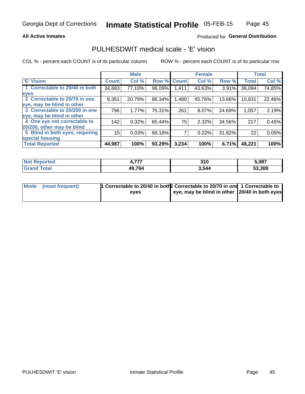### **All Active Inmates**

### Produced for General Distribution

## PULHESDWIT medical scale - 'E' vision

COL % - percent each COUNT is of its particular column

|                                 |              | <b>Male</b> |             |       | <b>Female</b> |        |              | <b>Total</b> |
|---------------------------------|--------------|-------------|-------------|-------|---------------|--------|--------------|--------------|
| <b>E' Vision</b>                | <b>Count</b> | Col %       | Row % Count |       | Col %         | Row %  | <b>Total</b> | Col %        |
| 1 Correctable to 20/40 in both  | 34,683       | 77.10%      | 96.09%      | 1,411 | 43.63%        | 3.91%  | 36,094       | 74.85%       |
| eyes                            |              |             |             |       |               |        |              |              |
| 2 Correctable to 20/70 in one   | 9,351        | 20.79%      | 86.34%      | 1,480 | 45.76%        | 13.66% | 10,831       | 22.46%       |
| eye, may be blind in other      |              |             |             |       |               |        |              |              |
| 3 Correctable to 20/200 in one  | 796          | 1.77%       | 75.31%      | 261   | 8.07%         | 24.69% | 1,057        | 2.19%        |
| eye, may be blind in other      |              |             |             |       |               |        |              |              |
| 4 One eye not correctable to    | 142          | 0.32%       | 65.44%      | 75    | 2.32%         | 34.56% | 217          | 0.45%        |
| 20/200, other may be blind      |              |             |             |       |               |        |              |              |
| 5 Blind in both eyes, requiring | 15           | 0.03%       | 68.18%      |       | 0.22%         | 31.82% | 22           | 0.05%        |
| special housing                 |              |             |             |       |               |        |              |              |
| <b>Total Reported</b>           | 44,987       | 100%        | 93.29%      | 3,234 | 100%          | 6.71%  | 48,221       | 100%         |

| <b>Not Reported</b> | ---    | <b>240</b><br>J I U | 5,087  |
|---------------------|--------|---------------------|--------|
| 'ota                | 49,764 | 3,544               | 53,308 |

| Mode (most frequent) | <sup>1</sup> Correctable to 20/40 in both 2 Correctable to 20/70 in one 1 Correctable to |                                               |  |
|----------------------|------------------------------------------------------------------------------------------|-----------------------------------------------|--|
|                      | eves                                                                                     | eye, may be blind in other 20/40 in both eyes |  |
|                      |                                                                                          |                                               |  |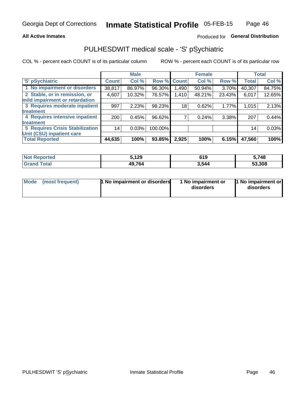### **All Active Inmates**

### Produced for General Distribution

## PULHESDWIT medical scale - 'S' pSychiatric

COL % - percent each COUNT is of its particular column

|                                        |              | <b>Male</b> |         |              | <b>Female</b> |        |              | <b>Total</b> |
|----------------------------------------|--------------|-------------|---------|--------------|---------------|--------|--------------|--------------|
| 'S' pSychiatric                        | <b>Count</b> | Col %       | Row %   | <b>Count</b> | Col %         | Row %  | <b>Total</b> | Col %        |
| 1 No impairment or disorders           | 38,817       | 86.97%      | 96.30%  | 490,         | 50.94%        | 3.70%  | 40,307       | 84.75%       |
| 2 Stable, or in remission, or          | 4,607        | 10.32%      | 76.57%  | 1,410        | 48.21%        | 23.43% | 6,017        | 12.65%       |
| mild impairment or retardation         |              |             |         |              |               |        |              |              |
| 3 Requires moderate inpatient          | 997          | 2.23%       | 98.23%  | 18           | 0.62%         | 1.77%  | 1,015        | 2.13%        |
| treatment                              |              |             |         |              |               |        |              |              |
| 4 Requires intensive inpatient         | 200          | 0.45%       | 96.62%  |              | 0.24%         | 3.38%  | 207          | 0.44%        |
| treatment                              |              |             |         |              |               |        |              |              |
| <b>5 Requires Crisis Stabilization</b> | 14           | 0.03%       | 100.00% |              |               |        | 14           | 0.03%        |
| Unit (CSU) inpatient care              |              |             |         |              |               |        |              |              |
| <b>Total Reported</b>                  | 44,635       | 100%        | 93.85%  | 2,925        | 100%          | 6.15%  | 47,560       | 100%         |

| <b>Not Reported</b>   | 5,129  | 619   | 5,748  |
|-----------------------|--------|-------|--------|
| <b>Total</b><br>Grand | 49,764 | 3,544 | 53,308 |

| Mode | (most frequent) | 1 No impairment or disorders | 1 No impairment or<br>disorders | 11 No impairment or<br>disorders |
|------|-----------------|------------------------------|---------------------------------|----------------------------------|
|------|-----------------|------------------------------|---------------------------------|----------------------------------|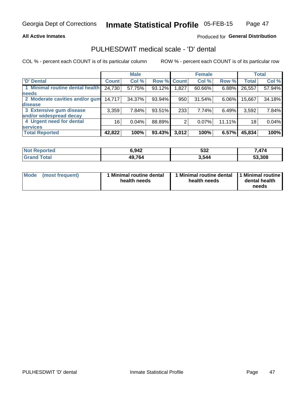### **All Active Inmates**

### Produced for General Distribution

## PULHESDWIT medical scale - 'D' dental

COL % - percent each COUNT is of its particular column

|                                 |                 | <b>Male</b> |        |             | <b>Female</b> |          |              | <b>Total</b> |
|---------------------------------|-----------------|-------------|--------|-------------|---------------|----------|--------------|--------------|
| <b>D'</b> Dental                | <b>Count</b>    | Col %       |        | Row % Count | Col %         | Row %    | <b>Total</b> | Col %        |
| 1 Minimal routine dental health | 24,730          | 57.75%      | 93.12% | 1,827       | 60.66%        | $6.88\%$ | 26,557       | 57.94%       |
| <b>needs</b>                    |                 |             |        |             |               |          |              |              |
| 2 Moderate cavities and/or gum  | 14,717          | 34.37%      | 93.94% | 950         | 31.54%        | $6.06\%$ | 15,667       | 34.18%       |
| disease                         |                 |             |        |             |               |          |              |              |
| 3 Extensive gum disease         | 3,359           | 7.84%       | 93.51% | 233         | 7.74%         | 6.49%    | 3,592        | 7.84%        |
| and/or widespread decay         |                 |             |        |             |               |          |              |              |
| 4 Urgent need for dental        | 16 <sub>1</sub> | 0.04%       | 88.89% | 2           | 0.07%         | 11.11%   | 18           | 0.04%        |
| <b>services</b>                 |                 |             |        |             |               |          |              |              |
| <b>Total Reported</b>           | 42,822          | 100%        | 93.43% | 3,012       | 100%          | 6.57%    | 45,834       | 100%         |

| <b>Not Reported</b> | 5.942  | E99<br>ാാ∠ | 171    |
|---------------------|--------|------------|--------|
| Total               | 49,764 | 3,544      | 53,308 |

| <b>Mode</b> | (most frequent) | <b>Minimal routine dental</b><br>health needs | 1 Minimal routine dental<br>health needs | <b>11 Minimal routine I</b><br>dental health<br>needs |
|-------------|-----------------|-----------------------------------------------|------------------------------------------|-------------------------------------------------------|
|-------------|-----------------|-----------------------------------------------|------------------------------------------|-------------------------------------------------------|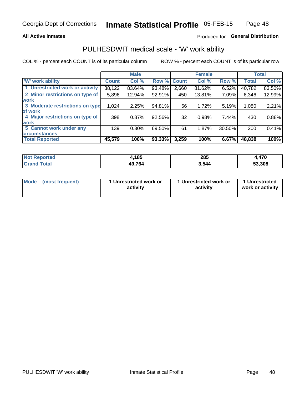### **All Active Inmates**

### Produced for General Distribution

## PULHESDWIT medical scale - 'W' work ability

COL % - percent each COUNT is of its particular column

|                                 |              | <b>Male</b> |        |              | <b>Female</b> |        |              | <b>Total</b> |
|---------------------------------|--------------|-------------|--------|--------------|---------------|--------|--------------|--------------|
| <b>W' work ability</b>          | <b>Count</b> | Col %       | Row %  | <b>Count</b> | Col %         | Row %  | <b>Total</b> | Col %        |
| 1 Unrestricted work or activity | 38,122       | 83.64%      | 93.48% | 2,660        | 81.62%        | 6.52%  | 40,782       | 83.50%       |
| 2 Minor restrictions on type of | 5,896        | 12.94%      | 92.91% | 450          | 13.81%        | 7.09%  | 6,346        | 12.99%       |
| <b>work</b>                     |              |             |        |              |               |        |              |              |
| 3 Moderate restrictions on type | 1,024        | 2.25%       | 94.81% | 56           | 1.72%         | 5.19%  | 1,080        | 2.21%        |
| lof work                        |              |             |        |              |               |        |              |              |
| 4 Major restrictions on type of | 398          | 0.87%       | 92.56% | 32           | 0.98%         | 7.44%  | 430          | 0.88%        |
| <b>work</b>                     |              |             |        |              |               |        |              |              |
| 5 Cannot work under any         | 139          | $0.30\%$    | 69.50% | 61           | 1.87%         | 30.50% | 200          | 0.41%        |
| <b>circumstances</b>            |              |             |        |              |               |        |              |              |
| <b>Total Reported</b>           | 45,579       | 100%        | 93.33% | 3,259        | 100%          | 6.67%  | 48,838       | 100%         |

| <b>Not Reported</b>     | 4,185  | 285   | 170<br>7. T I V |
|-------------------------|--------|-------|-----------------|
| <b>Total</b><br>' Grand | 49,764 | 3,544 | 53,308          |

| Mode            | 1 Unrestricted work or | 1 Unrestricted work or | 1 Unrestricted   |
|-----------------|------------------------|------------------------|------------------|
| (most frequent) | activity               | activity               | work or activity |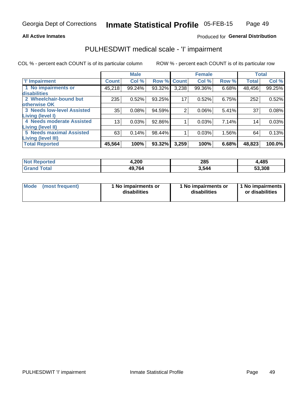### **All Active Inmates**

### Produced for General Distribution

## PULHESDWIT medical scale - 'I' impairment

COL % - percent each COUNT is of its particular column

|                                   |              | <b>Male</b> |        |                | <b>Female</b> |       |              | <b>Total</b> |
|-----------------------------------|--------------|-------------|--------|----------------|---------------|-------|--------------|--------------|
| <b>T' Impairment</b>              | <b>Count</b> | Col %       |        | Row % Count    | Col %         | Row % | <b>Total</b> | Col %        |
| 1 No impairments or               | 45,218       | 99.24%      | 93.32% | 3,238          | 99.36%        | 6.68% | 48,456       | 99.25%       |
| disabilities                      |              |             |        |                |               |       |              |              |
| 2 Wheelchair-bound but            | 235          | 0.52%       | 93.25% | 17             | 0.52%         | 6.75% | 252          | 0.52%        |
| otherwise OK                      |              |             |        |                |               |       |              |              |
| <b>3 Needs low-level Assisted</b> | 35           | 0.08%       | 94.59% | $\overline{2}$ | 0.06%         | 5.41% | 37           | 0.08%        |
| Living (level I)                  |              |             |        |                |               |       |              |              |
| 4 Needs moderate Assisted         | 13           | 0.03%       | 92.86% |                | 0.03%         | 7.14% | 14           | 0.03%        |
| Living (level II)                 |              |             |        |                |               |       |              |              |
| <b>5 Needs maximal Assisted</b>   | 63           | 0.14%       | 98.44% | 1              | 0.03%         | 1.56% | 64           | 0.13%        |
| <b>Living (level III)</b>         |              |             |        |                |               |       |              |              |
| <b>Total Reported</b>             | 45,564       | 100%        | 93.32% | 3,259          | 100%          | 6.68% | 48,823       | 100.0%       |

| <b>Not</b><br>Reported | 4,200  | 285   | 4,485  |
|------------------------|--------|-------|--------|
| Total                  | 49,764 | 3.544 | 53,308 |

| Mode | (most frequent) | 1 No impairments or<br>disabilities | 1 No impairments or<br>disabilities | 1 No impairments<br>or disabilities |
|------|-----------------|-------------------------------------|-------------------------------------|-------------------------------------|
|------|-----------------|-------------------------------------|-------------------------------------|-------------------------------------|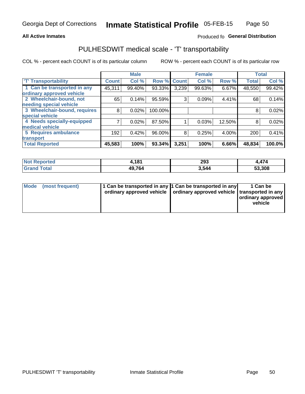### **All Active Inmates**

### Produced fo General Distribution

## PULHESDWIT medical scale - 'T' transportability

COL % - percent each COUNT is of its particular column

|                              |              | <b>Male</b> |             |       | <b>Female</b> |        | <b>Total</b> |        |
|------------------------------|--------------|-------------|-------------|-------|---------------|--------|--------------|--------|
| <b>T' Transportability</b>   | <b>Count</b> | Col %       | Row % Count |       | Col %         | Row %  | <b>Total</b> | Col %  |
| 1 Can be transported in any  | 45,311       | 99.40%      | 93.33%      | 3,239 | 99.63%        | 6.67%  | 48,550       | 99.42% |
| ordinary approved vehicle    |              |             |             |       |               |        |              |        |
| 2 Wheelchair-bound, not      | 65           | 0.14%       | 95.59%      | 3     | 0.09%         | 4.41%  | 68           | 0.14%  |
| needing special vehicle      |              |             |             |       |               |        |              |        |
| 3 Wheelchair-bound, requires | 8            | 0.02%       | 100.00%     |       |               |        | 8            | 0.02%  |
| special vehicle              |              |             |             |       |               |        |              |        |
| 4 Needs specially-equipped   |              | 0.02%       | 87.50%      |       | 0.03%         | 12.50% | 8            | 0.02%  |
| medical vehicle              |              |             |             |       |               |        |              |        |
| <b>5 Requires ambulance</b>  | 192          | 0.42%       | 96.00%      | 8     | 0.25%         | 4.00%  | 200          | 0.41%  |
| transport                    |              |             |             |       |               |        |              |        |
| <b>Total Reported</b>        | 45,583       | 100%        | 93.34%      | 3,251 | 100%          | 6.66%  | 48,834       | 100.0% |

| <b>:ported</b> | -4.04<br>. | 293   | 1,474  |
|----------------|------------|-------|--------|
| <b>otal</b>    | 49,764     | 3.544 | 53,308 |

|  | Mode (most frequent) | 1 Can be transported in any 1 Can be transported in any<br>ordinary approved vehicle   ordinary approved vehicle   transported in any |  | 1 Can be<br>  ordinary approved  <br>vehicle |
|--|----------------------|---------------------------------------------------------------------------------------------------------------------------------------|--|----------------------------------------------|
|--|----------------------|---------------------------------------------------------------------------------------------------------------------------------------|--|----------------------------------------------|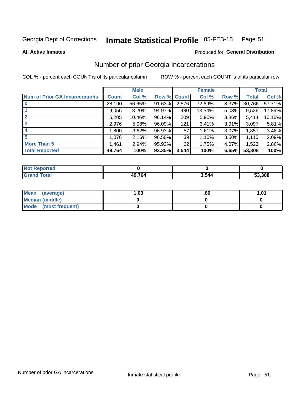#### Inmate Statistical Profile 05-FEB-15 Page 51

**All Active Inmates** 

#### Produced for General Distribution

## Number of prior Georgia incarcerations

COL % - percent each COUNT is of its particular column

|                                       |              | <b>Male</b> |                    |       | <b>Female</b> |       |        | <b>Total</b> |
|---------------------------------------|--------------|-------------|--------------------|-------|---------------|-------|--------|--------------|
| <b>Num of Prior GA Incarcerations</b> | <b>Count</b> | Col %       | <b>Row % Count</b> |       | Col %         | Row % | Total  | Col %        |
| $\bf{0}$                              | 28,190       | 56.65%      | 91.63%             | 2,576 | 72.69%        | 8.37% | 30,766 | 57.71%       |
|                                       | 9,056        | 18.20%      | 94.97%             | 480   | 13.54%        | 5.03% | 9,536  | 17.89%       |
| $\mathbf{2}$                          | 5,205        | 10.46%      | 96.14%             | 209   | 5.90%         | 3.86% | 5,414  | 10.16%       |
| 3                                     | 2,976        | 5.98%       | 96.09%             | 121   | 3.41%         | 3.91% | 3,097  | 5.81%        |
| 4                                     | 1,800        | 3.62%       | 96.93%             | 57    | 1.61%         | 3.07% | 1,857  | 3.48%        |
| 5                                     | 1,076        | 2.16%       | 96.50%             | 39    | 1.10%         | 3.50% | 1,115  | 2.09%        |
| <b>More Than 5</b>                    | 1,461        | 2.94%       | 95.93%             | 62    | 1.75%         | 4.07% | 1,523  | 2.86%        |
| <b>Total Reported</b>                 | 49,764       | 100%        | 93.35%             | 3,544 | 100%          | 6.65% | 53,308 | 100%         |

| <b>Not</b><br>Reported |        |       |        |
|------------------------|--------|-------|--------|
| <b>Total</b><br>'Grand | 49,764 | 3,544 | 53,308 |

| Mean (average)       | .03 | .60 | 1.01 |
|----------------------|-----|-----|------|
| Median (middle)      |     |     |      |
| Mode (most frequent) |     |     |      |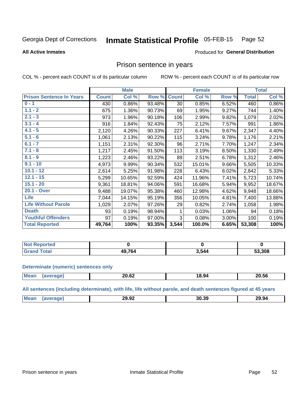#### Inmate Statistical Profile 05-FEB-15 Page 52

#### **All Active Inmates**

#### Produced for General Distribution

### Prison sentence in years

COL % - percent each COUNT is of its particular column

ROW % - percent each COUNT is of its particular row

|                                 |              | <b>Male</b> |        |              | <b>Female</b> |       |              | <b>Total</b> |
|---------------------------------|--------------|-------------|--------|--------------|---------------|-------|--------------|--------------|
| <b>Prison Sentence In Years</b> | <b>Count</b> | Col %       | Row %  | <b>Count</b> | Col %         | Row % | <b>Total</b> | Col %        |
| $0 - 1$                         | 430          | 0.86%       | 93.48% | 30           | 0.85%         | 6.52% | 460          | 0.86%        |
| $1.1 - 2$                       | 675          | 1.36%       | 90.73% | 69           | 1.95%         | 9.27% | 744          | 1.40%        |
| $2.1 - 3$                       | 973          | 1.96%       | 90.18% | 106          | 2.99%         | 9.82% | 1,079        | 2.02%        |
| $3.1 - 4$                       | 916          | 1.84%       | 92.43% | 75           | 2.12%         | 7.57% | 991          | 1.86%        |
| $4.1 - 5$                       | 2,120        | 4.26%       | 90.33% | 227          | 6.41%         | 9.67% | 2,347        | 4.40%        |
| $5.1 - 6$                       | 1,061        | 2.13%       | 90.22% | 115          | 3.24%         | 9.78% | 1,176        | 2.21%        |
| $6.1 - 7$                       | 1,151        | 2.31%       | 92.30% | 96           | 2.71%         | 7.70% | 1,247        | 2.34%        |
| $7.1 - 8$                       | 1,217        | 2.45%       | 91.50% | 113          | 3.19%         | 8.50% | 1,330        | 2.49%        |
| $8.1 - 9$                       | 1,223        | 2.46%       | 93.22% | 89           | 2.51%         | 6.78% | 1,312        | 2.46%        |
| $9.1 - 10$                      | 4,973        | 9.99%       | 90.34% | 532          | 15.01%        | 9.66% | 5,505        | 10.33%       |
| $10.1 - 12$                     | 2,614        | 5.25%       | 91.98% | 228          | 6.43%         | 8.02% | 2,842        | 5.33%        |
| $12.1 - 15$                     | 5,299        | 10.65%      | 92.59% | 424          | 11.96%        | 7.41% | 5,723        | 10.74%       |
| $15.1 - 20$                     | 9,361        | 18.81%      | 94.06% | 591          | 16.68%        | 5.94% | 9,952        | 18.67%       |
| 20.1 - Over                     | 9,488        | 19.07%      | 95.38% | 460          | 12.98%        | 4.62% | 9,948        | 18.66%       |
| <b>Life</b>                     | 7,044        | 14.15%      | 95.19% | 356          | 10.05%        | 4.81% | 7,400        | 13.88%       |
| <b>Life Without Parole</b>      | 1,029        | 2.07%       | 97.26% | 29           | 0.82%         | 2.74% | 1,058        | 1.98%        |
| <b>Death</b>                    | 93           | 0.19%       | 98.94% |              | 0.03%         | 1.06% | 94           | 0.18%        |
| <b>Youthful Offenders</b>       | 97           | 0.19%       | 97.00% | 3            | 0.08%         | 3.00% | 100          | 0.19%        |
| <b>Total Reported</b>           | 49,764       | 100%        | 93.35% | 3,544        | 100.0%        | 6.65% | 53,308       | 100%         |

| ported<br>I NOT |        |       |        |
|-----------------|--------|-------|--------|
|                 | 49.764 | 3,544 | 53,308 |

#### **Determinate (numeric) sentences only**

| Mean | 20.62 | .<br>18.94 | 20.56 |
|------|-------|------------|-------|
|      |       |            |       |

All sentences (including determinate), with life, life without parole, and death sentences figured at 45 years

| Mean | $\sim$ $\sim$<br>ה הר<br>29.YZ<br>____ | 30.39 | 29.94 |
|------|----------------------------------------|-------|-------|
|      |                                        |       |       |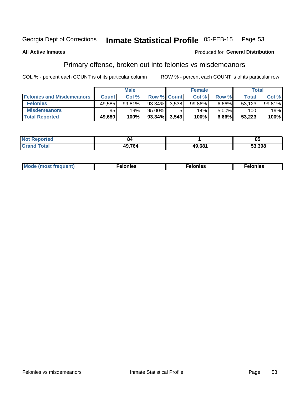#### Inmate Statistical Profile 05-FEB-15 Page 53

### **All Active Inmates**

### Produced for General Distribution

## Primary offense, broken out into felonies vs misdemeanors

COL % - percent each COUNT is of its particular column

|                                  |              | <b>Male</b> |             |       | <b>Female</b> |       |        | Total  |
|----------------------------------|--------------|-------------|-------------|-------|---------------|-------|--------|--------|
| <b>Felonies and Misdemeanors</b> | <b>Count</b> | Col %       | Row % Count |       | Col %         | Row % | Total  | Col %  |
| <b>Felonies</b>                  | 49,585       | 99.81%      | 93.34%      | 3.538 | 99.86%        | 6.66% | 53,123 | 99.81% |
| <b>Misdemeanors</b>              | 95           | $19\%$ .    | 95.00%      |       | 14%           | 5.00% | 100    | .19%   |
| <b>Total Reported</b>            | 49,680       | 100%        | $93.34\%$   | 3,543 | 100%          | 6.66% | 53,223 | 100%   |

| <b>Not Reported</b> | 84     |        | oг<br>uj |
|---------------------|--------|--------|----------|
| ' Grand<br>Гоtal    | 49,764 | 49.681 | 53.308   |

| M      | .    | nes | onies |
|--------|------|-----|-------|
| nuenti | ____ | .   | .     |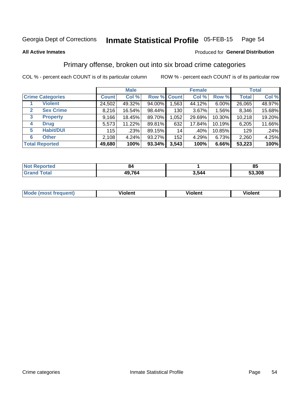#### Inmate Statistical Profile 05-FEB-15 Page 54

#### **All Active Inmates**

### Produced for General Distribution

## Primary offense, broken out into six broad crime categories

COL % - percent each COUNT is of its particular column

|                         | <b>Male</b>  |        |           | <b>Female</b> |        |          | <b>Total</b> |        |
|-------------------------|--------------|--------|-----------|---------------|--------|----------|--------------|--------|
| <b>Crime Categories</b> | <b>Count</b> | Col %  |           | Row % Count   | Col %  | Row %    | <b>Total</b> | Col %  |
| <b>Violent</b>          | 24,502       | 49.32% | 94.00%    | 1,563         | 44.12% | $6.00\%$ | 26,065       | 48.97% |
| <b>Sex Crime</b><br>2   | 8,216        | 16.54% | 98.44%    | 130           | 3.67%  | 1.56%    | 8,346        | 15.68% |
| 3<br><b>Property</b>    | 9,166        | 18.45% | 89.70%    | 1,052         | 29.69% | 10.30%   | 10,218       | 19.20% |
| <b>Drug</b><br>4        | 5,573        | 11.22% | 89.81%    | 632           | 17.84% | 10.19%   | 6,205        | 11.66% |
| <b>Habit/DUI</b><br>5   | 115          | .23%   | 89.15%    | 14            | .40%   | 10.85%   | 129          | .24%   |
| <b>Other</b><br>6       | 2,108        | 4.24%  | 93.27%    | 152           | 4.29%  | 6.73%    | 2,260        | 4.25%  |
| <b>Total Reported</b>   | 49,680       | 100%   | $93.34\%$ | 3,543         | 100%   | 6.66%    | 53,223       | 100%   |

| rted<br>NO       | 84     |       | - -<br>၀၁ |
|------------------|--------|-------|-----------|
| $T \sim$ for $T$ | 49,764 | 3,544 | 53,308    |

| M | - --<br>100011 | .<br><b>VIOIGIIL</b> | 1.91311 |
|---|----------------|----------------------|---------|
|   |                |                      |         |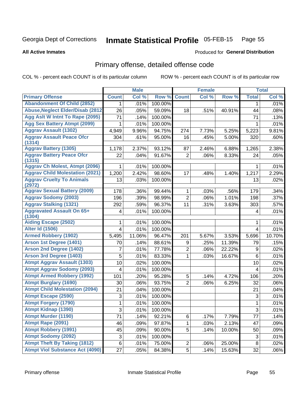#### Inmate Statistical Profile 05-FEB-15 Page 55

#### **All Active Inmates**

# **Produced for General Distribution**

## Primary offense, detailed offense code

COL % - percent each COUNT is of its particular column

|                                            |                | <b>Male</b> |         |                | <b>Female</b> |        |                | <b>Total</b> |
|--------------------------------------------|----------------|-------------|---------|----------------|---------------|--------|----------------|--------------|
| <b>Primary Offense</b>                     | <b>Count</b>   | Col %       | Row %   | <b>Count</b>   | Col %         | Row %  | <b>Total</b>   | Col %        |
| <b>Abandonment Of Child (2852)</b>         | 1.             | .01%        | 100.00% |                |               |        | 1              | .01%         |
| <b>Abuse, Neglect Elder/Disab (2812)</b>   | 26             | .05%        | 59.09%  | 18             | .51%          | 40.91% | 44             | .08%         |
| Agg Aslt W Intnt To Rape (2095)            | 71             | .14%        | 100.00% |                |               |        | 71             | .13%         |
| <b>Agg Sex Battery Atmpt (2099)</b>        | 1              | .01%        | 100.00% |                |               |        | 1              | .01%         |
| <b>Aggrav Assault (1302)</b>               | 4,949          | 9.96%       | 94.75%  | 274            | 7.73%         | 5.25%  | 5,223          | 9.81%        |
| <b>Aggrav Assault Peace Ofcr</b><br>(1314) | 304            | .61%        | 95.00%  | 16             | .45%          | 5.00%  | 320            | .60%         |
| <b>Aggrav Battery (1305)</b>               | 1,178          | 2.37%       | 93.12%  | 87             | 2.46%         | 6.88%  | 1,265          | 2.38%        |
| <b>Aggrav Battery Peace Ofcr</b><br>(1315) | 22             | .04%        | 91.67%  | $\overline{2}$ | .06%          | 8.33%  | 24             | .05%         |
| <b>Aggrav Ch Molest, Atmpt (2096)</b>      |                | .01%        | 100.00% |                |               |        | 1              | .01%         |
| <b>Aggrav Child Molestation (2021)</b>     | 1,200          | 2.42%       | 98.60%  | 17             | .48%          | 1.40%  | 1,217          | 2.29%        |
| <b>Aggrav Cruelty To Animals</b><br>(2972) | 13             | .03%        | 100.00% |                |               |        | 13             | .02%         |
| <b>Aggrav Sexual Battery (2009)</b>        | 178            | .36%        | 99.44%  | 1              | .03%          | .56%   | 179            | .34%         |
| <b>Aggrav Sodomy (2003)</b>                | 196            | .39%        | 98.99%  | $\overline{2}$ | .06%          | 1.01%  | 198            | .37%         |
| <b>Aggrav Stalking (1321)</b>              | 292            | .59%        | 96.37%  | 11             | .31%          | 3.63%  | 303            | .57%         |
| <b>Aggravated Assault On 65+</b><br>(1304) | 4              | .01%        | 100.00% |                |               |        | 4              | .01%         |
| <b>Aiding Escape (2502)</b>                | 1              | .01%        | 100.00% |                |               |        | 1              | .01%         |
| <b>Alter Id (1506)</b>                     | $\overline{4}$ | .01%        | 100.00% |                |               |        | $\overline{4}$ | .01%         |
| <b>Armed Robbery (1902)</b>                | 5,495          | 11.06%      | 96.47%  | 201            | 5.67%         | 3.53%  | 5,696          | 10.70%       |
| Arson 1st Degree (1401)                    | 70             | .14%        | 88.61%  | 9              | .25%          | 11.39% | 79             | .15%         |
| <b>Arson 2nd Degree (1402)</b>             | 7              | .01%        | 77.78%  | $\overline{2}$ | .06%          | 22.22% | 9              | .02%         |
| <b>Arson 3rd Degree (1403)</b>             | 5              | .01%        | 83.33%  | 1              | .03%          | 16.67% | 6              | .01%         |
| <b>Atmpt Aggrav Assault (1303)</b>         | 10             | .02%        | 100.00% |                |               |        | 10             | .02%         |
| <b>Atmpt Aggrav Sodomy (2093)</b>          | 4              | .01%        | 100.00% |                |               |        | 4              | .01%         |
| <b>Atmpt Armed Robbery (1992)</b>          | 101            | .20%        | 95.28%  | 5              | .14%          | 4.72%  | 106            | .20%         |
| <b>Atmpt Burglary (1690)</b>               | 30             | .06%        | 93.75%  | $\overline{2}$ | .06%          | 6.25%  | 32             | .06%         |
| <b>Atmpt Child Molestation (2094)</b>      | 21             | .04%        | 100.00% |                |               |        | 21             | .04%         |
| <b>Atmpt Escape (2590)</b>                 | 3              | .01%        | 100.00% |                |               |        | 3              | .01%         |
| <b>Atmpt Forgery (1790)</b>                | 1              | .01%        | 100.00% |                |               |        | 1              | .01%         |
| Atmpt Kidnap (1390)                        | 3              | .01%        | 100.00% |                |               |        | $\overline{3}$ | .01%         |
| Atmpt Murder (1190)                        | 71             | .14%        | 92.21%  | 6              | .17%          | 7.79%  | 77             | .14%         |
| Atmpt Rape (2091)                          | 46             | .09%        | 97.87%  | 1.             | .03%          | 2.13%  | 47             | .09%         |
| <b>Atmpt Robbery (1991)</b>                | 45             | .09%        | 90.00%  | 5              | .14%          | 10.00% | 50             | .09%         |
| <b>Atmpt Sodomy (2092)</b>                 | 3              | .01%        | 100.00% |                |               |        | 3              | .01%         |
| <b>Atmpt Theft By Taking (1812)</b>        | 6              | .01%        | 75.00%  | $\overline{2}$ | .06%          | 25.00% | 8              | .02%         |
| <b>Atmpt Viol Substance Act (4090)</b>     | 27             | .05%        | 84.38%  | 5              | .14%          | 15.63% | 32             | .06%         |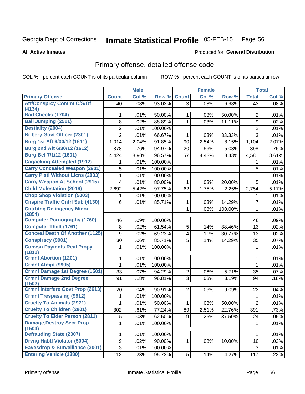#### Inmate Statistical Profile 05-FEB-15 Page 56

#### **All Active Inmates**

## **Produced for General Distribution**

## Primary offense, detailed offense code

COL % - percent each COUNT is of its particular column

|                                                        | <b>Male</b>    |       | <b>Female</b> |                |       | <b>Total</b> |                |       |
|--------------------------------------------------------|----------------|-------|---------------|----------------|-------|--------------|----------------|-------|
| <b>Primary Offense</b>                                 | <b>Count</b>   | Col % | Row %         | <b>Count</b>   | Col % | Row %        | <b>Total</b>   | Col % |
| <b>Att/Consprcy Commt C/S/Of</b>                       | 40             | .08%  | 93.02%        | 3 <sup>1</sup> | .08%  | 6.98%        | 43             | .08%  |
| (4134)                                                 |                |       |               |                |       |              |                |       |
| <b>Bad Checks (1704)</b>                               | 1              | .01%  | 50.00%        | 1              | .03%  | 50.00%       | $\overline{2}$ | .01%  |
| <b>Bail Jumping (2511)</b><br><b>Bestiality (2004)</b> | 8              | .02%  | 88.89%        | 1              | .03%  | 11.11%       | 9              | .02%  |
|                                                        | $\overline{2}$ | .01%  | 100.00%       |                |       |              | $\overline{2}$ | .01%  |
| <b>Bribery Govt Officer (2301)</b>                     | $\overline{2}$ | .01%  | 66.67%        | 1              | .03%  | 33.33%       | 3              | .01%  |
| Burg 1st Aft 6/30/12 (1611)                            | 1,014          | 2.04% | 91.85%        | 90             | 2.54% | 8.15%        | 1,104          | 2.07% |
| Burg 2nd Aft 6/30/12 (1612)                            | 378            | .76%  | 94.97%        | 20             | .56%  | 5.03%        | 398            | .75%  |
| <b>Burg Bef 7/1/12 (1601)</b>                          | 4,424          | 8.90% | 96.57%        | 157            | 4.43% | 3.43%        | 4,581          | 8.61% |
| <b>Carjacking, Attempted (1912)</b>                    |                | .01%  | 100.00%       |                |       |              | 1              | .01%  |
| <b>Carry Concealed Weapon (2901)</b>                   | 5              | .01%  | 100.00%       |                |       |              | 5              | .01%  |
| <b>Carry Pistl Without Licns (2903)</b>                | 1              | .01%  | 100.00%       |                |       |              | 1              | .01%  |
| <b>Carry Weapon At School (2915)</b>                   | 4              | .01%  | 80.00%        | 1              | .03%  | 20.00%       | 5              | .01%  |
| <b>Child Molestation (2019)</b>                        | 2,692          | 5.42% | 97.75%        | 62             | 1.75% | 2.25%        | 2,754          | 5.17% |
| <b>Chop Shop Violation (5003)</b>                      | 1              | .01%  | 100.00%       |                |       |              | 1              | .01%  |
| <b>Cnspire Traffic Cntrl Sub (4130)</b>                | 6              | .01%  | 85.71%        | 1              | .03%  | 14.29%       | 7              | .01%  |
| <b>Cntrbtng Delingency Minor</b><br>(2854)             |                |       |               | 1              | .03%  | 100.00%      | 1              | .01%  |
| <b>Computer Pornography (1760)</b>                     | 46             | .09%  | 100.00%       |                |       |              | 46             | .09%  |
| <b>Computer Theft (1761)</b>                           | 8              | .02%  | 61.54%        | 5              | .14%  | 38.46%       | 13             | .02%  |
| <b>Conceal Death Of Another (1125)</b>                 | 9              | .02%  | 69.23%        | 4              | .11%  | 30.77%       | 13             | .02%  |
| <b>Conspiracy (9901)</b>                               | 30             | .06%  | 85.71%        | 5              | .14%  | 14.29%       | 35             | .07%  |
| <b>Convsn Paymnts Real Propy</b><br>(1811)             | 1              | .01%  | 100.00%       |                |       |              | 1              | .01%  |
| <b>Crmnl Abortion (1201)</b>                           | 1              | .01%  | 100.00%       |                |       |              | 1              | .01%  |
| Crmnl Atmpt (9905)                                     | 1              | .01%  | 100.00%       |                |       |              | 1              | .01%  |
| Crmnl Damage 1st Degree (1501)                         | 33             | .07%  | 94.29%        | $\overline{2}$ | .06%  | 5.71%        | 35             | .07%  |
| <b>Crmnl Damage 2nd Degree</b><br>(1502)               | 91             | .18%  | 96.81%        | 3              | .08%  | 3.19%        | 94             | .18%  |
| <b>Crmnl Interfere Govt Prop (2613)</b>                | 20             | .04%  | 90.91%        | $\overline{2}$ | .06%  | 9.09%        | 22             | .04%  |
| <b>Crmnl Trespassing (9912)</b>                        | 1              | .01%  | 100.00%       |                |       |              | 1              | .01%  |
| <b>Cruelty To Animals (2971)</b>                       | 1              | .01%  | 50.00%        | 1              | .03%  | 50.00%       | $\overline{2}$ | .01%  |
| <b>Cruelty To Children (2801)</b>                      | 302            | .61%  | 77.24%        | 89             | 2.51% | 22.76%       | 391            | .73%  |
| <b>Cruelty To Elder Person (2811)</b>                  | 15             | .03%  | 62.50%        | 9              | .25%  | 37.50%       | 24             | .05%  |
| <b>Damage, Destroy Secr Prop</b><br>(1504)             | 1              | .01%  | 100.00%       |                |       |              | 1              | .01%  |
| <b>Defrauding State (2307)</b>                         | 1              | .01%  | 100.00%       |                |       |              | 1              | .01%  |
| <b>Drvng Habtl Violator (5004)</b>                     | 9              | .02%  | 90.00%        | 1              | .03%  | 10.00%       | 10             | .02%  |
| <b>Eavesdrop &amp; Surveillance (3001)</b>             | 3              | .01%  | 100.00%       |                |       |              | 3              | .01%  |
| <b>Entering Vehicle (1880)</b>                         | 112            | .23%  | 95.73%        | 5              | .14%  | 4.27%        | 117            | .22%  |
|                                                        |                |       |               |                |       |              |                |       |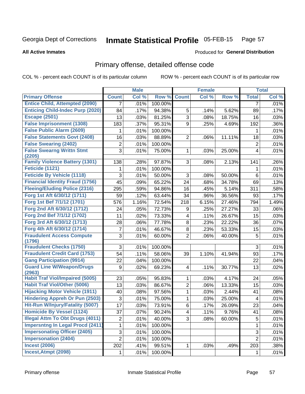#### **Inmate Statistical Profile 05-FEB-15** Page 57

**All Active Inmates** 

### **Produced for General Distribution**

## Primary offense, detailed offense code

COL % - percent each COUNT is of its particular column

|                                            |                | <b>Male</b> |         |                         | <b>Female</b> |        |                | <b>Total</b> |
|--------------------------------------------|----------------|-------------|---------|-------------------------|---------------|--------|----------------|--------------|
| <b>Primary Offense</b>                     | <b>Count</b>   | Col %       | Row %   | <b>Count</b>            | Col %         | Row %  | <b>Total</b>   | Col %        |
| <b>Entice Child, Attempted (2090)</b>      | 7              | .01%        | 100.00% |                         |               |        | 7              | .01%         |
| <b>Enticing Child-Indec Purp (2020)</b>    | 84             | .17%        | 94.38%  | 5                       | .14%          | 5.62%  | 89             | .17%         |
| <b>Escape (2501)</b>                       | 13             | .03%        | 81.25%  | $\overline{3}$          | .08%          | 18.75% | 16             | .03%         |
| <b>False Imprisonment (1308)</b>           | 183            | .37%        | 95.31%  | 9                       | .25%          | 4.69%  | 192            | .36%         |
| <b>False Public Alarm (2609)</b>           | 1              | .01%        | 100.00% |                         |               |        | 1              | .01%         |
| <b>False Statements Govt (2408)</b>        | 16             | .03%        | 88.89%  | $\overline{2}$          | .06%          | 11.11% | 18             | .03%         |
| <b>False Swearing (2402)</b>               | $\overline{2}$ | .01%        | 100.00% |                         |               |        | $\overline{2}$ | .01%         |
| <b>False Swearng Writtn Stmt</b><br>(2205) | 3              | .01%        | 75.00%  | $\mathbf{1}$            | .03%          | 25.00% | 4              | .01%         |
| <b>Family Violence Battery (1301)</b>      | 138            | .28%        | 97.87%  | 3                       | .08%          | 2.13%  | 141            | .26%         |
| Feticide (1121)                            | 1              | .01%        | 100.00% |                         |               |        | 1              | .01%         |
| <b>Feticide By Vehicle (1118)</b>          | 3              | .01%        | 50.00%  | 3                       | .08%          | 50.00% | 6              | .01%         |
| <b>Financial Identity Fraud (1756)</b>     | 45             | .09%        | 65.22%  | 24                      | .68%          | 34.78% | 69             | .13%         |
| <b>Fleeing/Eluding Police (2316)</b>       | 295            | .59%        | 94.86%  | 16                      | .45%          | 5.14%  | 311            | .58%         |
| Forg 1st Aft 6/30/12 (1711)                | 59             | .12%        | 63.44%  | 34                      | .96%          | 36.56% | 93             | .17%         |
| Forg 1st Bef 7/1/12 (1701)                 | 576            | 1.16%       | 72.54%  | 218                     | 6.15%         | 27.46% | 794            | 1.49%        |
| Forg 2nd Aft 6/30/12 (1712)                | 24             | .05%        | 72.73%  | 9                       | .25%          | 27.27% | 33             | .06%         |
| Forg 2nd Bef 7/1/12 (1702)                 | 11             | .02%        | 73.33%  | $\overline{\mathbf{4}}$ | .11%          | 26.67% | 15             | .03%         |
| Forg 3rd Aft 6/30/12 (1713)                | 28             | .06%        | 77.78%  | 8                       | .23%          | 22.22% | 36             | .07%         |
| Forg 4th Aft 6/30/12 (1714)                | 7              | .01%        | 46.67%  | 8                       | .23%          | 53.33% | 15             | .03%         |
| <b>Fraudulent Access Compute</b><br>(1796) | 3              | .01%        | 60.00%  | $\overline{2}$          | .06%          | 40.00% | 5              | .01%         |
| <b>Fraudulent Checks (1750)</b>            | 3              | .01%        | 100.00% |                         |               |        | 3              | .01%         |
| <b>Fraudulent Credit Card (1753)</b>       | 54             | .11%        | 58.06%  | 39                      | 1.10%         | 41.94% | 93             | .17%         |
| <b>Gang Participation (9914)</b>           | 22             | .04%        | 100.00% |                         |               |        | 22             | .04%         |
| <b>Guard Line W/Weapon/Drugs</b><br>(2963) | 9              | .02%        | 69.23%  | $\overline{4}$          | .11%          | 30.77% | 13             | .02%         |
| <b>Habit Traf Viol/Impaired (5005)</b>     | 23             | .05%        | 95.83%  | 1                       | .03%          | 4.17%  | 24             | .05%         |
| <b>Habit Traf Viol/Other (5006)</b>        | 13             | .03%        | 86.67%  | $\overline{c}$          | .06%          | 13.33% | 15             | .03%         |
| <b>Hijacking Motor Vehicle (1911)</b>      | 40             | .08%        | 97.56%  | $\mathbf{1}$            | .03%          | 2.44%  | 41             | .08%         |
| <b>Hindering Appreh Or Pun (2503)</b>      | 3              | .01%        | 75.00%  | 1                       | .03%          | 25.00% | 4              | .01%         |
| Hit-Run W/Injury/Fatality (5007)           | 17             | .03%        | 73.91%  | 6                       | .17%          | 26.09% | 23             | .04%         |
| <b>Homicide By Vessel (1124)</b>           | 37             | .07%        | 90.24%  | $\vert 4 \vert$         | .11%          | 9.76%  | 41             | .08%         |
| <b>Illegal Attm To Obt Drugs (4011)</b>    | $\overline{2}$ | .01%        | 40.00%  | 3 <sup>1</sup>          | .08%          | 60.00% | 5              | .01%         |
| <b>Impersntng In Legal Procd (2411)</b>    | 1              | .01%        | 100.00% |                         |               |        | $\mathbf 1$    | .01%         |
| <b>Impersonating Officer (2405)</b>        | 3              | .01%        | 100.00% |                         |               |        | 3              | .01%         |
| <b>Impersonation (2404)</b>                | $\overline{2}$ | .01%        | 100.00% |                         |               |        | $\overline{2}$ | .01%         |
| <b>Incest (2006)</b>                       | 202            | .41%        | 99.51%  | 1                       | .03%          | .49%   | 203            | .38%         |
| Incest, Atmpt (2098)                       | 1              | .01%        | 100.00% |                         |               |        | 1              | .01%         |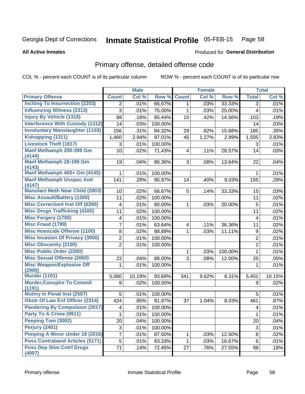#### **Inmate Statistical Profile 05-FEB-15** Page 58

#### **All Active Inmates**

## **Produced for General Distribution**

## Primary offense, detailed offense code

COL % - percent each COUNT is of its particular column

|                                             |                | <b>Male</b> |         |              | <b>Female</b> |         |                | <b>Total</b> |
|---------------------------------------------|----------------|-------------|---------|--------------|---------------|---------|----------------|--------------|
| <b>Primary Offense</b>                      | <b>Count</b>   | Col %       | Row %   | <b>Count</b> | Col %         | Row %   | <b>Total</b>   | Col %        |
| <b>Inciting To Insurrection (2203)</b>      | $\overline{2}$ | .01%        | 66.67%  | 1            | .03%          | 33.33%  | 3              | .01%         |
| <b>Influencing Witness (2313)</b>           | 3              | .01%        | 75.00%  | 1            | .03%          | 25.00%  | $\overline{4}$ | .01%         |
| <b>Injury By Vehicle (1318)</b>             | 88             | .18%        | 85.44%  | 15           | .42%          | 14.56%  | 103            | .19%         |
| <b>Interference With Custody (1312)</b>     | 14             | .03%        | 100.00% |              |               |         | 14             | .03%         |
| <b>Involuntary Manslaughter (1103)</b>      | 156            | .31%        | 84.32%  | 29           | .82%          | 15.68%  | 185            | .35%         |
| Kidnapping (1311)                           | 1,460          | 2.94%       | 97.01%  | 45           | 1.27%         | 2.99%   | 1,505          | 2.83%        |
| <b>Livestock Theft (1817)</b>               | 3              | .01%        | 100.00% |              |               |         | 3              | .01%         |
| Manf Methamph 200-399 Gm<br>(4144)          | 10             | .02%        | 71.43%  | 4            | .11%          | 28.57%  | 14             | .03%         |
| Manf Methamph 28-199 Gm<br>(4143)           | 19             | .04%        | 86.36%  | 3            | .08%          | 13.64%  | 22             | .04%         |
| Manf Methamph 400+ Gm (4145)                | 1              | .01%        | 100.00% |              |               |         | $\mathbf{1}$   | .01%         |
| <b>Manf Methamph Unspec Amt</b><br>(4147)   | 141            | .28%        | 90.97%  | 14           | .40%          | 9.03%   | 155            | .29%         |
| <b>Manufact Meth Near Child (2803)</b>      | 10             | .02%        | 66.67%  | 5            | .14%          | 33.33%  | 15             | .03%         |
| <b>Misc Assault/Battery (1300)</b>          | 11             | .02%        | 100.00% |              |               |         | 11             | .02%         |
| <b>Misc Correctionl Inst Off (6200)</b>     | 4              | .01%        | 80.00%  | 1            | .03%          | 20.00%  | 5              | .01%         |
| <b>Misc Drugs Trafficking (4100)</b>        | 11             | .02%        | 100.00% |              |               |         | 11             | .02%         |
| <b>Misc Forgery (1700)</b>                  | 4              | .01%        | 100.00% |              |               |         | 4              | .01%         |
| <b>Misc Fraud (1799)</b>                    | 7              | .01%        | 63.64%  | 4            | .11%          | 36.36%  | 11             | .02%         |
| <b>Misc Homicide Offense (1100)</b>         | 8              | .02%        | 88.89%  | 1            | .03%          | 11.11%  | 9              | .02%         |
| <b>Misc Invasion Of Privacy (3000)</b>      | $\overline{2}$ | .01%        | 100.00% |              |               |         | $\mathbf 2$    | .01%         |
| <b>Misc Obscenity (2100)</b>                | $\overline{2}$ | .01%        | 100.00% |              |               |         | $\overline{2}$ | .01%         |
| <b>Misc Public Order (2200)</b>             |                |             |         | 1            | .03%          | 100.00% | $\mathbf{1}$   | .01%         |
| <b>Misc Sexual Offense (2000)</b>           | 22             | .04%        | 88.00%  | 3            | .08%          | 12.00%  | 25             | .05%         |
| <b>Misc Weapon/Explosive Off</b><br>(2900)  | 1              | .01%        | 100.00% |              |               |         | 1              | .01%         |
| <b>Murder (1101)</b>                        | 5,060          | 10.19%      | 93.69%  | 341          | 9.62%         | 6.31%   | 5,401          | 10.15%       |
| <b>Murder, Conspire To Commit</b><br>(1191) | 9              | .02%        | 100.00% |              |               |         | 9              | .02%         |
| <b>Mutiny In Penal Inst (2507)</b>          | 5              | .01%        | 100.00% |              |               |         | 5              | .01%         |
| <b>Obstr Of Law Enf Officer (2314)</b>      | 424            | .85%        | 91.97%  | 37           | 1.04%         | 8.03%   | 461            | .87%         |
| <b>Pandering By Compulsion (2017)</b>       | 4              | .01%        | 100.00% |              |               |         | $\overline{4}$ | .01%         |
| Party To A Crime (9911)                     | 1              | .01%        | 100.00% |              |               |         | 1              | .01%         |
| Peeping Tom (3002)                          | 20             | .04%        | 100.00% |              |               |         | 20             | .04%         |
| Perjury (2401)                              | $\sqrt{3}$     | .01%        | 100.00% |              |               |         | 3              | .01%         |
| <b>Pimping A Minor Under 18 (2016)</b>      | 7              | .01%        | 87.50%  | 1            | .03%          | 12.50%  | 8              | .02%         |
| <b>Poss Contraband Articles (5171)</b>      | 5              | .01%        | 83.33%  | 1            | .03%          | 16.67%  | 6              | .01%         |
| <b>Poss Dep Stim Cntrf Drugs</b><br>(4007)  | 71             | .14%        | 72.45%  | 27           | .76%          | 27.55%  | 98             | .18%         |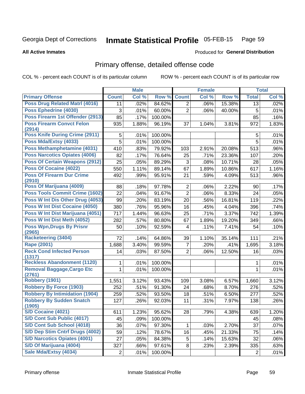#### Inmate Statistical Profile 05-FEB-15 Page 59

**Produced for General Distribution** 

#### **All Active Inmates**

# Primary offense, detailed offense code

COL % - percent each COUNT is of its particular column

|                                             | <b>Male</b>    |       | <b>Female</b> |                |       | <b>Total</b> |                |       |
|---------------------------------------------|----------------|-------|---------------|----------------|-------|--------------|----------------|-------|
| <b>Primary Offense</b>                      | <b>Count</b>   | Col % | Row %         | <b>Count</b>   | Col % | Row %        | <b>Total</b>   | Col % |
| Poss Drug Related Matri (4016)              | 11             | .02%  | 84.62%        | $\overline{2}$ | .06%  | 15.38%       | 13             | .02%  |
| Poss Ephedrine (4030)                       | 3              | .01%  | 60.00%        | $\overline{2}$ | .06%  | 40.00%       | 5              | .01%  |
| Poss Firearm 1st Offender (2913)            | 85             | .17%  | 100.00%       |                |       |              | 85             | .16%  |
| <b>Poss Firearm Convct Felon</b>            | 935            | 1.88% | 96.19%        | 37             | 1.04% | 3.81%        | 972            | 1.83% |
| (2914)                                      |                |       |               |                |       |              |                |       |
| <b>Poss Knife During Crime (2911)</b>       | 5              | .01%  | 100.00%       |                |       |              | 5              | .01%  |
| Poss Mda/Extsy (4033)                       | 5              | .01%  | 100.00%       |                |       |              | 5              | .01%  |
| Poss Methamphetamine (4031)                 | 410            | .83%  | 79.92%        | 103            | 2.91% | 20.08%       | 513            | .96%  |
| <b>Poss Narcotics Opiates (4006)</b>        | 82             | .17%  | 76.64%        | 25             | .71%  | 23.36%       | 107            | .20%  |
| <b>Poss Of Certain Weapons (2912)</b>       | 25             | .05%  | 89.29%        | 3              | .08%  | 10.71%       | 28             | .05%  |
| Poss Of Cocaine (4022)                      | 550            | 1.11% | 89.14%        | 67             | 1.89% | 10.86%       | 617            | 1.16% |
| <b>Poss Of Firearm Dur Crime</b>            | 492            | .99%  | 95.91%        | 21             | .59%  | 4.09%        | 513            | .96%  |
| (2910)                                      |                |       |               |                |       |              |                |       |
| Poss Of Marijuana (4009)                    | 88             | .18%  | 97.78%        | $\overline{2}$ | .06%  | 2.22%        | 90             | .17%  |
| <b>Poss Tools Commit Crime (1602)</b>       | 22             | .04%  | 91.67%        | $\overline{2}$ | .06%  | 8.33%        | 24             | .05%  |
| Poss W Int Dis Other Drug (4053)            | 99             | .20%  | 83.19%        | 20             | .56%  | 16.81%       | 119            | .22%  |
| Poss W Int Dist Cocaine (4050)              | 380            | .76%  | 95.96%        | 16             | .45%  | 4.04%        | 396            | .74%  |
| Poss W Int Dist Marijuana (4051)            | 717            | 1.44% | 96.63%        | 25             | .71%  | 3.37%        | 742            | 1.39% |
| Poss W Int Dist Meth (4052)                 | 282            | .57%  | 80.80%        | 67             | 1.89% | 19.20%       | 349            | .66%  |
| <b>Poss Wpn, Drugs By Prisnr</b><br>(2965)  | 50             | .10%  | 92.59%        | 4              | .11%  | 7.41%        | 54             | .10%  |
| <b>Racketeering (3404)</b>                  | 72             | .14%  | 64.86%        | 39             | 1.10% | 35.14%       | 111            | .21%  |
| Rape (2001)                                 | 1,688          | 3.40% | 99.59%        | $\overline{7}$ | .20%  | .41%         | 1,695          | 3.18% |
| <b>Reck Cond Infected Person</b><br>(1317)  | 14             | .03%  | 87.50%        | $\overline{2}$ | .06%  | 12.50%       | 16             | .03%  |
| <b>Reckless Abandonment (1120)</b>          | 1              | .01%  | 100.00%       |                |       |              | 1              | .01%  |
| <b>Removal Baggage, Cargo Etc</b><br>(2761) | $\mathbf{1}$   | .01%  | 100.00%       |                |       |              | 1              | .01%  |
| <b>Robbery (1901)</b>                       | 1,551          | 3.12% | 93.43%        | 109            | 3.08% | 6.57%        | 1,660          | 3.12% |
| <b>Robbery By Force (1903)</b>              | 252            | .51%  | 91.30%        | 24             | .68%  | 8.70%        | 276            | .52%  |
| <b>Robbery By Intimidation (1904)</b>       | 259            | .52%  | 93.50%        | 18             | .51%  | 6.50%        | 277            | .52%  |
| <b>Robbery By Sudden Snatch</b><br>(1905)   | 127            | .26%  | 92.03%        | 11             | .31%  | 7.97%        | 138            | .26%  |
| S/D Cocaine (4021)                          | 611            | 1.23% | 95.62%        | 28             | .79%  | 4.38%        | 639            | 1.20% |
| <b>S/D Cont Sub Public (4017)</b>           | 45             | .09%  | 100.00%       |                |       |              | 45             | .08%  |
| S/D Cont Sub School (4018)                  | 36             | .07%  | 97.30%        | 1              | .03%  | 2.70%        | 37             | .07%  |
| S/D Dep Stim Cntrf Drugs (4002)             | 59             | .12%  | 78.67%        | 16             | .45%  | 21.33%       | 75             | .14%  |
| <b>S/D Narcotics Opiates (4001)</b>         | 27             | .05%  | 84.38%        | 5              | .14%  | 15.63%       | 32             | .06%  |
| S/D Of Marijuana (4004)                     | 327            | .66%  | 97.61%        | 8              | .23%  | 2.39%        | 335            | .63%  |
| Sale Mda/Extsy (4034)                       | $\overline{2}$ | .01%  | 100.00%       |                |       |              | $\overline{2}$ | .01%  |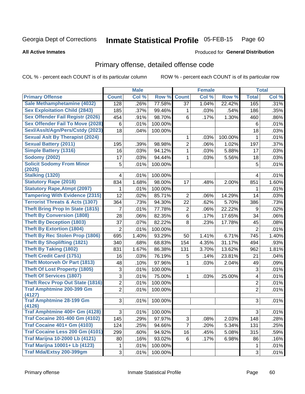#### Inmate Statistical Profile 05-FEB-15 Page 60

**All Active Inmates** 

### **Produced for General Distribution**

## Primary offense, detailed offense code

COL % - percent each COUNT is of its particular column

|                                            |                | <b>Male</b> |         |                  | <b>Female</b> |         |                | <b>Total</b> |
|--------------------------------------------|----------------|-------------|---------|------------------|---------------|---------|----------------|--------------|
| <b>Primary Offense</b>                     | <b>Count</b>   | Col %       | Row %   | <b>Count</b>     | Col %         | Row %   | <b>Total</b>   | Col %        |
| Sale Methamphetamine (4032)                | 128            | .26%        | 77.58%  | 37               | 1.04%         | 22.42%  | 165            | .31%         |
| <b>Sex Exploitation Child (2843)</b>       | 185            | .37%        | 99.46%  | 1                | .03%          | .54%    | 186            | .35%         |
| <b>Sex Offender Fail Registr (2026)</b>    | 454            | .91%        | 98.70%  | 6                | .17%          | 1.30%   | 460            | .86%         |
| <b>Sex Offender Fail To Move (2028)</b>    | 6              | .01%        | 100.00% |                  |               |         | 6              | .01%         |
| Sexl/Asslt/Agn/Pers/Cstdy (2023)           | 18             | .04%        | 100.00% |                  |               |         | 18             | .03%         |
| <b>Sexual Aslt By Therapist (2024)</b>     |                |             |         | 1                | .03%          | 100.00% | 1              | .01%         |
| <b>Sexual Battery (2011)</b>               | 195            | .39%        | 98.98%  | $\overline{2}$   | .06%          | 1.02%   | 197            | .37%         |
| <b>Simple Battery (1316)</b>               | 16             | .03%        | 94.12%  | 1                | .03%          | 5.88%   | 17             | .03%         |
| <b>Sodomy (2002)</b>                       | 17             | .03%        | 94.44%  | 1                | .03%          | 5.56%   | 18             | .03%         |
| <b>Solicit Sodomy From Minor</b>           | 5              | .01%        | 100.00% |                  |               |         | 5              | .01%         |
| (2025)                                     |                |             |         |                  |               |         |                |              |
| Stalking (1320)                            | 4              | .01%        | 100.00% |                  |               |         | 4              | .01%         |
| <b>Statutory Rape (2018)</b>               | 834            | 1.68%       | 98.00%  | 17               | .48%          | 2.00%   | 851            | 1.60%        |
| <b>Statutory Rape, Atmpt (2097)</b>        | 1              | .01%        | 100.00% |                  |               |         | 1              | .01%         |
| <b>Tampering With Evidence (2315)</b>      | 12             | .02%        | 85.71%  | $\overline{2}$   | .06%          | 14.29%  | 14             | .03%         |
| <b>Terrorist Threats &amp; Acts (1307)</b> | 364            | .73%        | 94.30%  | 22               | .62%          | 5.70%   | 386            | .73%         |
| <b>Theft Bring Prop In State (1815)</b>    | 7              | .01%        | 77.78%  | $\boldsymbol{2}$ | .06%          | 22.22%  | 9              | .02%         |
| <b>Theft By Conversion (1808)</b>          | 28             | .06%        | 82.35%  | $6\phantom{a}$   | .17%          | 17.65%  | 34             | .06%         |
| <b>Theft By Deception (1803)</b>           | 37             | .07%        | 82.22%  | 8                | .23%          | 17.78%  | 45             | .08%         |
| <b>Theft By Extortion (1804)</b>           | $\overline{2}$ | .01%        | 100.00% |                  |               |         | $\overline{2}$ | .01%         |
| <b>Theft By Rec Stolen Prop (1806)</b>     | 695            | 1.40%       | 93.29%  | 50               | 1.41%         | 6.71%   | 745            | 1.40%        |
| <b>Theft By Shoplifting (1821)</b>         | 340            | .68%        | 68.83%  | 154              | 4.35%         | 31.17%  | 494            | .93%         |
| <b>Theft By Taking (1802)</b>              | 831            | 1.67%       | 86.38%  | 131              | 3.70%         | 13.62%  | 962            | 1.81%        |
| <b>Theft Credit Card (1751)</b>            | 16             | .03%        | 76.19%  | 5                | .14%          | 23.81%  | 21             | .04%         |
| <b>Theft Motorveh Or Part (1813)</b>       | 48             | .10%        | 97.96%  | 1                | .03%          | 2.04%   | 49             | .09%         |
| <b>Theft Of Lost Property (1805)</b>       | 3              | .01%        | 100.00% |                  |               |         | $\sqrt{3}$     | .01%         |
| <b>Theft Of Services (1807)</b>            | 3              | .01%        | 75.00%  | 1                | .03%          | 25.00%  | 4              | .01%         |
| <b>Theft Recv Prop Out State (1816)</b>    | $\overline{2}$ | .01%        | 100.00% |                  |               |         | $\overline{2}$ | .01%         |
| <b>Traf Amphtmine 200-399 Gm</b>           | $\overline{2}$ | .01%        | 100.00% |                  |               |         | $\overline{2}$ | .01%         |
| (4127)                                     |                |             |         |                  |               |         |                |              |
| <b>Traf Amphtmine 28-199 Gm</b><br>(4126)  | 3              | .01%        | 100.00% |                  |               |         | 3              | .01%         |
| Traf Amphtmine 400+ Gm (4128)              | 3              | .01%        | 100.00% |                  |               |         | 3              | .01%         |
| <b>Traf Cocaine 201-400 Gm (4102)</b>      | 145            | .29%        | 97.97%  | 3                | .08%          | 2.03%   | 148            | .28%         |
| <b>Traf Cocaine 401+ Gm (4103)</b>         | 124            | .25%        | 94.66%  | $\overline{7}$   | .20%          | 5.34%   | 131            | .25%         |
| Traf Cocaine Less 200 Gm (4101)            | 299            | .60%        | 94.92%  | 16               | .45%          | 5.08%   | 315            | .59%         |
| <b>Traf Marijna 10-2000 Lb (4121)</b>      | 80             | .16%        | 93.02%  | 6                | .17%          | 6.98%   | 86             | .16%         |
| <b>Traf Marijna 10001+ Lb (4123)</b>       | 1              | .01%        | 100.00% |                  |               |         | $\mathbf 1$    | .01%         |
| Traf Mda/Extsy 200-399gm                   | 3              | .01%        | 100.00% |                  |               |         | 3              | .01%         |
|                                            |                |             |         |                  |               |         |                |              |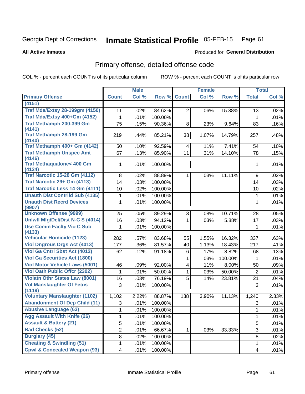#### Inmate Statistical Profile 05-FEB-15 Page 61

**Produced for General Distribution** 

#### **All Active Inmates**

# Primary offense, detailed offense code

COL % - percent each COUNT is of its particular column

|                                                |                | <b>Male</b> |         |                         | <b>Female</b> |         |                | <b>Total</b> |
|------------------------------------------------|----------------|-------------|---------|-------------------------|---------------|---------|----------------|--------------|
| <b>Primary Offense</b>                         | <b>Count</b>   | Col %       | Row %   | <b>Count</b>            | Col %         | Row %   | <b>Total</b>   | Col%         |
| (4151)                                         |                |             |         |                         |               |         |                |              |
| <b>Traf Mda/Extsy 28-199gm (4150)</b>          | 11             | .02%        | 84.62%  | $\overline{2}$          | .06%          | 15.38%  | 13             | .02%         |
| Traf Mda/Extsy 400+Gm (4152)                   | 1              | .01%        | 100.00% |                         |               |         | 1              | .01%         |
| Traf Methamph 200-399 Gm                       | 75             | .15%        | 90.36%  | 8                       | .23%          | 9.64%   | 83             | .16%         |
| (4141)                                         |                |             |         |                         |               |         |                |              |
| <b>Traf Methamph 28-199 Gm</b><br>(4140)       | 219            | .44%        | 85.21%  | 38                      | 1.07%         | 14.79%  | 257            | .48%         |
| Traf Methamph 400+ Gm (4142)                   | 50             | .10%        | 92.59%  | $\overline{\mathbf{4}}$ | .11%          | 7.41%   | 54             | .10%         |
| <b>Traf Methamph Unspec Amt</b>                | 67             | .13%        | 85.90%  | 11                      | .31%          | 14.10%  | 78             | .15%         |
| (4146)                                         |                |             |         |                         |               |         |                |              |
| <b>Traf Methaqualone&lt; 400 Gm</b>            | 1              | .01%        | 100.00% |                         |               |         | 1              | .01%         |
| (4124)<br><b>Traf Narcotic 15-28 Gm (4112)</b> | 8              | .02%        | 88.89%  | 1                       | .03%          | 11.11%  | 9              | .02%         |
| Traf Narcotic 29+ Gm (4113)                    | 14             | .03%        | 100.00% |                         |               |         | 14             | .03%         |
| Traf Narcotic Less 14 Gm (4111)                | 10             | .02%        | 100.00% |                         |               |         | 10             | .02%         |
| <b>Unauth Dist Contrild Sub (4135)</b>         | 1              | .01%        | 100.00% |                         |               |         | 1              | .01%         |
| <b>Unauth Dist Recrd Devices</b>               | 1              | .01%        | 100.00% |                         |               |         | 1              | .01%         |
| (9907)                                         |                |             |         |                         |               |         |                |              |
| <b>Unknown Offense (9999)</b>                  | 25             | .05%        | 89.29%  | 3                       | .08%          | 10.71%  | 28             | .05%         |
| Uniwfl Mfg/Del/Dist N-C S (4014)               | 16             | .03%        | 94.12%  | $\mathbf{1}$            | .03%          | 5.88%   | 17             | .03%         |
| <b>Use Comm Facity Vio C Sub</b><br>(4133)     | 1              | .01%        | 100.00% |                         |               |         | 1              | .01%         |
| <b>Vehicular Homicide (1123)</b>               | 282            | .57%        | 83.68%  | 55                      | 1.55%         | 16.32%  | 337            | .63%         |
| <b>Viol Dngrous Drgs Act (4013)</b>            | 177            | .36%        | 81.57%  | 40                      | 1.13%         | 18.43%  | 217            | .41%         |
| Viol Ga Cntrl Sbst Act (4012)                  | 62             | .12%        | 91.18%  | 6                       | .17%          | 8.82%   | 68             | .13%         |
| <b>Viol Ga Securities Act (1800)</b>           |                |             |         | 1                       | .03%          | 100.00% | 1              | .01%         |
| <b>Viol Motor Vehicle Laws (5001)</b>          | 46             | .09%        | 92.00%  | 4                       | .11%          | 8.00%   | 50             | .09%         |
| <b>Viol Oath Public Offer (2302)</b>           | 1              | .01%        | 50.00%  | 1                       | .03%          | 50.00%  | $\overline{2}$ | .01%         |
| <b>Violatn Othr States Law (8001)</b>          | 16             | .03%        | 76.19%  | 5                       | .14%          | 23.81%  | 21             | .04%         |
| <b>Vol Manslaughter Of Fetus</b>               | 3              | .01%        | 100.00% |                         |               |         | 3              | .01%         |
| (1119)                                         |                |             |         |                         |               |         |                |              |
| <b>Voluntary Manslaughter (1102)</b>           | 1,102          | 2.22%       | 88.87%  | 138                     | 3.90%         | 11.13%  | 1,240          | 2.33%        |
| <b>Abandonment Of Dep Child (11)</b>           | 3              | .01%        | 100.00% |                         |               |         | 3              | .01%         |
| <b>Abusive Language (63)</b>                   | $\mathbf{1}$   | .01%        | 100.00% |                         |               |         | $\mathbf{1}$   | .01%         |
| <b>Agg Assault With Knife (26)</b>             | 1              | .01%        | 100.00% |                         |               |         | 1              | .01%         |
| <b>Assault &amp; Battery (21)</b>              | 5              | .01%        | 100.00% |                         |               |         | 5              | .01%         |
| <b>Bad Checks (52)</b>                         | $\overline{2}$ | .01%        | 66.67%  | 1.                      | .03%          | 33.33%  | 3              | .01%         |
| <b>Burglary (45)</b>                           | 8              | .02%        | 100.00% |                         |               |         | 8              | .02%         |
| <b>Cheating &amp; Swindling (51)</b>           | $\mathbf{1}$   | .01%        | 100.00% |                         |               |         | $\mathbf{1}$   | .01%         |
| <b>Cpwl &amp; Concealed Weapon (93)</b>        | 4              | .01%        | 100.00% |                         |               |         | 4              | .01%         |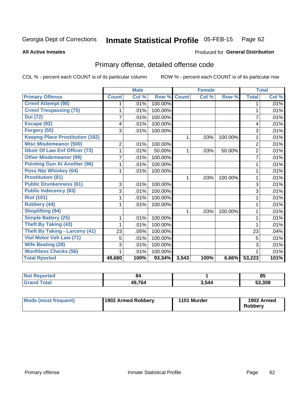#### Inmate Statistical Profile 05-FEB-15 Page 62

**All Active Inmates** 

### **Produced for General Distribution**

## Primary offense, detailed offense code

COL % - percent each COUNT is of its particular column

|                                        |                         | <b>Male</b> |           |              | <b>Female</b> |         |                | <b>Total</b> |
|----------------------------------------|-------------------------|-------------|-----------|--------------|---------------|---------|----------------|--------------|
| <b>Primary Offense</b>                 | <b>Count</b>            | Col %       | Row %     | <b>Count</b> | Col %         | Row %   | <b>Total</b>   | Col %        |
| <b>Crmnl Attempt (98)</b>              |                         | .01%        | 100.00%   |              |               |         | 1              | .01%         |
| <b>Crmnl Trespassing (75)</b>          |                         | .01%        | 100.00%   |              |               |         | 1              | .01%         |
| <b>Dui</b> (72)                        | 7                       | .01%        | 100.00%   |              |               |         | $\overline{7}$ | .01%         |
| Escape (92)                            | $\overline{\mathbf{4}}$ | .01%        | 100.00%   |              |               |         | 4              | .01%         |
| Forgery (55)                           | 3                       | .01%        | 100.00%   |              |               |         | 3              | .01%         |
| <b>Keepng Place Prostitution (182)</b> |                         |             |           | 1            | .03%          | 100.00% | 1              | .01%         |
| <b>Misc Misdemeanor (500)</b>          | 2                       | .01%        | 100.00%   |              |               |         | $\overline{2}$ | .01%         |
| <b>Obstr Of Law Enf Officer (73)</b>   |                         | .01%        | 50.00%    | 1            | .03%          | 50.00%  | $\overline{2}$ | .01%         |
| <b>Other Misdemeanor (99)</b>          | 7                       | .01%        | 100.00%   |              |               |         | 7              | .01%         |
| <b>Pointing Gun At Another (96)</b>    |                         | .01%        | 100.00%   |              |               |         |                | .01%         |
| <b>Poss Ntp Whiskey (64)</b>           | 1                       | .01%        | 100.00%   |              |               |         | 1              | .01%         |
| <b>Prostitution (81)</b>               |                         |             |           | 1            | .03%          | 100.00% | 1              | .01%         |
| <b>Public Drunkenness (61)</b>         | 3                       | .01%        | 100.00%   |              |               |         | 3              | .01%         |
| <b>Public Indecency (83)</b>           | 3                       | .01%        | 100.00%   |              |               |         | 3              | .01%         |
| <b>Riot (101)</b>                      |                         | .01%        | 100.00%   |              |               |         |                | .01%         |
| Robbery (44)                           |                         | .01%        | 100.00%   |              |               |         | 1              | .01%         |
| <b>Shoplifting (94)</b>                |                         |             |           | 1            | .03%          | 100.00% | 1              | .01%         |
| <b>Simple Battery (25)</b>             | 1                       | .01%        | 100.00%   |              |               |         | 1              | .01%         |
| <b>Theft By Taking (43)</b>            |                         | .01%        | 100.00%   |              |               |         | 1              | .01%         |
| <b>Theft By Taking - Larceny (41)</b>  | 23                      | .05%        | 100.00%   |              |               |         | 23             | .04%         |
| Viol Motor Veh Law (71)                | 5                       | .01%        | 100.00%   |              |               |         | 5              | .01%         |
| <b>Wife Beating (28)</b>               | 3                       | .01%        | 100.00%   |              |               |         | 3              | .01%         |
| <b>Worthless Checks (56)</b>           |                         | .01%        | 100.00%   |              |               |         |                | .01%         |
| <b>Total Rported</b>                   | 49,680                  | 100%        | $93.34\%$ | 3,543        | 100%          | 6.66%   | 53,223         | 101%         |

| <b>NOT</b><br>portea | 84            |       | 0E<br>ວວ |
|----------------------|---------------|-------|----------|
| `ota.                | 49.764<br>т., | 3,544 | 53,308   |

| <b>Mode (most frequent)</b> | 1902 Armed Robbery | 1101 Murder | 1902 Armed<br><b>Robbery</b> |
|-----------------------------|--------------------|-------------|------------------------------|
|-----------------------------|--------------------|-------------|------------------------------|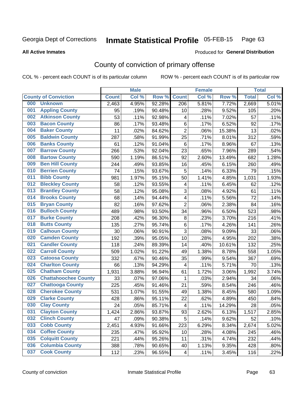#### Inmate Statistical Profile 05-FEB-15 Page 63

Produced for General Distribution

#### **All Active Inmates**

## County of conviction of primary offense

COL % - percent each COUNT is of its particular column

|                                    |              | <b>Male</b> |        |                          | <b>Female</b> |        |              | <b>Total</b> |
|------------------------------------|--------------|-------------|--------|--------------------------|---------------|--------|--------------|--------------|
| <b>County of Conviction</b>        | <b>Count</b> | Col %       | Row %  | <b>Count</b>             | Col %         | Row %  | <b>Total</b> | Col %        |
| 000<br><b>Unknown</b>              | 2,463        | 4.95%       | 92.28% | $\overline{206}$         | 5.81%         | 7.72%  | 2,669        | 5.01%        |
| <b>Appling County</b><br>001       | 95           | .19%        | 90.48% | 10                       | .28%          | 9.52%  | 105          | .20%         |
| <b>Atkinson County</b><br>002      | 53           | .11%        | 92.98% | 4                        | .11%          | 7.02%  | 57           | .11%         |
| <b>Bacon County</b><br>003         | 86           | .17%        | 93.48% | 6                        | .17%          | 6.52%  | 92           | .17%         |
| <b>Baker County</b><br>004         | 11           | .02%        | 84.62% | $\overline{2}$           | .06%          | 15.38% | 13           | .02%         |
| <b>Baldwin County</b><br>005       | 287          | .58%        | 91.99% | 25                       | .71%          | 8.01%  | 312          | .59%         |
| <b>Banks County</b><br>006         | 61           | .12%        | 91.04% | 6                        | .17%          | 8.96%  | 67           | .13%         |
| <b>Barrow County</b><br>007        | 266          | .53%        | 92.04% | 23                       | .65%          | 7.96%  | 289          | .54%         |
| <b>Bartow County</b><br>008        | 590          | 1.19%       | 86.51% | 92                       | 2.60%         | 13.49% | 682          | 1.28%        |
| <b>Ben Hill County</b><br>009      | 244          | .49%        | 93.85% | 16                       | .45%          | 6.15%  | 260          | .49%         |
| <b>Berrien County</b><br>010       | 74           | .15%        | 93.67% | 5                        | .14%          | 6.33%  | 79           | .15%         |
| <b>Bibb County</b><br>011          | 981          | 1.97%       | 95.15% | 50                       | 1.41%         | 4.85%  | 1,031        | 1.93%        |
| <b>Bleckley County</b><br>012      | 58           | .12%        | 93.55% | 4                        | .11%          | 6.45%  | 62           | .12%         |
| 013<br><b>Brantley County</b>      | 58           | .12%        | 95.08% | 3                        | .08%          | 4.92%  | 61           | .11%         |
| <b>Brooks County</b><br>014        | 68           | .14%        | 94.44% | 4                        | .11%          | 5.56%  | 72           | .14%         |
| <b>Bryan County</b><br>015         | 82           | .16%        | 97.62% | $\overline{2}$           | .06%          | 2.38%  | 84           | .16%         |
| <b>Bulloch County</b><br>016       | 489          | .98%        | 93.50% | 34                       | .96%          | 6.50%  | 523          | .98%         |
| <b>Burke County</b><br>017         | 208          | .42%        | 96.30% | 8                        | .23%          | 3.70%  | 216          | .41%         |
| <b>Butts County</b><br>018         | 135          | .27%        | 95.74% | 6                        | .17%          | 4.26%  | 141          | .26%         |
| <b>Calhoun County</b><br>019       | 30           | .06%        | 90.91% | 3                        | .08%          | 9.09%  | 33           | .06%         |
| <b>Camden County</b><br>020        | 192          | .39%        | 95.05% | 10                       | .28%          | 4.95%  | 202          | .38%         |
| <b>Candler County</b><br>021       | 118          | .24%        | 89.39% | 14                       | .40%          | 10.61% | 132          | .25%         |
| <b>Carroll County</b><br>022       | 509          | 1.02%       | 91.22% | 49                       | 1.38%         | 8.78%  | 558          | 1.05%        |
| <b>Catoosa County</b><br>023       | 332          | .67%        | 90.46% | 35                       | .99%          | 9.54%  | 367          | .69%         |
| <b>Charlton County</b><br>024      | 66           | .13%        | 94.29% | 4                        | .11%          | 5.71%  | 70           | .13%         |
| <b>Chatham County</b><br>025       | 1,931        | 3.88%       | 96.94% | 61                       | 1.72%         | 3.06%  | 1,992        | 3.74%        |
| <b>Chattahoochee County</b><br>026 | 33           | .07%        | 97.06% | 1                        | .03%          | 2.94%  | 34           | .06%         |
| <b>Chattooga County</b><br>027     | 225          | .45%        | 91.46% | 21                       | .59%          | 8.54%  | 246          | .46%         |
| <b>Cherokee County</b><br>028      | 531          | 1.07%       | 91.55% | 49                       | 1.38%         | 8.45%  | 580          | 1.09%        |
| <b>Clarke County</b><br>029        | 428          | .86%        | 95.11% | 22                       | .62%          | 4.89%  | 450          | .84%         |
| <b>Clay County</b><br>030          | 24           | .05%        | 85.71% | $\overline{\mathcal{A}}$ | .11%          | 14.29% | 28           | .05%         |
| 031<br><b>Clayton County</b>       | 1,424        | 2.86%       | 93.87% | 93                       | 2.62%         | 6.13%  | 1,517        | 2.85%        |
| <b>Clinch County</b><br>032        | 47           | .09%        | 90.38% | 5                        | .14%          | 9.62%  | 52           | .10%         |
| <b>Cobb County</b><br>033          | 2,451        | 4.93%       | 91.66% | 223                      | 6.29%         | 8.34%  | 2,674        | 5.02%        |
| <b>Coffee County</b><br>034        | 235          | .47%        | 95.92% | 10                       | .28%          | 4.08%  | 245          | .46%         |
| <b>Colquitt County</b><br>035      | 221          | .44%        | 95.26% | 11                       | .31%          | 4.74%  | 232          | .44%         |
| <b>Columbia County</b><br>036      | 388          | .78%        | 90.65% | 40                       | 1.13%         | 9.35%  | 428          | .80%         |
| <b>Cook County</b><br>037          | 112          | .23%        | 96.55% | $\overline{\mathcal{A}}$ | .11%          | 3.45%  | 116          | .22%         |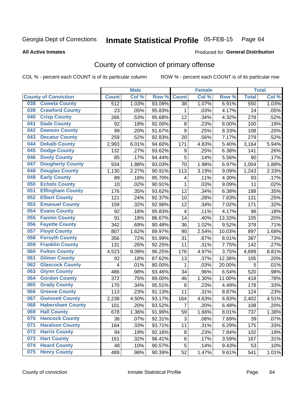#### Inmate Statistical Profile 05-FEB-15 Page 64

**All Active Inmates** 

### **Produced for General Distribution**

## County of conviction of primary offense

COL % - percent each COUNT is of its particular column

|     |                             |              | <b>Male</b> |        |                  | <b>Female</b> |        |              | <b>Total</b> |
|-----|-----------------------------|--------------|-------------|--------|------------------|---------------|--------|--------------|--------------|
|     | <b>County of Conviction</b> | <b>Count</b> | Col %       | Row %  | <b>Count</b>     | Col%          | Row %  | <b>Total</b> | Col %        |
| 038 | <b>Coweta County</b>        | 512          | 1.03%       | 93.09% | 38               | 1.07%         | 6.91%  | 550          | 1.03%        |
| 039 | <b>Crawford County</b>      | 23           | .05%        | 95.83% | 1                | .03%          | 4.17%  | 24           | .05%         |
| 040 | <b>Crisp County</b>         | 266          | .53%        | 95.68% | 12               | .34%          | 4.32%  | 278          | .52%         |
| 041 | <b>Dade County</b>          | 92           | .18%        | 92.00% | 8                | .23%          | 8.00%  | 100          | .19%         |
| 042 | <b>Dawson County</b>        | 99           | .20%        | 91.67% | $\boldsymbol{9}$ | .25%          | 8.33%  | 108          | .20%         |
| 043 | <b>Decatur County</b>       | 259          | .52%        | 92.83% | 20               | .56%          | 7.17%  | 279          | .52%         |
| 044 | <b>Dekalb County</b>        | 2,993        | 6.01%       | 94.60% | 171              | 4.83%         | 5.40%  | 3,164        | 5.94%        |
| 045 | <b>Dodge County</b>         | 132          | .27%        | 93.62% | 9                | .25%          | 6.38%  | 141          | .26%         |
| 046 | <b>Dooly County</b>         | 85           | .17%        | 94.44% | 5                | .14%          | 5.56%  | 90           | .17%         |
| 047 | <b>Dougherty County</b>     | 934          | 1.88%       | 93.03% | 70               | 1.98%         | 6.97%  | 1,004        | 1.88%        |
| 048 | <b>Douglas County</b>       | 1,130        | 2.27%       | 90.91% | 113              | 3.19%         | 9.09%  | 1,243        | 2.33%        |
| 049 | <b>Early County</b>         | 89           | .18%        | 95.70% | 4                | .11%          | 4.30%  | 93           | .17%         |
| 050 | <b>Echols County</b>        | 10           | .02%        | 90.91% | $\mathbf{1}$     | .03%          | 9.09%  | 11           | .02%         |
| 051 | <b>Effingham County</b>     | 176          | .35%        | 93.62% | 12               | .34%          | 6.38%  | 188          | .35%         |
| 052 | <b>Elbert County</b>        | 121          | .24%        | 92.37% | 10               | .28%          | 7.63%  | 131          | .25%         |
| 053 | <b>Emanuel County</b>       | 159          | .32%        | 92.98% | 12               | .34%          | 7.02%  | 171          | .32%         |
| 054 | <b>Evans County</b>         | 92           | .18%        | 95.83% | 4                | .11%          | 4.17%  | 96           | .18%         |
| 055 | <b>Fannin County</b>        | 91           | .18%        | 86.67% | 14               | .40%          | 13.33% | 105          | .20%         |
| 056 | <b>Fayette County</b>       | 342          | .69%        | 90.48% | 36               | 1.02%         | 9.52%  | 378          | .71%         |
| 057 | <b>Floyd County</b>         | 807          | 1.62%       | 89.97% | 90               | 2.54%         | 10.03% | 897          | 1.68%        |
| 058 | <b>Forsyth County</b>       | 356          | .72%        | 91.99% | 31               | .87%          | 8.01%  | 387          | .73%         |
| 059 | <b>Franklin County</b>      | 131          | .26%        | 92.25% | 11               | .31%          | 7.75%  | 142          | .27%         |
| 060 | <b>Fulton County</b>        | 4,523        | 9.09%       | 96.25% | 176              | 4.97%         | 3.75%  | 4,699        | 8.81%        |
| 061 | <b>Gilmer County</b>        | 92           | .18%        | 87.62% | 13               | .37%          | 12.38% | 105          | .20%         |
| 062 | <b>Glascock County</b>      | 4            | .01%        | 80.00% | $\mathbf 1$      | .03%          | 20.00% | 5            | .01%         |
| 063 | <b>Glynn County</b>         | 486          | .98%        | 93.46% | 34               | .96%          | 6.54%  | 520          | .98%         |
| 064 | <b>Gordon County</b>        | 372          | .75%        | 89.00% | 46               | 1.30%         | 11.00% | 418          | .78%         |
| 065 | <b>Grady County</b>         | 170          | .34%        | 95.51% | 8                | .23%          | 4.49%  | 178          | .33%         |
| 066 | <b>Greene County</b>        | 113          | .23%        | 91.13% | 11               | .31%          | 8.87%  | 124          | .23%         |
| 067 | <b>Gwinnett County</b>      | 2,238        | 4.50%       | 93.17% | 164              | 4.63%         | 6.83%  | 2,402        | 4.51%        |
| 068 | <b>Habersham County</b>     | 101          | .20%        | 93.52% | $\overline{7}$   | .20%          | 6.48%  | 108          | .20%         |
| 069 | <b>Hall County</b>          | 678          | 1.36%       | 91.99% | 59               | 1.66%         | 8.01%  | 737          | 1.38%        |
| 070 | <b>Hancock County</b>       | 36           | .07%        | 92.31% | 3                | .08%          | 7.69%  | 39           | .07%         |
| 071 | <b>Haralson County</b>      | 164          | .33%        | 93.71% | 11               | .31%          | 6.29%  | 175          | .33%         |
| 072 | <b>Harris County</b>        | 94           | .19%        | 92.16% | 8                | .23%          | 7.84%  | 102          | .19%         |
| 073 | <b>Hart County</b>          | 161          | .32%        | 96.41% | 6                | .17%          | 3.59%  | 167          | .31%         |
| 074 | <b>Heard County</b>         | 48           | .10%        | 90.57% | 5                | .14%          | 9.43%  | 53           | .10%         |
| 075 | <b>Henry County</b>         | 489          | .98%        | 90.39% | 52               | 1.47%         | 9.61%  | 541          | 1.01%        |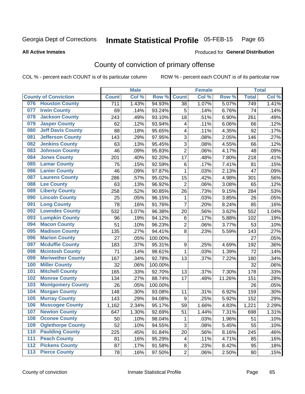#### Inmate Statistical Profile 05-FEB-15 Page 65

**All Active Inmates** 

#### Produced for General Distribution

## County of conviction of primary offense

COL % - percent each COUNT is of its particular column

|                                 |                  | <b>Male</b> |         |                         | <b>Female</b> |        |              | <b>Total</b> |
|---------------------------------|------------------|-------------|---------|-------------------------|---------------|--------|--------------|--------------|
| <b>County of Conviction</b>     | <b>Count</b>     | Col %       | Row %   | <b>Count</b>            | Col %         | Row %  | <b>Total</b> | Col %        |
| <b>Houston County</b><br>076    | $\overline{711}$ | 1.43%       | 94.93%  | 38                      | 1.07%         | 5.07%  | 749          | 1.41%        |
| <b>Irwin County</b><br>077      | 69               | .14%        | 93.24%  | 5                       | .14%          | 6.76%  | 74           | .14%         |
| <b>Jackson County</b><br>078    | 243              | .49%        | 93.10%  | 18                      | .51%          | 6.90%  | 261          | .49%         |
| <b>Jasper County</b><br>079     | 62               | .12%        | 93.94%  | $\overline{\mathbf{4}}$ | .11%          | 6.06%  | 66           | .12%         |
| <b>Jeff Davis County</b><br>080 | 88               | .18%        | 95.65%  | 4                       | .11%          | 4.35%  | 92           | .17%         |
| 081<br><b>Jefferson County</b>  | 143              | .29%        | 97.95%  | 3                       | .08%          | 2.05%  | 146          | .27%         |
| <b>Jenkins County</b><br>082    | 63               | .13%        | 95.45%  | 3                       | .08%          | 4.55%  | 66           | .12%         |
| <b>Johnson County</b><br>083    | 46               | .09%        | 95.83%  | $\overline{2}$          | .06%          | 4.17%  | 48           | .09%         |
| <b>Jones County</b><br>084      | 201              | .40%        | 92.20%  | 17                      | .48%          | 7.80%  | 218          | .41%         |
| <b>Lamar County</b><br>085      | 75               | .15%        | 92.59%  | 6                       | .17%          | 7.41%  | 81           | .15%         |
| <b>Lanier County</b><br>086     | 46               | .09%        | 97.87%  | 1                       | .03%          | 2.13%  | 47           | .09%         |
| <b>Laurens County</b><br>087    | 286              | .57%        | 95.02%  | 15                      | .42%          | 4.98%  | 301          | .56%         |
| <b>Lee County</b><br>088        | 63               | .13%        | 96.92%  | $\overline{2}$          | .06%          | 3.08%  | 65           | .12%         |
| <b>Liberty County</b><br>089    | 258              | .52%        | 90.85%  | 26                      | .73%          | 9.15%  | 284          | .53%         |
| <b>Lincoln County</b><br>090    | 25               | .05%        | 96.15%  | 1                       | .03%          | 3.85%  | 26           | .05%         |
| <b>Long County</b><br>091       | 78               | .16%        | 91.76%  | $\overline{7}$          | .20%          | 8.24%  | 85           | .16%         |
| <b>Lowndes County</b><br>092    | 532              | 1.07%       | 96.38%  | 20                      | .56%          | 3.62%  | 552          | 1.04%        |
| <b>Lumpkin County</b><br>093    | 96               | .19%        | 94.12%  | 6                       | .17%          | 5.88%  | 102          | .19%         |
| <b>Macon County</b><br>094      | 51               | .10%        | 96.23%  | $\overline{2}$          | .06%          | 3.77%  | 53           | .10%         |
| <b>Madison County</b><br>095    | 135              | .27%        | 94.41%  | 8                       | .23%          | 5.59%  | 143          | .27%         |
| <b>Marion County</b><br>096     | 27               | .05%        | 100.00% |                         |               |        | 27           | .05%         |
| <b>Mcduffie County</b><br>097   | 183              | .37%        | 95.31%  | $\boldsymbol{9}$        | .25%          | 4.69%  | 192          | .36%         |
| <b>Mcintosh County</b><br>098   | 71               | .14%        | 98.61%  | 1                       | .03%          | 1.39%  | 72           | .14%         |
| <b>Meriwether County</b><br>099 | 167              | .34%        | 92.78%  | 13                      | .37%          | 7.22%  | 180          | .34%         |
| <b>Miller County</b><br>100     | 32               | .06%        | 100.00% |                         |               |        | 32           | .06%         |
| <b>Mitchell County</b><br>101   | 165              | .33%        | 92.70%  | 13                      | .37%          | 7.30%  | 178          | .33%         |
| <b>Monroe County</b><br>102     | 134              | .27%        | 88.74%  | 17                      | .48%          | 11.26% | 151          | .28%         |
| <b>Montgomery County</b><br>103 | 26               | .05%        | 100.00% |                         |               |        | 26           | .05%         |
| <b>Morgan County</b><br>104     | 148              | .30%        | 93.08%  | 11                      | .31%          | 6.92%  | 159          | .30%         |
| <b>Murray County</b><br>105     | 143              | .29%        | 94.08%  | $\boldsymbol{9}$        | .25%          | 5.92%  | 152          | .29%         |
| <b>Muscogee County</b><br>106   | 1,162            | 2.34%       | 95.17%  | 59                      | 1.66%         | 4.83%  | 1,221        | 2.29%        |
| 107<br><b>Newton County</b>     | 647              | 1.30%       | 92.69%  | 51                      | 1.44%         | 7.31%  | 698          | 1.31%        |
| <b>Oconee County</b><br>108     | 50               | .10%        | 98.04%  | 1                       | .03%          | 1.96%  | 51           | .10%         |
| <b>Oglethorpe County</b><br>109 | 52               | .10%        | 94.55%  | 3                       | .08%          | 5.45%  | 55           | .10%         |
| <b>Paulding County</b><br>110   | 225              | .45%        | 91.84%  | 20                      | .56%          | 8.16%  | 245          | .46%         |
| <b>Peach County</b><br>111      | 81               | .16%        | 95.29%  | 4                       | .11%          | 4.71%  | 85           | .16%         |
| <b>Pickens County</b><br>$112$  | 87               | .17%        | 91.58%  | 8                       | .23%          | 8.42%  | 95           | .18%         |
| <b>Pierce County</b><br>$113$   | 78               | .16%        | 97.50%  | $\overline{c}$          | .06%          | 2.50%  | 80           | .15%         |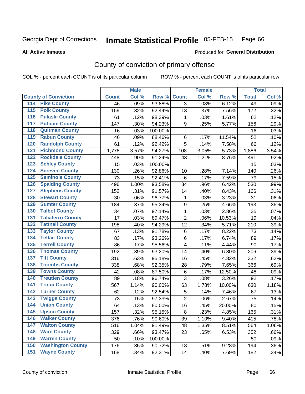#### Inmate Statistical Profile 05-FEB-15 Page 66

#### **All Active Inmates**

### Produced for General Distribution

## County of conviction of primary offense

COL % - percent each COUNT is of its particular column

|                                          |              | <b>Male</b> |         |                  | <b>Female</b> |        |              | <b>Total</b> |
|------------------------------------------|--------------|-------------|---------|------------------|---------------|--------|--------------|--------------|
| <b>County of Conviction</b>              | <b>Count</b> | Col %       | Row %   | <b>Count</b>     | Col %         | Row %  | <b>Total</b> | Col %        |
| <b>Pike County</b><br>114                | 46           | .09%        | 93.88%  | $\overline{3}$   | .08%          | 6.12%  | 49           | .09%         |
| <b>Polk County</b><br>$\overline{115}$   | 159          | .32%        | 92.44%  | 13               | .37%          | 7.56%  | 172          | .32%         |
| <b>Pulaski County</b><br>116             | 61           | .12%        | 98.39%  | 1                | .03%          | 1.61%  | 62           | .12%         |
| <b>Putnam County</b><br>117              | 147          | .30%        | 94.23%  | 9                | .25%          | 5.77%  | 156          | .29%         |
| <b>Quitman County</b><br>118             | 16           | .03%        | 100.00% |                  |               |        | 16           | .03%         |
| <b>Rabun County</b><br>119               | 46           | .09%        | 88.46%  | $\,6$            | .17%          | 11.54% | 52           | .10%         |
| <b>Randolph County</b><br>120            | 61           | .12%        | 92.42%  | 5                | .14%          | 7.58%  | 66           | .12%         |
| <b>Richmond County</b><br>121            | 1,778        | 3.57%       | 94.27%  | 108              | 3.05%         | 5.73%  | 1,886        | 3.54%        |
| <b>Rockdale County</b><br>122            | 448          | .90%        | 91.24%  | 43               | 1.21%         | 8.76%  | 491          | .92%         |
| 123<br><b>Schley County</b>              | 15           | .03%        | 100.00% |                  |               |        | 15           | .03%         |
| <b>Screven County</b><br>124             | 130          | .26%        | 92.86%  | 10               | .28%          | 7.14%  | 140          | .26%         |
| <b>Seminole County</b><br>125            | 73           | .15%        | 92.41%  | 6                | .17%          | 7.59%  | 79           | .15%         |
| <b>Spalding County</b><br>126            | 496          | 1.00%       | 93.58%  | 34               | .96%          | 6.42%  | 530          | .99%         |
| 127<br><b>Stephens County</b>            | 152          | .31%        | 91.57%  | 14               | .40%          | 8.43%  | 166          | .31%         |
| <b>Stewart County</b><br>128             | 30           | .06%        | 96.77%  | 1                | .03%          | 3.23%  | 31           | .06%         |
| <b>Sumter County</b><br>129              | 184          | .37%        | 95.34%  | $\boldsymbol{9}$ | .25%          | 4.66%  | 193          | .36%         |
| <b>Talbot County</b><br>130              | 34           | .07%        | 97.14%  | 1                | .03%          | 2.86%  | 35           | .07%         |
| <b>Taliaferro County</b><br>131          | 17           | .03%        | 89.47%  | $\overline{2}$   | .06%          | 10.53% | 19           | .04%         |
| <b>Tattnall County</b><br>132            | 198          | .40%        | 94.29%  | 12               | .34%          | 5.71%  | 210          | .39%         |
| 133<br><b>Taylor County</b>              | 67           | .13%        | 91.78%  | 6                | .17%          | 8.22%  | 73           | .14%         |
| <b>Telfair County</b><br>134             | 83           | .17%        | 93.26%  | 6                | .17%          | 6.74%  | 89           | .17%         |
| <b>Terrell County</b><br>135             | 86           | .17%        | 95.56%  | 4                | .11%          | 4.44%  | 90           | .17%         |
| <b>Thomas County</b><br>136              | 192          | .39%        | 93.20%  | 14               | .40%          | 6.80%  | 206          | .39%         |
| <b>Tift County</b><br>137                | 316          | .63%        | 95.18%  | 16               | .45%          | 4.82%  | 332          | .62%         |
| <b>Toombs County</b><br>138              | 338          | .68%        | 92.35%  | 28               | .79%          | 7.65%  | 366          | .69%         |
| <b>Towns County</b><br>139               | 42           | .08%        | 87.50%  | $\,6$            | .17%          | 12.50% | 48           | .09%         |
| <b>Treutlen County</b><br>140            | 89           | .18%        | 96.74%  | 3                | .08%          | 3.26%  | 92           | .17%         |
| <b>Troup County</b><br>141               | 567          | 1.14%       | 90.00%  | 63               | 1.78%         | 10.00% | 630          | 1.18%        |
| <b>Turner County</b><br>142              | 62           | .12%        | 92.54%  | 5                | .14%          | 7.46%  | 67           | .13%         |
| $\overline{143}$<br><b>Twiggs County</b> | 73           | .15%        | 97.33%  | $\overline{2}$   | .06%          | 2.67%  | 75           | .14%         |
| <b>Union County</b><br>144               | 64           | .13%        | 80.00%  | 16               | .45%          | 20.00% | 80           | .15%         |
| 145<br><b>Upson County</b>               | 157          | .32%        | 95.15%  | 8                | .23%          | 4.85%  | 165          | $.31\%$      |
| <b>Walker County</b><br>146              | 376          | .76%        | 90.60%  | 39               | 1.10%         | 9.40%  | 415          | .78%         |
| 147<br><b>Walton County</b>              | 516          | 1.04%       | 91.49%  | 48               | 1.35%         | 8.51%  | 564          | 1.06%        |
| <b>Ware County</b><br>148                | 329          | .66%        | 93.47%  | 23               | .65%          | 6.53%  | 352          | .66%         |
| <b>Warren County</b><br>149              | 50           | .10%        | 100.00% |                  |               |        | 50           | .09%         |
| <b>Washington County</b><br>150          | 176          | .35%        | 90.72%  | 18               | .51%          | 9.28%  | 194          | .36%         |
| <b>Wayne County</b><br>151               | 168          | .34%        | 92.31%  | 14               | .40%          | 7.69%  | 182          | .34%         |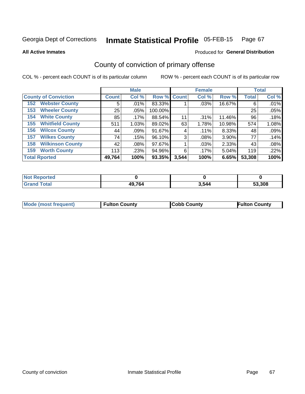#### Inmate Statistical Profile 05-FEB-15 Page 67

**All Active Inmates** 

### Produced for General Distribution

## County of conviction of primary offense

COL % - percent each COUNT is of its particular column

|                                |              | <b>Male</b> |             |       | <b>Female</b> |        |              | <b>Total</b> |
|--------------------------------|--------------|-------------|-------------|-------|---------------|--------|--------------|--------------|
| <b>County of Conviction</b>    | <b>Count</b> | Col %       | Row % Count |       | Col %         | Row %  | <b>Total</b> | Col %        |
| <b>Webster County</b><br>152   | 5            | .01%        | 83.33%      |       | .03%          | 16.67% | 6            | .01%         |
| <b>Wheeler County</b><br>153   | 25           | .05%        | 100.00%     |       |               |        | 25           | .05%         |
| <b>White County</b><br>154     | 85           | .17%        | 88.54%      | 11    | .31%          | 11.46% | 96           | .18%         |
| <b>Whitfield County</b><br>155 | 511          | 1.03%       | 89.02%      | 63    | 1.78%         | 10.98% | 574          | 1.08%        |
| <b>Wilcox County</b><br>156    | 44           | $.09\%$     | 91.67%      | 4     | .11%          | 8.33%  | 48           | .09%         |
| <b>Wilkes County</b><br>157    | 74           | .15%        | 96.10%      | 3     | .08%          | 3.90%  | 77           | .14%         |
| <b>Wilkinson County</b><br>158 | 42           | $.08\%$     | 97.67%      |       | .03%          | 2.33%  | 43           | .08%         |
| <b>Worth County</b><br>159     | 113          | .23%        | 94.96%      | 6     | .17%          | 5.04%  | 119          | .22%         |
| <b>Total Rported</b>           | 49,764       | 100%        | 93.35%      | 3,544 | 100%          | 6.65%  | 53,308       | 100%         |

| <b>Not Reported</b> |        |       |        |
|---------------------|--------|-------|--------|
| <b>Grand Total</b>  | 49,764 | 3,544 | 53,308 |

| Mode (most frequent) | <b>Fulton County</b> | <b>Cobb County</b> | <b>Fulton County</b> |
|----------------------|----------------------|--------------------|----------------------|
|                      |                      |                    |                      |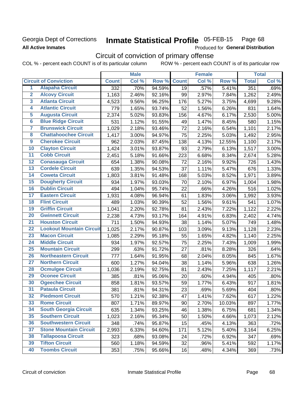### Georgia Dept of Corrections **All Active Inmates**

#### Inmate Statistical Profile 05-FEB-15 Page 68

Produced for General Distribution

## Circuit of conviction of primary offense

COL % - percent each COUNT is of its particular column ROW % - percent each COUNT is of its particular row

|                         |                                 |              | <b>Male</b> |        |              | <b>Female</b> |        |              | <b>Total</b> |
|-------------------------|---------------------------------|--------------|-------------|--------|--------------|---------------|--------|--------------|--------------|
|                         | <b>Circuit of Conviction</b>    | <b>Count</b> | Col %       | Row %  | <b>Count</b> | Col %         | Row %  | <b>Total</b> | Col %        |
| 1                       | <b>Alapaha Circuit</b>          | 332          | .70%        | 94.59% | 19           | .57%          | 5.41%  | 351          | .69%         |
| $\overline{2}$          | <b>Alcovy Circuit</b>           | 1,163        | 2.46%       | 92.16% | 99           | 2.97%         | 7.84%  | 1,262        | 2.49%        |
| $\overline{\mathbf{3}}$ | <b>Atlanta Circuit</b>          | 4,523        | 9.56%       | 96.25% | 176          | 5.27%         | 3.75%  | 4,699        | 9.28%        |
| 4                       | <b>Atlantic Circuit</b>         | 779          | 1.65%       | 93.74% | 52           | 1.56%         | 6.26%  | 831          | 1.64%        |
| 5                       | <b>Augusta Circuit</b>          | 2,374        | 5.02%       | 93.83% | 156          | 4.67%         | 6.17%  | 2,530        | 5.00%        |
| $\overline{6}$          | <b>Blue Ridge Circuit</b>       | 531          | 1.12%       | 91.55% | 49           | 1.47%         | 8.45%  | 580          | 1.15%        |
| 7                       | <b>Brunswick Circuit</b>        | 1,029        | 2.18%       | 93.46% | 72           | 2.16%         | 6.54%  | 1,101        | 2.17%        |
| 8                       | <b>Chattahoochee Circuit</b>    | 1,417        | 3.00%       | 94.97% | 75           | 2.25%         | 5.03%  | 1,492        | 2.95%        |
| 9                       | <b>Cherokee Circuit</b>         | 962          | 2.03%       | 87.45% | 138          | 4.13%         | 12.55% | 1,100        | 2.17%        |
| 10                      | <b>Clayton Circuit</b>          | 1,424        | 3.01%       | 93.87% | 93           | 2.79%         | 6.13%  | 1,517        | 3.00%        |
| $\overline{11}$         | <b>Cobb Circuit</b>             | 2,451        | 5.18%       | 91.66% | 223          | 6.68%         | 8.34%  | 2,674        | 5.28%        |
| 12                      | <b>Conasauga Circuit</b>        | 654          | 1.38%       | 90.08% | 72           | 2.16%         | 9.92%  | 726          | 1.43%        |
| 13                      | <b>Cordele Circuit</b>          | 639          | 1.35%       | 94.53% | 37           | 1.11%         | 5.47%  | 676          | 1.33%        |
| 14                      | <b>Coweta Circuit</b>           | 1,803        | 3.81%       | 91.48% | 168          | 5.03%         | 8.52%  | 1,971        | 3.89%        |
| 15                      | <b>Dougherty Circuit</b>        | 934          | 1.97%       | 93.03% | 70           | 2.10%         | 6.97%  | 1,004        | 1.98%        |
| 16                      | <b>Dublin Circuit</b>           | 494          | 1.04%       | 95.74% | 22           | .66%          | 4.26%  | 516          | 1.02%        |
| 17                      | <b>Eastern Circuit</b>          | 1,931        | 4.08%       | 96.94% | 61           | 1.83%         | 3.06%  | 1,992        | 3.93%        |
| 18                      | <b>Flint Circuit</b>            | 489          | 1.03%       | 90.39% | 52           | 1.56%         | 9.61%  | 541          | 1.07%        |
| 19                      | <b>Griffin Circuit</b>          | 1,041        | 2.20%       | 92.78% | 81           | 2.43%         | 7.22%  | 1,122        | 2.22%        |
| 20                      | <b>Gwinnett Circuit</b>         | 2,238        | 4.73%       | 93.17% | 164          | 4.91%         | 6.83%  | 2,402        | 4.74%        |
| $\overline{21}$         | <b>Houston Circuit</b>          | 711          | 1.50%       | 94.93% | 38           | 1.14%         | 5.07%  | 749          | 1.48%        |
| $\overline{22}$         | <b>Lookout Mountain Circuit</b> | 1,025        | 2.17%       | 90.87% | 103          | 3.09%         | 9.13%  | 1,128        | 2.23%        |
| 23                      | <b>Macon Circuit</b>            | 1,085        | 2.29%       | 95.18% | 55           | 1.65%         | 4.82%  | 1,140        | 2.25%        |
| 24                      | <b>Middle Circuit</b>           | 934          | 1.97%       | 92.57% | 75           | 2.25%         | 7.43%  | 1,009        | 1.99%        |
| $\overline{25}$         | <b>Mountain Circuit</b>         | 299          | .63%        | 91.72% | 27           | .81%          | 8.28%  | 326          | .64%         |
| 26                      | <b>Northeastern Circuit</b>     | 777          | 1.64%       | 91.95% | 68           | 2.04%         | 8.05%  | 845          | 1.67%        |
| $\overline{27}$         | <b>Northern Circuit</b>         | 600          | 1.27%       | 94.04% | 38           | 1.14%         | 5.96%  | 638          | 1.26%        |
| 28                      | <b>Ocmulgee Circuit</b>         | 1,036        | 2.19%       | 92.75% | 81           | 2.43%         | 7.25%  | 1,117        | 2.21%        |
| 29                      | <b>Oconee Circuit</b>           | 385          | .81%        | 95.06% | 20           | .60%          | 4.94%  | 405          | .80%         |
| 30                      | <b>Ogeechee Circuit</b>         | 858          | 1.81%       | 93.57% | 59           | 1.77%         | 6.43%  | 917          | 1.81%        |
| $\overline{31}$         | <b>Pataula Circuit</b>          | 381          | .81%        | 94.31% | 23           | .69%          | 5.69%  | 404          | .80%         |
| 32                      | <b>Piedmont Circuit</b>         | 570          | 1.21%       | 92.38% | 47           | 1.41%         | 7.62%  | 617          | 1.22%        |
| 33                      | <b>Rome Circuit</b>             | 807          | 1.71%       | 89.97% | 90           | 2.70%         | 10.03% | 897          | 1.77%        |
| 34                      | <b>South Georgia Circuit</b>    | 635          | 1.34%       | 93.25% | 46           | 1.38%         | 6.75%  | 681          | 1.34%        |
| 35                      | <b>Southern Circuit</b>         | 1,023        | 2.16%       | 95.34% | 50           | 1.50%         | 4.66%  | 1,073        | 2.12%        |
| 36                      | <b>Southwestern Circuit</b>     | 348          | .74%        | 95.87% | 15           | .45%          | 4.13%  | 363          | .72%         |
| 37                      | <b>Stone Mountain Circuit</b>   | 2,993        | 6.33%       | 94.60% | 171          | 5.12%         | 5.40%  | 3,164        | 6.25%        |
| 38                      | <b>Tallapoosa Circuit</b>       | 323          | .68%        | 93.08% | 24           | .72%          | 6.92%  | 347          | .69%         |
| 39                      | <b>Tifton Circuit</b>           | 560          | 1.18%       | 94.59% | 32           | .96%          | 5.41%  | 592          | 1.17%        |
| 40                      | <b>Toombs Circuit</b>           | 353          | .75%        | 95.66% | 16           | .48%          | 4.34%  | 369          | .73%         |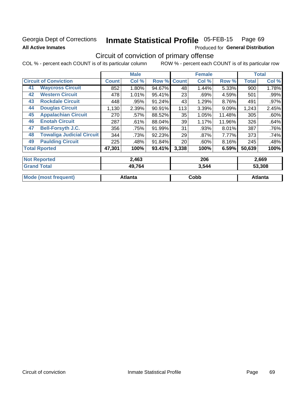## Georgia Dept of Corrections **All Active Inmates**

# Inmate Statistical Profile 05-FEB-15 Page 69

Produced for General Distribution

## Circuit of conviction of primary offense

COL % - percent each COUNT is of its particular column ROW % - percent each COUNT is of its particular row

|                                        |              | <b>Male</b>  |           |              | <b>Female</b> |        |              | <b>Total</b> |
|----------------------------------------|--------------|--------------|-----------|--------------|---------------|--------|--------------|--------------|
| <b>Circuit of Conviction</b>           | <b>Count</b> | Col %        | Row %     | <b>Count</b> | Col %         | Row %  | <b>Total</b> | Col %        |
| <b>Waycross Circuit</b><br>41          | 852          | 1.80%        | 94.67%    | 48           | 1.44%         | 5.33%  | 900          | 1.78%        |
| <b>Western Circuit</b><br>42           | 478          | 1.01%        | 95.41%    | 23           | .69%          | 4.59%  | 501          | .99%         |
| <b>Rockdale Circuit</b><br>43          | 448          | .95%         | 91.24%    | 43           | 1.29%         | 8.76%  | 491          | $.97\%$      |
| <b>Douglas Circuit</b><br>44           | 1,130        | 2.39%        | 90.91%    | 113          | 3.39%         | 9.09%  | 1,243        | 2.45%        |
| <b>Appalachian Circuit</b><br>45       | 270          | .57%         | 88.52%    | 35           | 1.05%         | 11.48% | 305          | .60%         |
| <b>Enotah Circuit</b><br>46            | 287          | .61%         | 88.04%    | 39           | 1.17%         | 11.96% | 326          | .64%         |
| <b>Bell-Forsyth J.C.</b><br>47         | 356          | .75%         | 91.99%    | 31           | .93%          | 8.01%  | 387          | .76%         |
| <b>Towaliga Judicial Circuit</b><br>48 | 344          | .73%         | 92.23%    | 29           | $.87\%$       | 7.77%  | 373          | .74%         |
| <b>Paulding Circuit</b><br>49          | 225          | .48%         | 91.84%    | 20           | .60%          | 8.16%  | 245          | .48%         |
| <b>Total Rported</b>                   | 47,301       | 100%         | $93.41\%$ | 3,338        | 100%          | 6.59%  | 50,639       | 100%         |
| <b>Not Reported</b>                    |              | 2,463        |           |              | 206           |        |              | 2,669        |
| <b>Grand Total</b>                     |              | <b>49764</b> |           |              | 3544          |        |              | 53.308       |

| <b>Grand Total</b>   | 49,764  | 3,544 | 53,308  |
|----------------------|---------|-------|---------|
| Mode (most frequent) | Atlanta | Cobb  | Atlanta |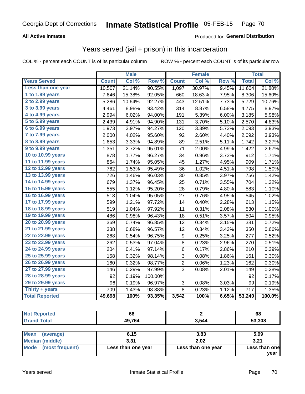### **All Active Inmates**

### **Produced for General Distribution**

## Years served (jail + prison) in this incarceration

COL % - percent each COUNT is of its particular column

|                       |              | <b>Male</b> |         |                  | <b>Female</b>       |       |              | <b>Total</b> |
|-----------------------|--------------|-------------|---------|------------------|---------------------|-------|--------------|--------------|
| <b>Years Served</b>   | <b>Count</b> | Col %       | Row %   | <b>Count</b>     | Col %               | Row % | <b>Total</b> | Col %        |
| Less than one year    | 10,507       | 21.14%      | 90.55%  | 1,097            | 30.97%              | 9.45% | 11,604       | 21.80%       |
| 1 to 1.99 years       | 7,646        | 15.38%      | 92.05%  | 660              | 18.63%              | 7.95% | 8,306        | 15.60%       |
| $2$ to 2.99 years     | 5,286        | 10.64%      | 92.27%  | 443              | 12.51%              | 7.73% | 5,729        | 10.76%       |
| $3$ to $3.99$ years   | 4,461        | 8.98%       | 93.42%  | 314              | 8.87%               | 6.58% | 4,775        | 8.97%        |
| 4 to 4.99 years       | 2,994        | 6.02%       | 94.00%  | 191              | 5.39%               | 6.00% | 3,185        | 5.98%        |
| 5 to 5.99 years       | 2,439        | 4.91%       | 94.90%  | 131              | 3.70%               | 5.10% | 2,570        | 4.83%        |
| 6 to 6.99 years       | 1,973        | 3.97%       | 94.27%  | 120              | 3.39%               | 5.73% | 2,093        | 3.93%        |
| $7$ to $7.99$ years   | 2,000        | 4.02%       | 95.60%  | 92               | 2.60%               | 4.40% | 2,092        | 3.93%        |
| 8 to 8.99 years       | 1,653        | 3.33%       | 94.89%  | 89               | 2.51%               | 5.11% | 1,742        | 3.27%        |
| 9 to 9.99 years       | 1,351        | 2.72%       | 95.01%  | 71               | 2.00%               | 4.99% | 1,422        | 2.67%        |
| 10 to 10.99 years     | 878          | 1.77%       | 96.27%  | 34               | 0.96%               | 3.73% | 912          | 1.71%        |
| 11 to 11.99 years     | 864          | 1.74%       | 95.05%  | 45               | $\overline{1.27\%}$ | 4.95% | 909          | 1.71%        |
| 12 to 12.99 years     | 762          | 1.53%       | 95.49%  | 36               | 1.02%               | 4.51% | 798          | 1.50%        |
| 13 to 13.99 years     | 726          | 1.46%       | 96.03%  | 30               | 0.85%               | 3.97% | 756          | 1.42%        |
| 14 to 14.99 years     | 679          | 1.37%       | 96.45%  | 25               | 0.71%               | 3.55% | 704          | 1.32%        |
| 15 to 15.99 years     | 555          | 1.12%       | 95.20%  | 28               | 0.79%               | 4.80% | 583          | 1.10%        |
| 16 to 16.99 years     | 518          | 1.04%       | 95.05%  | 27               | 0.76%               | 4.95% | 545          | 1.02%        |
| 17 to 17.99 years     | 599          | 1.21%       | 97.72%  | 14               | 0.40%               | 2.28% | 613          | 1.15%        |
| 18 to 18.99 years     | 519          | 1.04%       | 97.92%  | 11               | 0.31%               | 2.08% | 530          | 1.00%        |
| 19 to 19.99 years     | 486          | 0.98%       | 96.43%  | 18               | 0.51%               | 3.57% | 504          | 0.95%        |
| 20 to 20.99 years     | 369          | 0.74%       | 96.85%  | 12               | 0.34%               | 3.15% | 381          | 0.72%        |
| 21 to 21.99 years     | 338          | 0.68%       | 96.57%  | 12               | 0.34%               | 3.43% | 350          | 0.66%        |
| 22 to 22.99 years     | 268          | 0.54%       | 96.75%  | $\boldsymbol{9}$ | 0.25%               | 3.25% | 277          | 0.52%        |
| 23 to 23.99 years     | 262          | 0.53%       | 97.04%  | 8                | 0.23%               | 2.96% | 270          | 0.51%        |
| 24 to 24.99 years     | 204          | 0.41%       | 97.14%  | 6                | 0.17%               | 2.86% | 210          | 0.39%        |
| 25 to 25.99 years     | 158          | 0.32%       | 98.14%  | 3                | 0.08%               | 1.86% | 161          | 0.30%        |
| 26 to 26.99 years     | 160          | 0.32%       | 98.77%  | $\overline{c}$   | 0.06%               | 1.23% | 162          | 0.30%        |
| 27 to 27.99 years     | 146          | 0.29%       | 97.99%  | 3                | 0.08%               | 2.01% | 149          | 0.28%        |
| 28 to 28.99 years     | 92           | 0.19%       | 100.00% |                  |                     |       | 92           | 0.17%        |
| 29 to 29.99 years     | 96           | 0.19%       | 96.97%  | 3                | 0.08%               | 3.03% | 99           | 0.19%        |
| Thirty + years        | 709          | 1.43%       | 98.88%  | 8                | 0.23%               | 1.12% | 717          | 1.35%        |
| <b>Total Reported</b> | 49,698       | 100%        | 93.35%  | 3,542            | 100%                | 6.65% | 53,240       | 100.0%       |

| <b>Not Reported</b>      | 66     |       | 68     |
|--------------------------|--------|-------|--------|
| <b>Grand Total</b>       | 49.764 | 3,544 | 53,308 |
|                          |        |       |        |
| <b>Mean</b><br>(average) | 6.15   | 3.83  | 5.99   |
| <b>Median (middle)</b>   | 3.31   | 2.02  | 3.21   |

| <b>Median (middle)</b>         | 3.31               | 2.02               | 3.21                  |
|--------------------------------|--------------------|--------------------|-----------------------|
| <b>Mode</b><br>(most frequent) | Less than one year | Less than one year | Less than one<br>vear |
|                                |                    |                    |                       |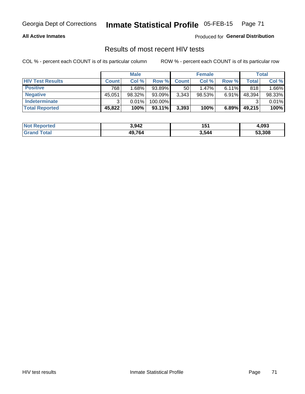## Georgia Dept of Corrections **Inmate Statistical Profile** 05-FEB-15 Page 71

### **All Active Inmates**

Produced for **General Distribution**

## Results of most recent HIV tests

COL % - percent each COUNT is of its particular column ROW % - percent each COUNT is of its particular row

|                         |              | <b>Male</b> |           |              | <b>Female</b> |          |        | Total  |
|-------------------------|--------------|-------------|-----------|--------------|---------------|----------|--------|--------|
| <b>HIV Test Results</b> | <b>Count</b> | Col%        | Row %I    | <b>Count</b> | Col %         | Row %    | Total  | Col %  |
| <b>Positive</b>         | 768          | 1.68%       | 93.89%    | 50           | $1.47\%$      | $6.11\%$ | 818    | 1.66%  |
| <b>Negative</b>         | 45,051       | 98.32%      | 93.09%    | 3,343        | $98.53\%$     | $6.91\%$ | 48,394 | 98.33% |
| Indeterminate           | າ            | 0.01%       | 100.00%   |              |               |          |        | 0.01%  |
| <b>Total Reported</b>   | 45,822       | 100%        | $93.11\%$ | 3,393        | 100%          | 6.89%    | 49,215 | 100%   |

| <b>Not Reported</b> | 3,942  | 151   | 4,093  |
|---------------------|--------|-------|--------|
| Total               | 49,764 | 3,544 | 53,308 |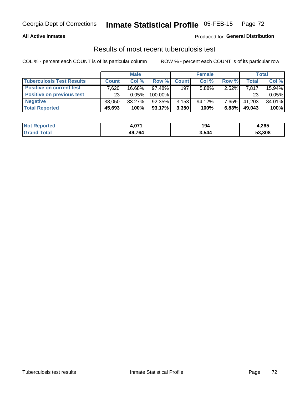## Georgia Dept of Corrections **Inmate Statistical Profile** 05-FEB-15 Page 72

### **All Active Inmates**

### Produced for **General Distribution**

### Results of most recent tuberculosis test

COL % - percent each COUNT is of its particular column ROW % - percent each COUNT is of its particular row

|                                  |              | <b>Male</b> |           |              | <b>Female</b> |          |              | Total  |
|----------------------------------|--------------|-------------|-----------|--------------|---------------|----------|--------------|--------|
| <b>Tuberculosis Test Results</b> | <b>Count</b> | Col%        | Row %     | <b>Count</b> | Col %         | Row %    | <b>Total</b> | Col %  |
| <b>Positive on current test</b>  | .620         | 16.68%      | $97.48\%$ | 197          | 5.88%         | 2.52%    | 7,817        | 15.94% |
| <b>Positive on previous test</b> | 23           | 0.05%       | 100.00%   |              |               |          | 23           | 0.05%  |
| <b>Negative</b>                  | 38.050       | 83.27%      | $92.35\%$ | 3,153        | $94.12\%$     | $7.65\%$ | 41,203       | 84.01% |
| <b>Total Reported</b>            | 45,693       | 100%        | $93.17\%$ | 3,350        | 100%          | 6.83%    | 49,043       | 100%   |

| <b>Not Reported</b> | 074<br>4.VI | 194   | 4,265  |
|---------------------|-------------|-------|--------|
| Гоtal               | 49,764      | 3,544 | 53,308 |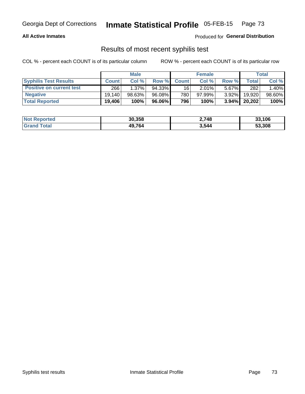# Georgia Dept of Corrections **Inmate Statistical Profile** 05-FEB-15 Page 73

#### **All Active Inmates**

Produced for **General Distribution**

## Results of most recent syphilis test

COL % - percent each COUNT is of its particular column ROW % - percent each COUNT is of its particular row

|                                 | <b>Male</b>  |          |        | <b>Female</b>   |        |          | Total  |        |
|---------------------------------|--------------|----------|--------|-----------------|--------|----------|--------|--------|
| <b>Syphilis Test Results</b>    | <b>Count</b> | Col%     | Row %I | <b>Count</b>    | Col%   | Row %    | Total  | Col %  |
| <b>Positive on current test</b> | 266          | $1.37\%$ | 94.33% | 16 <sup>1</sup> | 2.01%  | $5.67\%$ | 282    | 1.40%  |
| <b>Negative</b>                 | 19.140       | 98.63%   | 96.08% | 780             | 97.99% | $3.92\%$ | 19,920 | 98.60% |
| <b>Total Reported</b>           | 19,406       | 100%     | 96.06% | 796             | 100%   | $3.94\%$ | 20,202 | 100%   |

| <b>Not Reported</b> | 30,358 | 2,748 | 33,106 |
|---------------------|--------|-------|--------|
| <b>Grand Total</b>  | 49.764 | 3,544 | 53.308 |